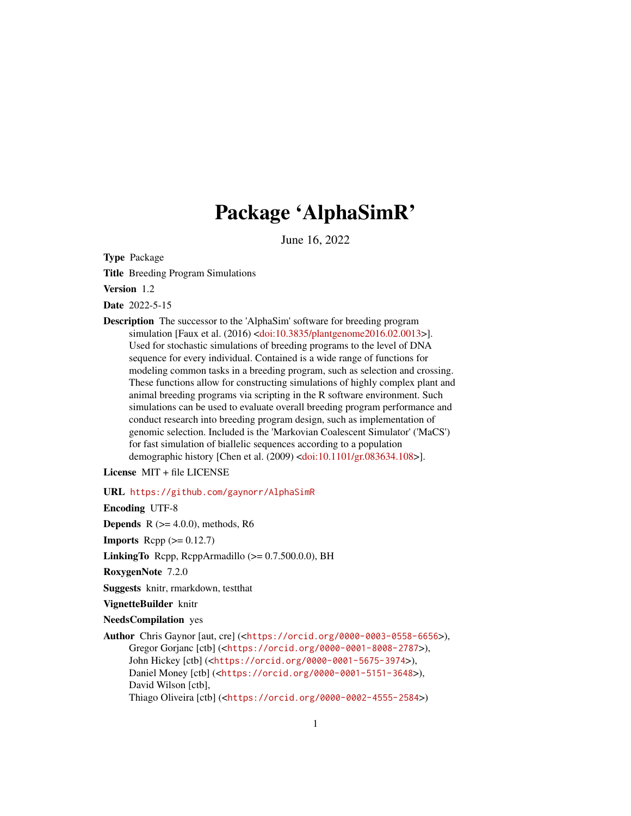# Package 'AlphaSimR'

June 16, 2022

Type Package

Title Breeding Program Simulations

Version 1.2

Date 2022-5-15

Description The successor to the 'AlphaSim' software for breeding program simulation [Faux et al. (2016) [<doi:10.3835/plantgenome2016.02.0013>](https://doi.org/10.3835/plantgenome2016.02.0013)]. Used for stochastic simulations of breeding programs to the level of DNA sequence for every individual. Contained is a wide range of functions for modeling common tasks in a breeding program, such as selection and crossing. These functions allow for constructing simulations of highly complex plant and animal breeding programs via scripting in the R software environment. Such simulations can be used to evaluate overall breeding program performance and conduct research into breeding program design, such as implementation of genomic selection. Included is the 'Markovian Coalescent Simulator' ('MaCS') for fast simulation of biallelic sequences according to a population demographic history [Chen et al. (2009) [<doi:10.1101/gr.083634.108>](https://doi.org/10.1101/gr.083634.108)].

License MIT + file LICENSE

URL <https://github.com/gaynorr/AlphaSimR>

Encoding UTF-8

**Depends**  $R$  ( $>= 4.0.0$ ), methods, R6

**Imports** Rcpp  $(>= 0.12.7)$ 

LinkingTo Rcpp, RcppArmadillo (>= 0.7.500.0.0), BH

RoxygenNote 7.2.0

Suggests knitr, rmarkdown, testthat

VignetteBuilder knitr

NeedsCompilation yes

Author Chris Gaynor [aut, cre] (<<https://orcid.org/0000-0003-0558-6656>>), Gregor Gorjanc [ctb] (<<https://orcid.org/0000-0001-8008-2787>>), John Hickey [ctb] (<<https://orcid.org/0000-0001-5675-3974>>), Daniel Money [ctb] (<<https://orcid.org/0000-0001-5151-3648>>), David Wilson [ctb], Thiago Oliveira [ctb] (<<https://orcid.org/0000-0002-4555-2584>>)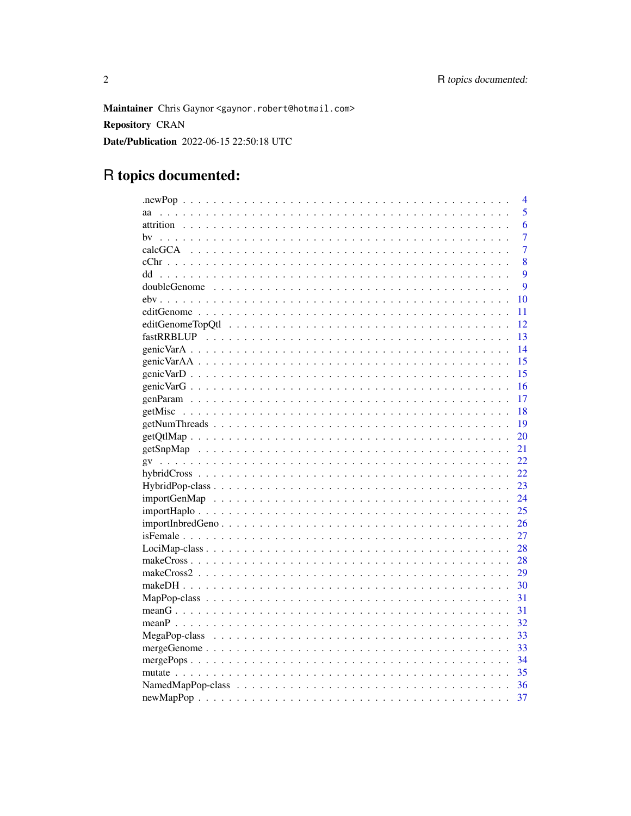Maintainer Chris Gaynor <gaynor.robert@hotmail.com> **Repository CRAN** Date/Publication 2022-06-15 22:50:18 UTC

# R topics documented:

|                                                                                                                       | 4              |
|-----------------------------------------------------------------------------------------------------------------------|----------------|
| аа                                                                                                                    | 5              |
|                                                                                                                       | 6              |
| hv                                                                                                                    | 7              |
|                                                                                                                       | $\overline{7}$ |
|                                                                                                                       | 8              |
| dd                                                                                                                    | 9              |
|                                                                                                                       | 9              |
|                                                                                                                       | 10             |
|                                                                                                                       | 11             |
|                                                                                                                       | 12             |
|                                                                                                                       | 13             |
|                                                                                                                       | 14             |
|                                                                                                                       | 15             |
|                                                                                                                       | 15             |
|                                                                                                                       | 16             |
|                                                                                                                       | 17             |
|                                                                                                                       | 18             |
| $getNumThreads \dots \dots \dots \dots \dots \dots \dots \dots \dots \dots \dots \dots \dots \dots \dots \dots \dots$ | 19             |
|                                                                                                                       | 20             |
|                                                                                                                       | 21             |
|                                                                                                                       | 22             |
|                                                                                                                       | 22             |
|                                                                                                                       | 23             |
|                                                                                                                       | 24             |
|                                                                                                                       | 25             |
| $importInbredGeno \dots \dots \dots \dots \dots \dots \dots \dots \dots \dots \dots \dots \dots \dots \dots$          | 26             |
|                                                                                                                       | 27             |
|                                                                                                                       | 28             |
|                                                                                                                       | 28             |
|                                                                                                                       | 29             |
|                                                                                                                       | 30             |
|                                                                                                                       | 31             |
|                                                                                                                       | 31             |
|                                                                                                                       | 32             |
|                                                                                                                       | 33             |
|                                                                                                                       | 33             |
|                                                                                                                       | 34             |
|                                                                                                                       | 35             |
|                                                                                                                       | 36             |
|                                                                                                                       | 37             |
|                                                                                                                       |                |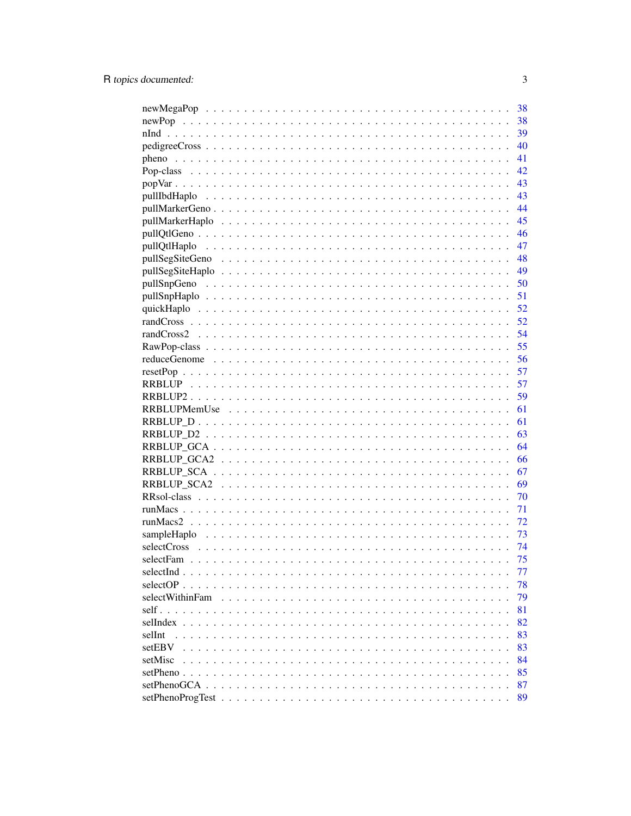|                 | 38 |
|-----------------|----|
|                 | 38 |
|                 | 39 |
|                 | 40 |
|                 | 41 |
|                 | 42 |
|                 | 43 |
|                 | 43 |
|                 | 44 |
|                 | 45 |
|                 | 46 |
|                 | 47 |
|                 | 48 |
|                 | 49 |
|                 | 50 |
|                 | 51 |
|                 | 52 |
|                 | 52 |
|                 | 54 |
|                 | 55 |
|                 | 56 |
|                 | 57 |
|                 | 57 |
|                 | 59 |
|                 | 61 |
|                 | 61 |
|                 | 63 |
|                 | 64 |
|                 | 66 |
|                 | 67 |
|                 | 69 |
|                 | 70 |
|                 | 71 |
|                 | 72 |
|                 | 73 |
|                 | 74 |
|                 | 75 |
|                 | 77 |
| $selectOP$      | 78 |
| selectWithinFam | 79 |
|                 | 81 |
| selIndex        | 82 |
| selInt          | 83 |
| setEBV          | 83 |
| setMisc         | 84 |
| $setPheno$      | 85 |
|                 | 87 |
|                 | 89 |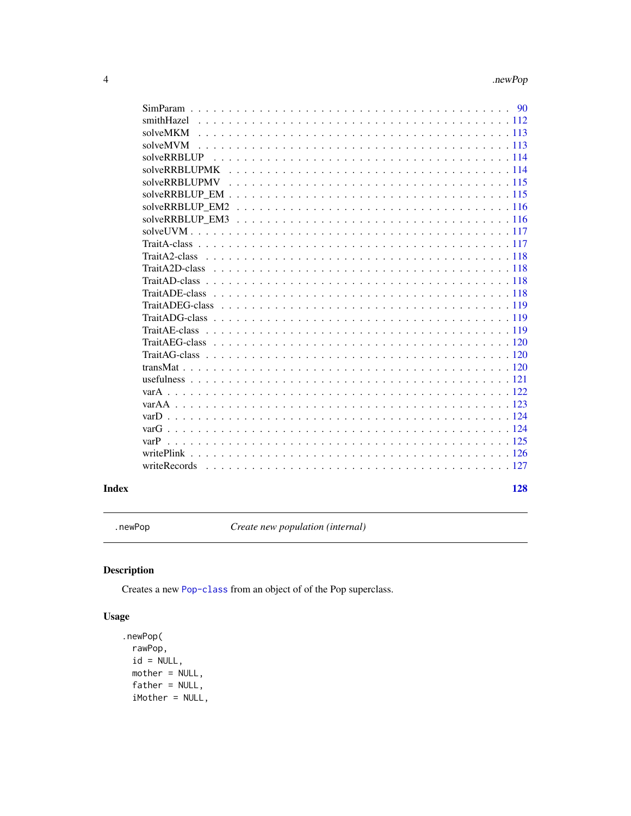<span id="page-3-0"></span>

| 90          |
|-------------|
|             |
| smithHazel  |
| solveMKM    |
| solveMVM    |
| solveRRRIJP |
|             |
|             |
|             |
|             |
|             |
|             |
|             |
|             |
|             |
|             |
|             |
|             |
|             |
|             |
|             |
|             |
|             |
|             |
|             |
|             |
|             |
|             |
| varP        |
|             |
|             |
|             |

#### **Index** 2008 **[128](#page-127-0)**

.newPop *Create new population (internal)*

# Description

Creates a new [Pop-class](#page-41-1) from an object of of the Pop superclass.

# Usage

```
.newPop(
 rawPop,
 id = NULL,mother = NULL,
 father = NULL,
 iMother = NULL,
```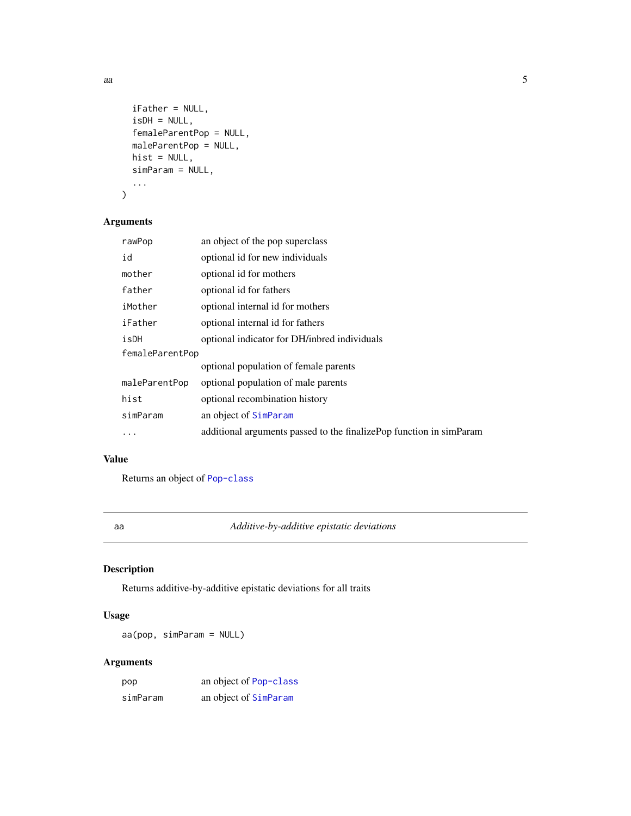```
iFather = NULL,
  isDH = NULL,femaleParentPop = NULL,
  maleParentPop = NULL,
  hist = NULL,
  simParam = NULL,
  ...
\mathcal{L}
```
# Arguments

| rawPop          | an object of the pop superclass                                     |  |
|-----------------|---------------------------------------------------------------------|--|
| id              | optional id for new individuals                                     |  |
| mother          | optional id for mothers                                             |  |
| father          | optional id for fathers                                             |  |
| iMother         | optional internal id for mothers                                    |  |
| iFather         | optional internal id for fathers                                    |  |
| isDH            | optional indicator for DH/inbred individuals                        |  |
| femaleParentPop |                                                                     |  |
|                 | optional population of female parents                               |  |
| maleParentPop   | optional population of male parents                                 |  |
| hist            | optional recombination history                                      |  |
| simParam        | an object of SimParam                                               |  |
|                 | additional arguments passed to the finalizePop function in simParam |  |

# Value

Returns an object of [Pop-class](#page-41-1)

aa *Additive-by-additive epistatic deviations*

# Description

Returns additive-by-additive epistatic deviations for all traits

# Usage

aa(pop, simParam = NULL)

# Arguments

| pop      | an object of Pop-class |
|----------|------------------------|
| simParam | an object of SimParam  |

<span id="page-4-0"></span> $a$ a  $a$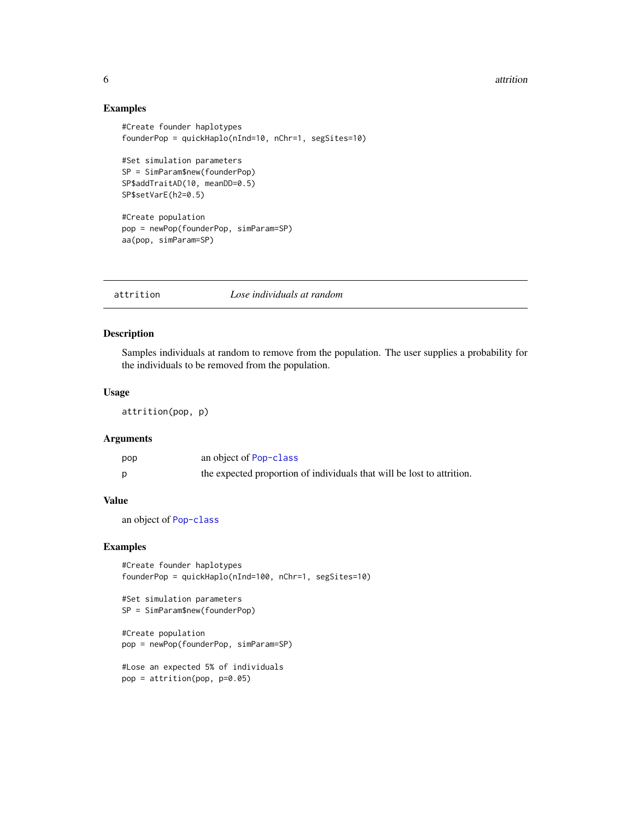#### <span id="page-5-0"></span>6 attrition of the contract of the contract of the contract of the contract of the contract of the contract of the contract of the contract of the contract of the contract of the contract of the contract of the contract of

# Examples

```
#Create founder haplotypes
founderPop = quickHaplo(nInd=10, nChr=1, segSites=10)
#Set simulation parameters
SP = SimParam$new(founderPop)
SP$addTraitAD(10, meanDD=0.5)
SP$setVarE(h2=0.5)
#Create population
pop = newPop(founderPop, simParam=SP)
aa(pop, simParam=SP)
```
attrition *Lose individuals at random*

# Description

Samples individuals at random to remove from the population. The user supplies a probability for the individuals to be removed from the population.

# Usage

attrition(pop, p)

# Arguments

| pop | an object of Pop-class                                                 |
|-----|------------------------------------------------------------------------|
|     | the expected proportion of individuals that will be lost to attrition. |

#### Value

an object of [Pop-class](#page-41-1)

#### Examples

#Create founder haplotypes founderPop = quickHaplo(nInd=100, nChr=1, segSites=10)

```
#Set simulation parameters
SP = SimParam$new(founderPop)
#Create population
pop = newPop(founderPop, simParam=SP)
#Lose an expected 5% of individuals
pop = attrition(pop, p=0.05)
```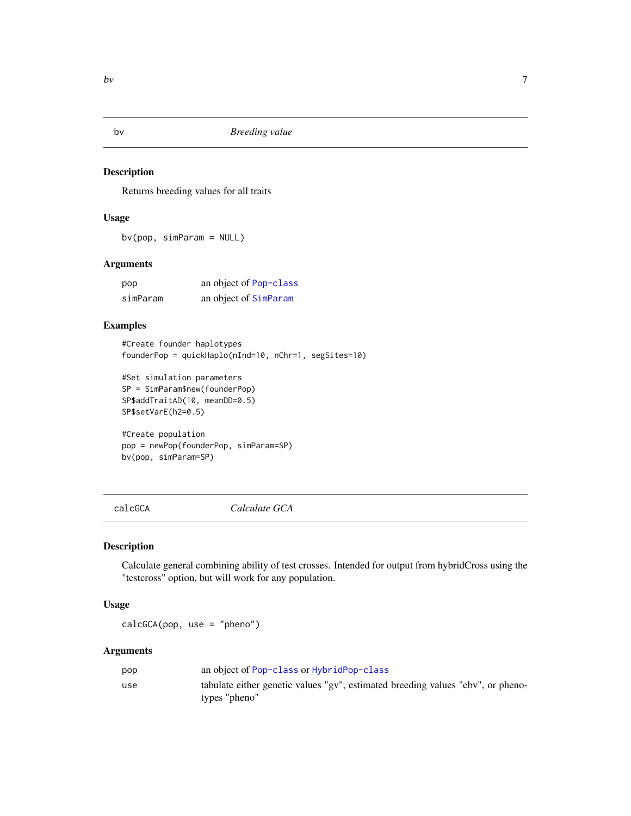<span id="page-6-0"></span>

Returns breeding values for all traits

#### Usage

bv(pop, simParam = NULL)

# Arguments

| pop      | an object of Pop-class |
|----------|------------------------|
| simParam | an object of SimParam  |

# Examples

```
#Create founder haplotypes
founderPop = quickHaplo(nInd=10, nChr=1, segSites=10)
```

```
#Set simulation parameters
SP = SimParam$new(founderPop)
SP$addTraitAD(10, meanDD=0.5)
SP$setVarE(h2=0.5)
```

```
#Create population
pop = newPop(founderPop, simParam=SP)
bv(pop, simParam=SP)
```
calcGCA *Calculate GCA*

#### Description

Calculate general combining ability of test crosses. Intended for output from hybridCross using the "testcross" option, but will work for any population.

#### Usage

calcGCA(pop, use = "pheno")

# Arguments

| pop | an object of Pop-class or HybridPop-class                                       |
|-----|---------------------------------------------------------------------------------|
| use | tabulate either genetic values "gv", estimated breeding values "ebv", or pheno- |
|     | types "pheno"                                                                   |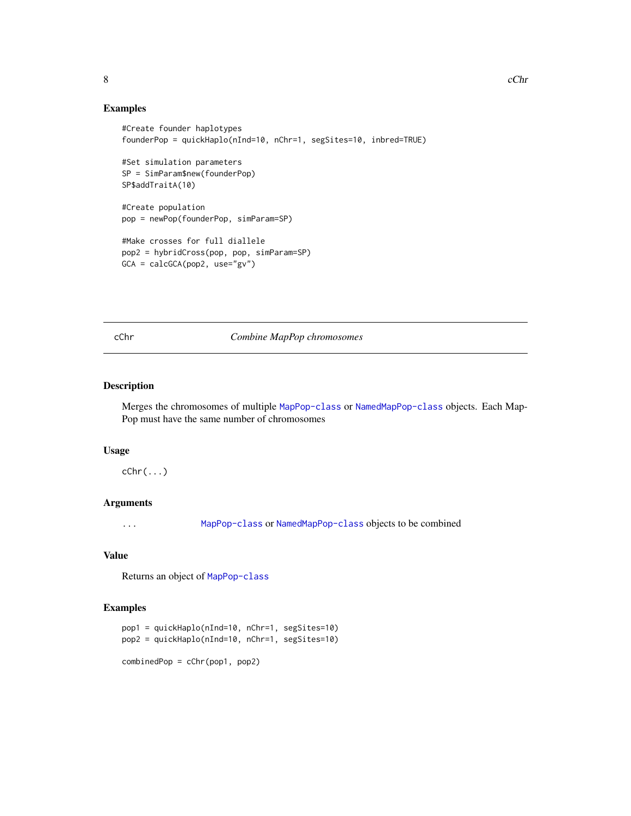# Examples

```
#Create founder haplotypes
founderPop = quickHaplo(nInd=10, nChr=1, segSites=10, inbred=TRUE)
#Set simulation parameters
SP = SimParam$new(founderPop)
SP$addTraitA(10)
#Create population
pop = newPop(founderPop, simParam=SP)
#Make crosses for full diallele
pop2 = hybridCross(pop, pop, simParam=SP)
GCA = calcGCA(pop2, use="gv")
```
#### cChr *Combine MapPop chromosomes*

#### Description

Merges the chromosomes of multiple [MapPop-class](#page-30-1) or [NamedMapPop-class](#page-35-1) objects. Each Map-Pop must have the same number of chromosomes

#### Usage

 $cChr(\ldots)$ 

# Arguments

... [MapPop-class](#page-30-1) or [NamedMapPop-class](#page-35-1) objects to be combined

# Value

Returns an object of [MapPop-class](#page-30-1)

```
pop1 = quickHaplo(nInd=10, nChr=1, segSites=10)
pop2 = quickHaplo(nInd=10, nChr=1, segSites=10)
combinedPop = cChr(pop1, pop2)
```
<span id="page-7-0"></span>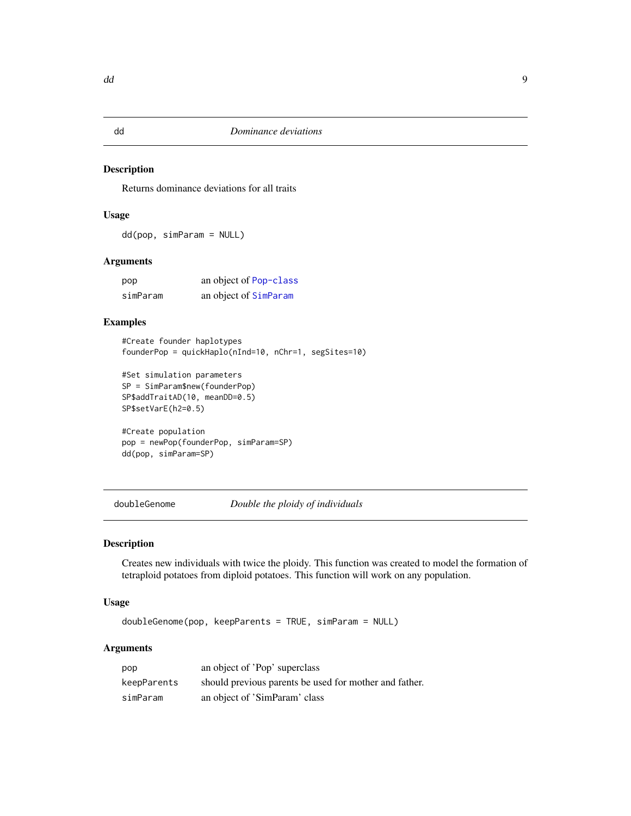<span id="page-8-0"></span>

Returns dominance deviations for all traits

# Usage

dd(pop, simParam = NULL)

# Arguments

| pop      | an object of Pop-class |
|----------|------------------------|
| simParam | an object of SimParam  |

# Examples

```
#Create founder haplotypes
founderPop = quickHaplo(nInd=10, nChr=1, segSites=10)
```

```
#Set simulation parameters
SP = SimParam$new(founderPop)
SP$addTraitAD(10, meanDD=0.5)
SP$setVarE(h2=0.5)
```

```
#Create population
pop = newPop(founderPop, simParam=SP)
dd(pop, simParam=SP)
```
<span id="page-8-1"></span>doubleGenome *Double the ploidy of individuals*

# Description

Creates new individuals with twice the ploidy. This function was created to model the formation of tetraploid potatoes from diploid potatoes. This function will work on any population.

# Usage

```
doubleGenome(pop, keepParents = TRUE, simParam = NULL)
```
# Arguments

| pop         | an object of 'Pop' superclass                          |
|-------------|--------------------------------------------------------|
| keepParents | should previous parents be used for mother and father. |
| simParam    | an object of 'SimParam' class                          |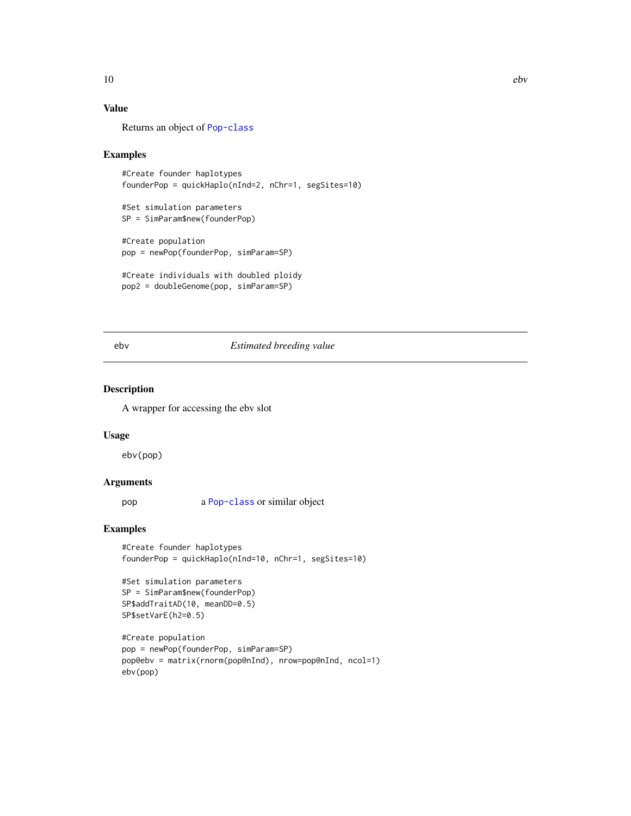# Value

Returns an object of [Pop-class](#page-41-1)

#### Examples

```
#Create founder haplotypes
founderPop = quickHaplo(nInd=2, nChr=1, segSites=10)
#Set simulation parameters
SP = SimParam$new(founderPop)
#Create population
pop = newPop(founderPop, simParam=SP)
#Create individuals with doubled ploidy
```

```
pop2 = doubleGenome(pop, simParam=SP)
```
# ebv *Estimated breeding value*

#### Description

A wrapper for accessing the ebv slot

#### Usage

ebv(pop)

# Arguments

pop a [Pop-class](#page-41-1) or similar object

```
#Create founder haplotypes
founderPop = quickHaplo(nInd=10, nChr=1, segSites=10)
```

```
#Set simulation parameters
SP = SimParam$new(founderPop)
SP$addTraitAD(10, meanDD=0.5)
SP$setVarE(h2=0.5)
```

```
#Create population
pop = newPop(founderPop, simParam=SP)
pop@ebv = matrix(rnorm(pop@nInd), nrow=pop@nInd, ncol=1)
ebv(pop)
```
<span id="page-9-0"></span>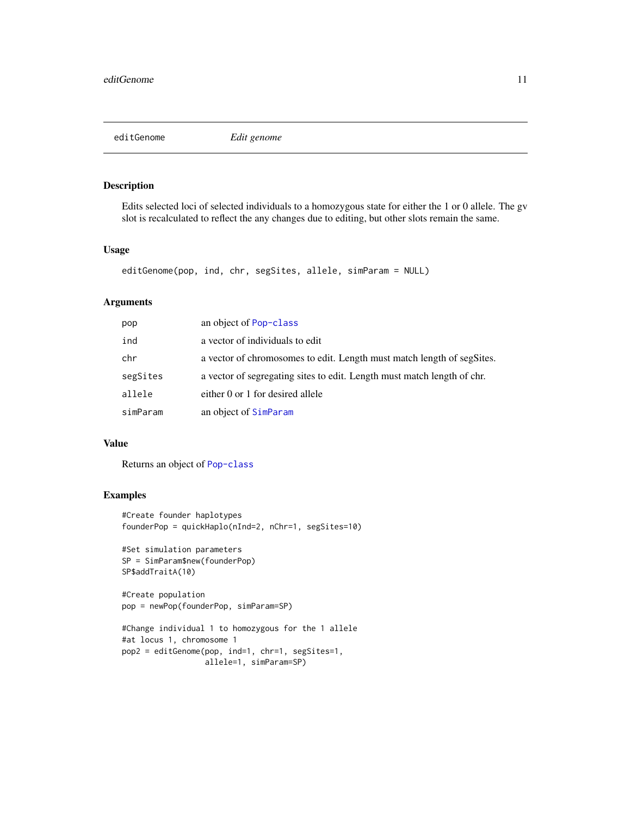<span id="page-10-0"></span>editGenome *Edit genome*

# Description

Edits selected loci of selected individuals to a homozygous state for either the 1 or 0 allele. The gv slot is recalculated to reflect the any changes due to editing, but other slots remain the same.

# Usage

```
editGenome(pop, ind, chr, segSites, allele, simParam = NULL)
```
# Arguments

| pop      | an object of Pop-class                                                  |
|----------|-------------------------------------------------------------------------|
| ind      | a vector of individuals to edit                                         |
| chr      | a vector of chromosomes to edit. Length must match length of segSites.  |
| segSites | a vector of segregating sites to edit. Length must match length of chr. |
| allele   | either 0 or 1 for desired allele                                        |
| simParam | an object of SimParam                                                   |

#### Value

Returns an object of [Pop-class](#page-41-1)

```
#Create founder haplotypes
founderPop = quickHaplo(nInd=2, nChr=1, segSites=10)
#Set simulation parameters
SP = SimParam$new(founderPop)
SP$addTraitA(10)
#Create population
pop = newPop(founderPop, simParam=SP)
#Change individual 1 to homozygous for the 1 allele
#at locus 1, chromosome 1
pop2 = editGenome(pop, ind=1, chr=1, segSites=1,
```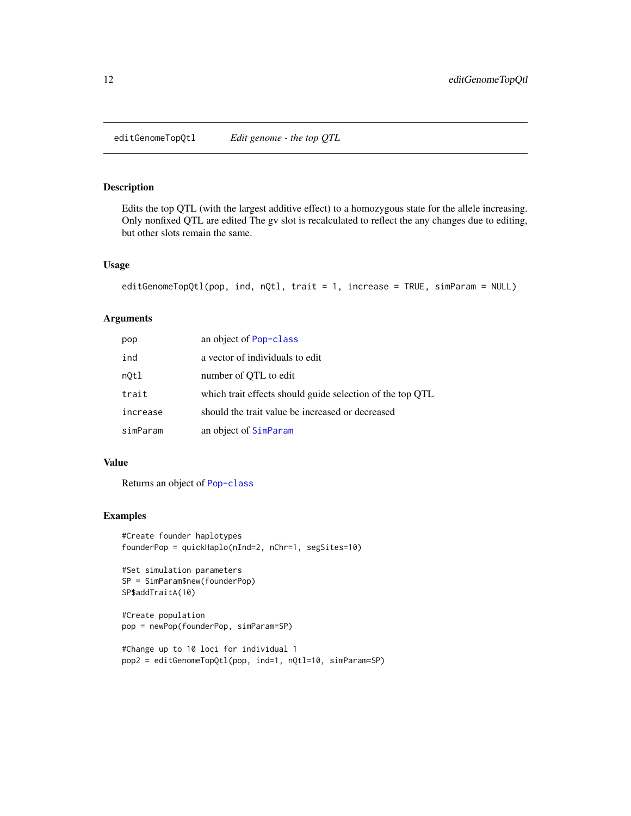<span id="page-11-0"></span>editGenomeTopQtl *Edit genome - the top QTL*

# Description

Edits the top QTL (with the largest additive effect) to a homozygous state for the allele increasing. Only nonfixed QTL are edited The gv slot is recalculated to reflect the any changes due to editing, but other slots remain the same.

#### Usage

```
editGenomeTopQtl(pop, ind, nQtl, trait = 1, increase = TRUE, simParam = NULL)
```
# Arguments

| pop      | an object of Pop-class                                    |
|----------|-----------------------------------------------------------|
| ind      | a vector of individuals to edit                           |
| not1     | number of QTL to edit                                     |
| trait    | which trait effects should guide selection of the top QTL |
| increase | should the trait value be increased or decreased          |
| simParam | an object of SimParam                                     |

#### Value

Returns an object of [Pop-class](#page-41-1)

```
#Create founder haplotypes
founderPop = quickHaplo(nInd=2, nChr=1, segSites=10)
```

```
#Set simulation parameters
SP = SimParam$new(founderPop)
SP$addTraitA(10)
```

```
#Create population
pop = newPop(founderPop, simParam=SP)
```

```
#Change up to 10 loci for individual 1
pop2 = editGenomeTopQtl(pop, ind=1, nQtl=10, simParam=SP)
```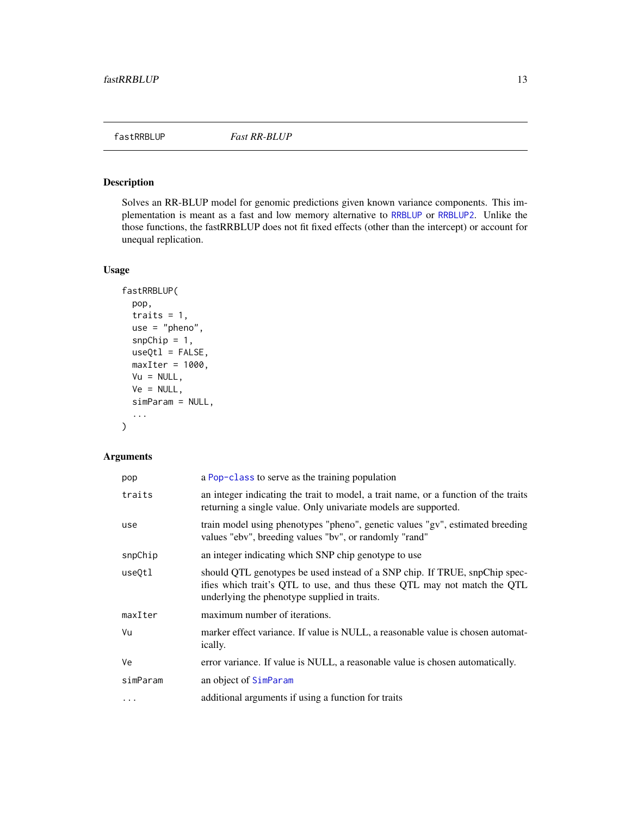<span id="page-12-0"></span>

Solves an RR-BLUP model for genomic predictions given known variance components. This implementation is meant as a fast and low memory alternative to [RRBLUP](#page-56-1) or [RRBLUP2](#page-58-1). Unlike the those functions, the fastRRBLUP does not fit fixed effects (other than the intercept) or account for unequal replication.

# Usage

```
fastRRBLUP(
 pop,
  traits = 1,
 use = "pheno",
  snpChip = 1,
 useQtl = FALSE,maxIter = 1000,Vu = NULL,Ve = NULL,simParam = NULL,
  ...
\mathcal{L}
```
# Arguments

| pop      | a Pop-class to serve as the training population                                                                                                                                                        |
|----------|--------------------------------------------------------------------------------------------------------------------------------------------------------------------------------------------------------|
| traits   | an integer indicating the trait to model, a trait name, or a function of the traits<br>returning a single value. Only univariate models are supported.                                                 |
| use      | train model using phenotypes "pheno", genetic values "gv", estimated breeding<br>values "ebv", breeding values "bv", or randomly "rand"                                                                |
| snpChip  | an integer indicating which SNP chip genotype to use                                                                                                                                                   |
| useQtl   | should QTL genotypes be used instead of a SNP chip. If TRUE, snpChip spec-<br>ifies which trait's QTL to use, and thus these QTL may not match the QTL<br>underlying the phenotype supplied in traits. |
| maxIter  | maximum number of iterations.                                                                                                                                                                          |
| Vu       | marker effect variance. If value is NULL, a reasonable value is chosen automat-<br>ically.                                                                                                             |
| Ve       | error variance. If value is NULL, a reasonable value is chosen automatically.                                                                                                                          |
| simParam | an object of SimParam                                                                                                                                                                                  |
| $\cdots$ | additional arguments if using a function for traits                                                                                                                                                    |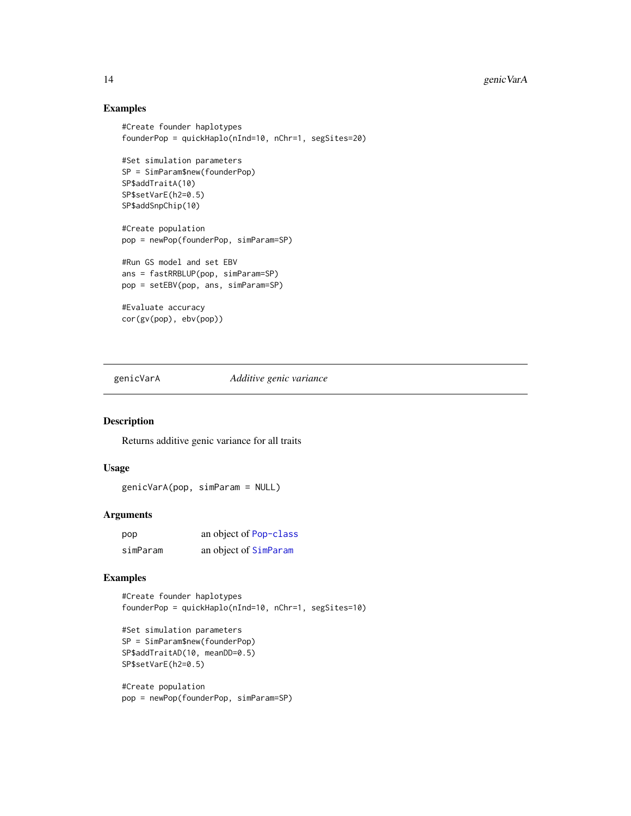# Examples

```
#Create founder haplotypes
founderPop = quickHaplo(nInd=10, nChr=1, segSites=20)
#Set simulation parameters
SP = SimParam$new(founderPop)
SP$addTraitA(10)
SP$setVarE(h2=0.5)
SP$addSnpChip(10)
#Create population
pop = newPop(founderPop, simParam=SP)
#Run GS model and set EBV
ans = fastRRBLUP(pop, simParam=SP)
pop = setEBV(pop, ans, simParam=SP)
#Evaluate accuracy
cor(gv(pop), ebv(pop))
```
genicVarA *Additive genic variance*

#### Description

Returns additive genic variance for all traits

#### Usage

```
genicVarA(pop, simParam = NULL)
```
#### Arguments

| pop      | an object of Pop-class |
|----------|------------------------|
| simParam | an object of SimParam  |

# Examples

#Create founder haplotypes founderPop = quickHaplo(nInd=10, nChr=1, segSites=10)

```
#Set simulation parameters
SP = SimParam$new(founderPop)
SP$addTraitAD(10, meanDD=0.5)
SP$setVarE(h2=0.5)
```

```
#Create population
pop = newPop(founderPop, simParam=SP)
```
<span id="page-13-0"></span>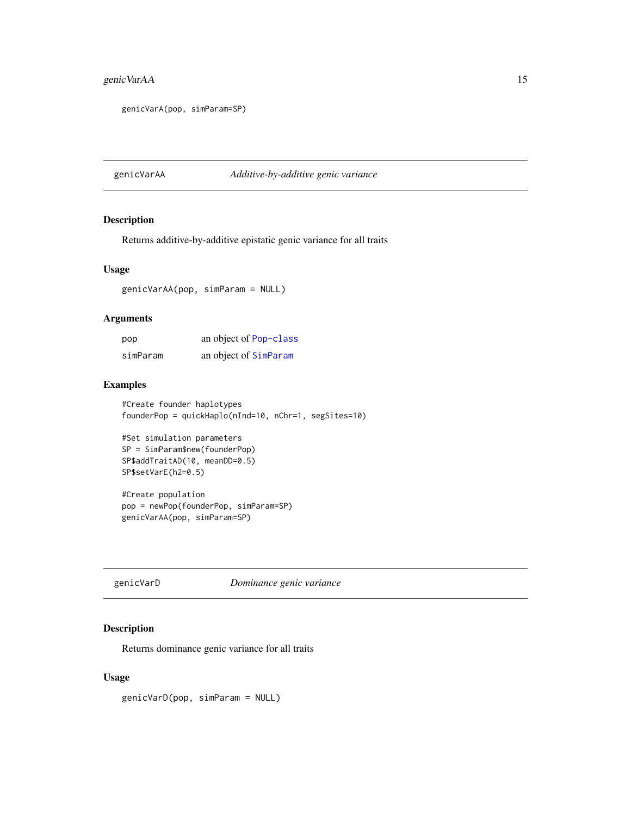# <span id="page-14-0"></span>genic VarAA 15

```
genicVarA(pop, simParam=SP)
```
genicVarAA *Additive-by-additive genic variance*

# Description

Returns additive-by-additive epistatic genic variance for all traits

#### Usage

genicVarAA(pop, simParam = NULL)

# Arguments

| pop      | an object of Pop-class |
|----------|------------------------|
| simParam | an object of SimParam  |

# Examples

#Create founder haplotypes founderPop = quickHaplo(nInd=10, nChr=1, segSites=10)

```
#Set simulation parameters
SP = SimParam$new(founderPop)
SP$addTraitAD(10, meanDD=0.5)
SP$setVarE(h2=0.5)
```
#Create population pop = newPop(founderPop, simParam=SP) genicVarAA(pop, simParam=SP)

genicVarD *Dominance genic variance*

# Description

Returns dominance genic variance for all traits

#### Usage

genicVarD(pop, simParam = NULL)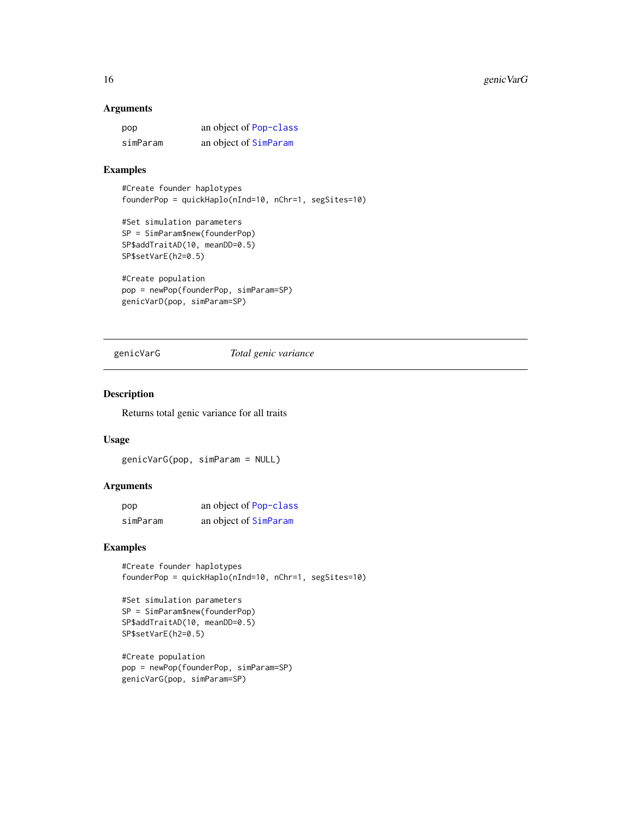#### <span id="page-15-0"></span>Arguments

| pop      | an object of Pop-class |
|----------|------------------------|
| simParam | an object of SimParam  |

# Examples

#Create founder haplotypes founderPop = quickHaplo(nInd=10, nChr=1, segSites=10)

```
#Set simulation parameters
SP = SimParam$new(founderPop)
SP$addTraitAD(10, meanDD=0.5)
SP$setVarE(h2=0.5)
```

```
#Create population
pop = newPop(founderPop, simParam=SP)
genicVarD(pop, simParam=SP)
```
#### genicVarG *Total genic variance*

#### Description

Returns total genic variance for all traits

#### Usage

```
genicVarG(pop, simParam = NULL)
```
#### Arguments

| pop      | an object of Pop-class |
|----------|------------------------|
| simParam | an object of SimParam  |

# Examples

#Create founder haplotypes founderPop = quickHaplo(nInd=10, nChr=1, segSites=10)

```
#Set simulation parameters
SP = SimParam$new(founderPop)
SP$addTraitAD(10, meanDD=0.5)
SP$setVarE(h2=0.5)
```

```
#Create population
pop = newPop(founderPop, simParam=SP)
genicVarG(pop, simParam=SP)
```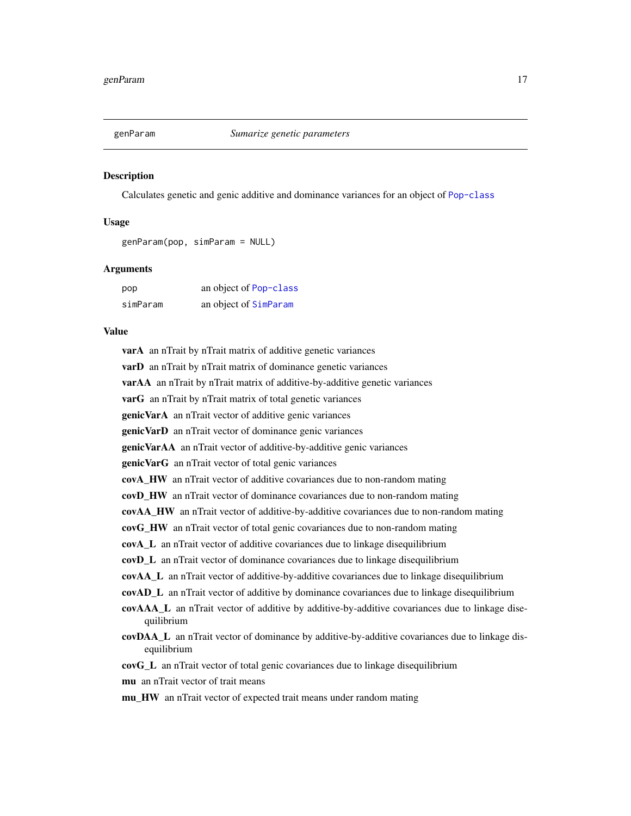<span id="page-16-0"></span>

Calculates genetic and genic additive and dominance variances for an object of [Pop-class](#page-41-1)

#### Usage

```
genParam(pop, simParam = NULL)
```
#### Arguments

| pop      | an object of Pop-class |
|----------|------------------------|
| simParam | an object of SimParam  |

#### Value

varA an nTrait by nTrait matrix of additive genetic variances varD an nTrait by nTrait matrix of dominance genetic variances varAA an nTrait by nTrait matrix of additive-by-additive genetic variances varG an nTrait by nTrait matrix of total genetic variances genicVarA an nTrait vector of additive genic variances genicVarD an nTrait vector of dominance genic variances genicVarAA an nTrait vector of additive-by-additive genic variances genicVarG an nTrait vector of total genic variances covA\_HW an nTrait vector of additive covariances due to non-random mating covD\_HW an nTrait vector of dominance covariances due to non-random mating covAA\_HW an nTrait vector of additive-by-additive covariances due to non-random mating covG\_HW an nTrait vector of total genic covariances due to non-random mating covA\_L an nTrait vector of additive covariances due to linkage disequilibrium covD\_L an nTrait vector of dominance covariances due to linkage disequilibrium covAA\_L an nTrait vector of additive-by-additive covariances due to linkage disequilibrium covAD\_L an nTrait vector of additive by dominance covariances due to linkage disequilibrium covAAA\_L an nTrait vector of additive by additive-by-additive covariances due to linkage disequilibrium covDAA\_L an nTrait vector of dominance by additive-by-additive covariances due to linkage disequilibrium covG\_L an nTrait vector of total genic covariances due to linkage disequilibrium mu an nTrait vector of trait means mu\_HW an nTrait vector of expected trait means under random mating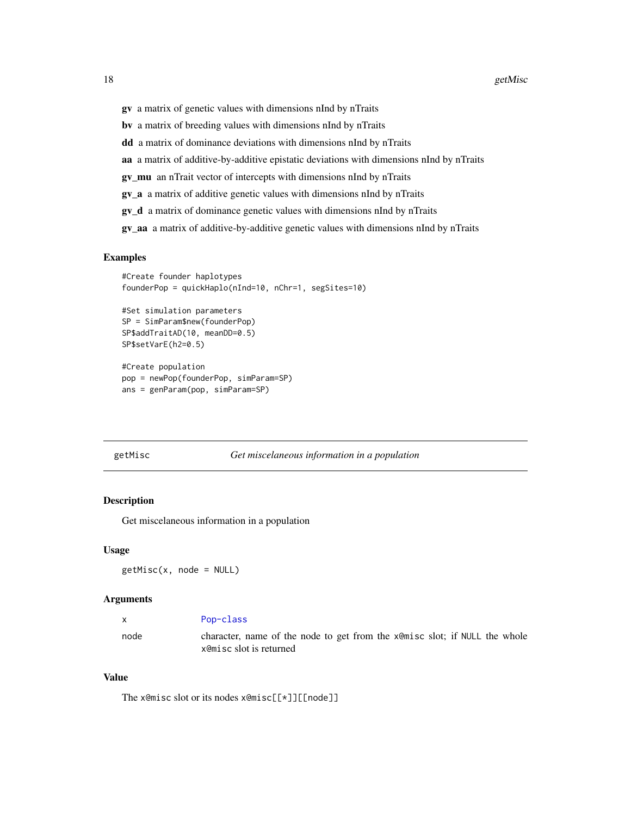- <span id="page-17-0"></span>gv a matrix of genetic values with dimensions nInd by nTraits
- bv a matrix of breeding values with dimensions nInd by nTraits
- dd a matrix of dominance deviations with dimensions nInd by nTraits
- aa a matrix of additive-by-additive epistatic deviations with dimensions nInd by nTraits
- gv\_mu an nTrait vector of intercepts with dimensions nInd by nTraits
- gv\_a a matrix of additive genetic values with dimensions nInd by nTraits
- gv\_d a matrix of dominance genetic values with dimensions nInd by nTraits
- gv\_aa a matrix of additive-by-additive genetic values with dimensions nInd by nTraits

#### Examples

```
#Create founder haplotypes
founderPop = quickHaplo(nInd=10, nChr=1, segSites=10)
```

```
#Set simulation parameters
SP = SimParam$new(founderPop)
SP$addTraitAD(10, meanDD=0.5)
SP$setVarE(h2=0.5)
```

```
#Create population
pop = newPop(founderPop, simParam=SP)
ans = genParam(pop, simParam=SP)
```
#### getMisc *Get miscelaneous information in a population*

#### Description

Get miscelaneous information in a population

# Usage

 $getMiss(x, node = NULL)$ 

#### Arguments

|      | Pop-class                                                                                             |
|------|-------------------------------------------------------------------------------------------------------|
| node | character, name of the node to get from the xemisc slot; if NULL the whole<br>x@misc slot is returned |

#### Value

The x@misc slot or its nodes x@misc[[\*]][[node]]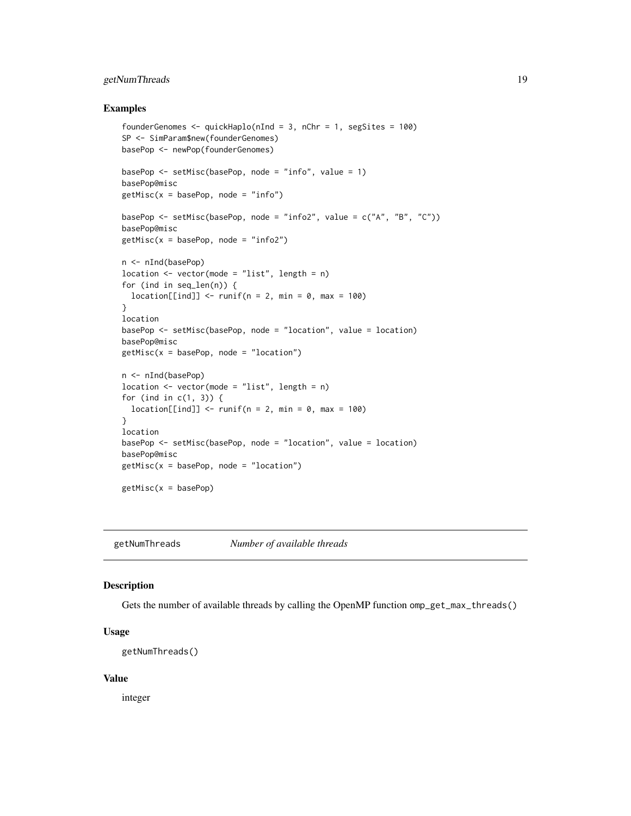# <span id="page-18-0"></span>getNumThreads 19

#### Examples

```
founderGenomes <- quickHaplo(nInd = 3, nChr = 1, segSites = 100)
SP <- SimParam$new(founderGenomes)
basePop <- newPop(founderGenomes)
basePop \leq setMisc(basePop, node = "info", value = 1)
basePop@misc
getMisc(x = basePop, node = "info")basePop <- setMisc(basePop, node = "info2", value = c("A", "B", "C"))
basePop@misc
getMisc(x = basePop, node = "info2")n <- nInd(basePop)
location \leq vector(mode = "list", length = n)
for (ind in seq_len(n)) {
  location[[ind]] \leftarrow runif(n = 2, min = 0, max = 100)}
location
basePop <- setMisc(basePop, node = "location", value = location)
basePop@misc
getMisc(x = basePop, node = "location")n <- nInd(basePop)
location \leq vector(mode = "list", length = n)
for (ind in c(1, 3)) {
  location[[ind]] \leq runif(n = 2, min = 0, max = 100)}
location
basePop <- setMisc(basePop, node = "location", value = location)
basePop@misc
getMisc(x = basePop, node = "location")getMisc(x = basePop)
```
getNumThreads *Number of available threads*

#### Description

Gets the number of available threads by calling the OpenMP function omp\_get\_max\_threads()

#### Usage

getNumThreads()

#### Value

integer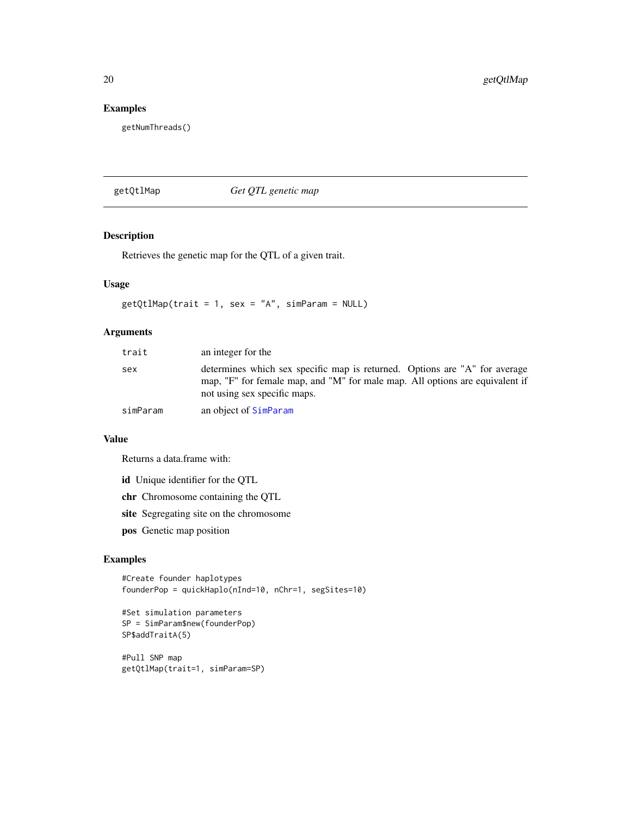# Examples

getNumThreads()

getQtlMap *Get QTL genetic map*

# Description

Retrieves the genetic map for the QTL of a given trait.

# Usage

 $getQtlmap(trait = 1, sex = "A", simParam = NULL)$ 

# Arguments

| trait    | an integer for the                                                                                                                                                                         |
|----------|--------------------------------------------------------------------------------------------------------------------------------------------------------------------------------------------|
| sex      | determines which sex specific map is returned. Options are "A" for average<br>map, "F" for female map, and "M" for male map. All options are equivalent if<br>not using sex specific maps. |
| simParam | an object of SimParam                                                                                                                                                                      |

#### Value

Returns a data.frame with:

id Unique identifier for the QTL

chr Chromosome containing the QTL

site Segregating site on the chromosome

pos Genetic map position

# Examples

```
#Create founder haplotypes
founderPop = quickHaplo(nInd=10, nChr=1, segSites=10)
```

```
#Set simulation parameters
SP = SimParam$new(founderPop)
SP$addTraitA(5)
```
#Pull SNP map getQtlMap(trait=1, simParam=SP)

<span id="page-19-0"></span>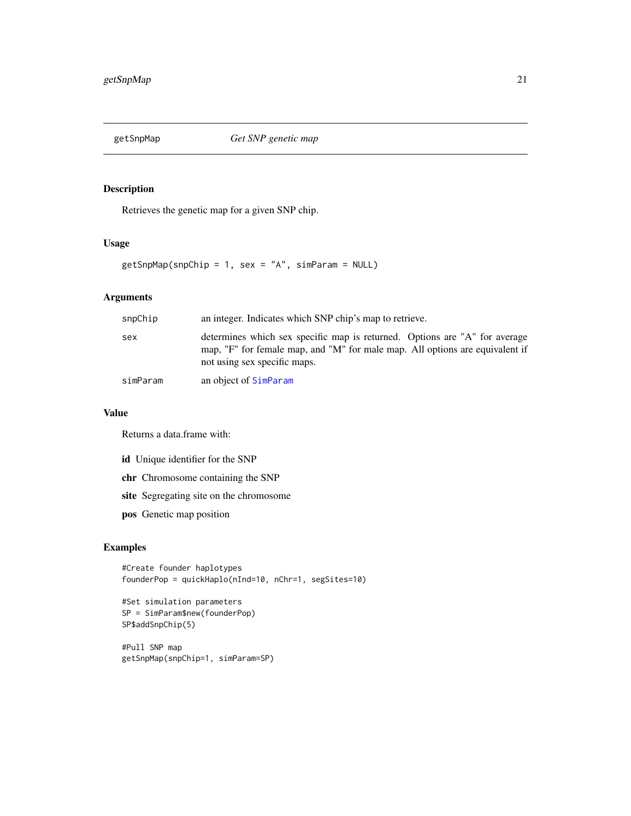<span id="page-20-0"></span>

Retrieves the genetic map for a given SNP chip.

# Usage

getSnpMap(snpChip = 1, sex = "A", simParam = NULL)

# Arguments

| snpChip  | an integer. Indicates which SNP chip's map to retrieve.                                                                                                                                    |  |
|----------|--------------------------------------------------------------------------------------------------------------------------------------------------------------------------------------------|--|
| sex      | determines which sex specific map is returned. Options are "A" for average<br>map, "F" for female map, and "M" for male map. All options are equivalent if<br>not using sex specific maps. |  |
| simParam | an object of SimParam                                                                                                                                                                      |  |

#### Value

Returns a data.frame with:

id Unique identifier for the SNP

chr Chromosome containing the SNP

site Segregating site on the chromosome

pos Genetic map position

# Examples

```
#Create founder haplotypes
founderPop = quickHaplo(nInd=10, nChr=1, segSites=10)
```

```
#Set simulation parameters
SP = SimParam$new(founderPop)
SP$addSnpChip(5)
```
#Pull SNP map getSnpMap(snpChip=1, simParam=SP)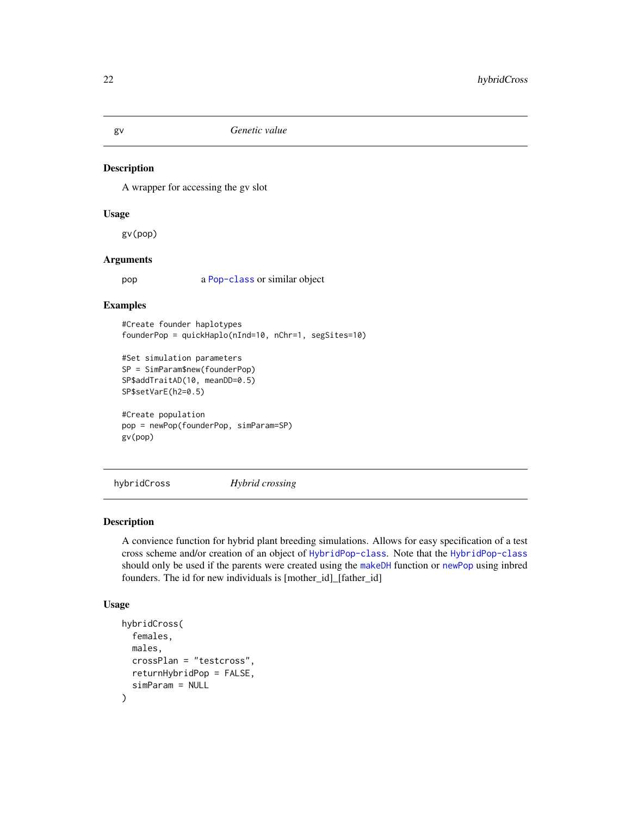<span id="page-21-0"></span>

A wrapper for accessing the gv slot

#### Usage

gv(pop)

# Arguments

pop a [Pop-class](#page-41-1) or similar object

# Examples

#Create founder haplotypes founderPop = quickHaplo(nInd=10, nChr=1, segSites=10)

```
#Set simulation parameters
SP = SimParam$new(founderPop)
SP$addTraitAD(10, meanDD=0.5)
SP$setVarE(h2=0.5)
```

```
#Create population
pop = newPop(founderPop, simParam=SP)
gv(pop)
```
hybridCross *Hybrid crossing*

#### Description

A convience function for hybrid plant breeding simulations. Allows for easy specification of a test cross scheme and/or creation of an object of [HybridPop-class](#page-22-1). Note that the [HybridPop-class](#page-22-1) should only be used if the parents were created using the [makeDH](#page-29-1) function or [newPop](#page-37-1) using inbred founders. The id for new individuals is [mother\_id]\_[father\_id]

#### Usage

```
hybridCross(
  females,
 males,
  crossPlan = "testcross",
  returnHybridPop = FALSE,
  simParam = NULL
)
```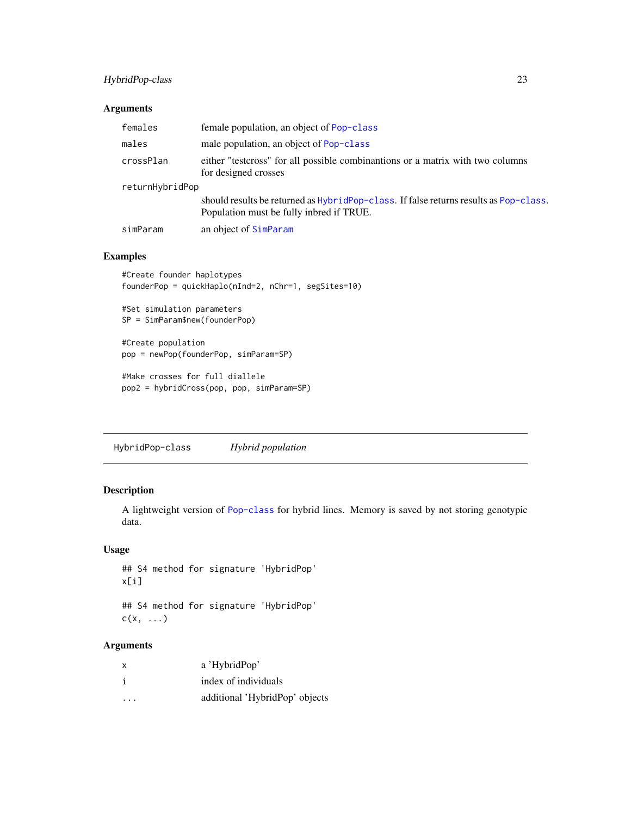# <span id="page-22-0"></span>HybridPop-class 23

#### Arguments

| females         | female population, an object of Pop-class                                                                                         |  |
|-----------------|-----------------------------------------------------------------------------------------------------------------------------------|--|
| males           | male population, an object of Pop-class                                                                                           |  |
| crossPlan       | either "test ross" for all possible combinantions or a matrix with two columns<br>for designed crosses                            |  |
| returnHybridPop |                                                                                                                                   |  |
|                 | should results be returned as HybridPop-class. If false returns results as Pop-class.<br>Population must be fully inbred if TRUE. |  |
| simParam        | an object of SimParam                                                                                                             |  |

# Examples

```
#Create founder haplotypes
founderPop = quickHaplo(nInd=2, nChr=1, segSites=10)
#Set simulation parameters
SP = SimParam$new(founderPop)
```
#Create population pop = newPop(founderPop, simParam=SP)

```
#Make crosses for full diallele
pop2 = hybridCross(pop, pop, simParam=SP)
```
<span id="page-22-1"></span>HybridPop-class *Hybrid population*

# Description

A lightweight version of [Pop-class](#page-41-1) for hybrid lines. Memory is saved by not storing genotypic data.

# Usage

```
## S4 method for signature 'HybridPop'
x[i]
```
## S4 method for signature 'HybridPop'  $c(x, \ldots)$ 

# Arguments

| $\boldsymbol{\mathsf{x}}$ | a 'HybridPop'                  |
|---------------------------|--------------------------------|
| i                         | index of individuals           |
| $\cdots$                  | additional 'HybridPop' objects |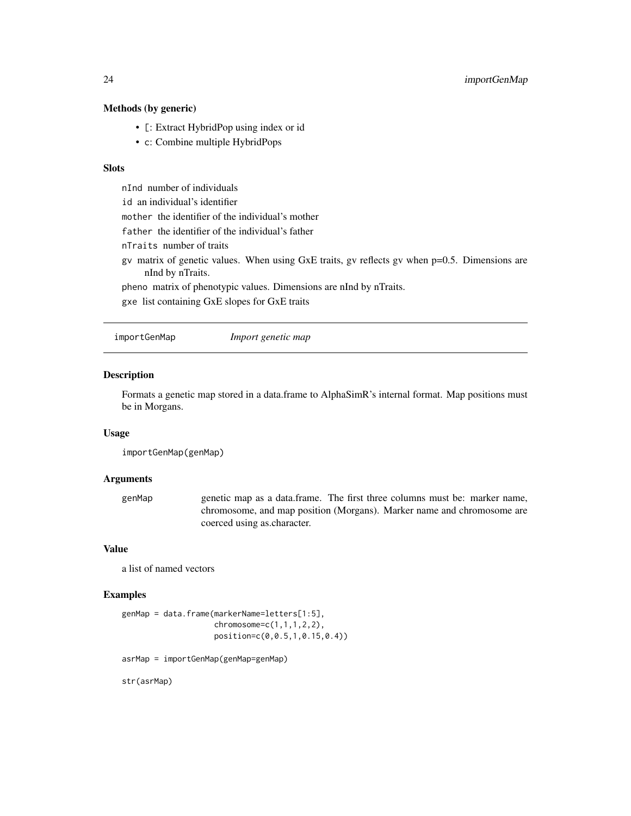# <span id="page-23-0"></span>Methods (by generic)

- [: Extract HybridPop using index or id
- c: Combine multiple HybridPops

# **Slots**

nInd number of individuals

id an individual's identifier

mother the identifier of the individual's mother

father the identifier of the individual's father

nTraits number of traits

gv matrix of genetic values. When using GxE traits, gv reflects gv when p=0.5. Dimensions are nInd by nTraits.

pheno matrix of phenotypic values. Dimensions are nInd by nTraits.

gxe list containing GxE slopes for GxE traits

<span id="page-23-1"></span>importGenMap *Import genetic map*

# Description

Formats a genetic map stored in a data.frame to AlphaSimR's internal format. Map positions must be in Morgans.

#### Usage

importGenMap(genMap)

#### Arguments

genMap genetic map as a data.frame. The first three columns must be: marker name, chromosome, and map position (Morgans). Marker name and chromosome are coerced using as.character.

#### Value

a list of named vectors

# Examples

```
genMap = data.frame(markerName=letters[1:5],
                    chromosome=c(1,1,1,2,2),
                    position=c(0,0.5,1,0.15,0.4))
```
asrMap = importGenMap(genMap=genMap)

str(asrMap)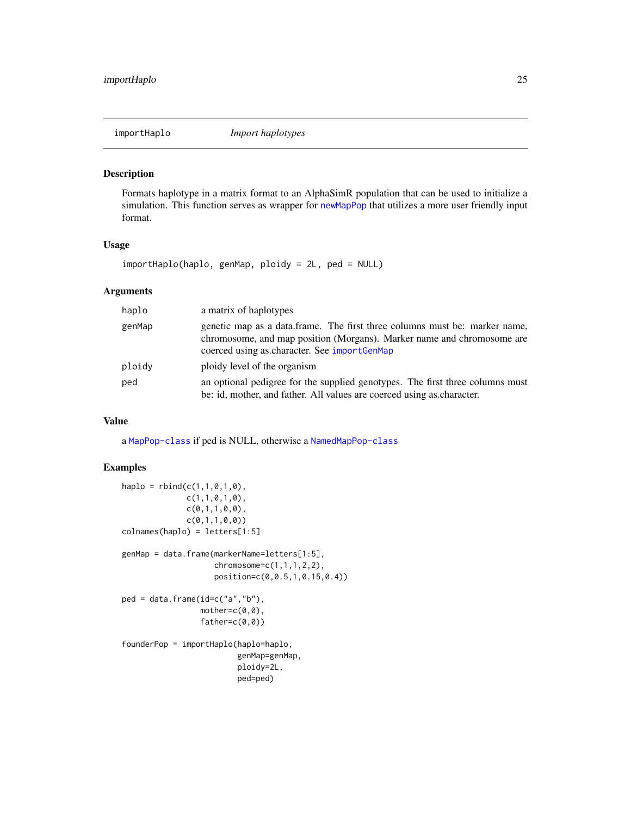<span id="page-24-0"></span>

Formats haplotype in a matrix format to an AlphaSimR population that can be used to initialize a simulation. This function serves as wrapper for [newMapPop](#page-36-1) that utilizes a more user friendly input format.

#### Usage

importHaplo(haplo, genMap, ploidy = 2L, ped = NULL)

## Arguments

| haplo  | a matrix of haplotypes                                                                                                                                                                               |  |
|--------|------------------------------------------------------------------------------------------------------------------------------------------------------------------------------------------------------|--|
| genMap | genetic map as a data.frame. The first three columns must be: marker name,<br>chromosome, and map position (Morgans). Marker name and chromosome are<br>coerced using as character. See importGenMap |  |
| ploidy | ploidy level of the organism                                                                                                                                                                         |  |
| ped    | an optional pedigree for the supplied genotypes. The first three columns must<br>be: id, mother, and father. All values are coerced using as character.                                              |  |

#### Value

a [MapPop-class](#page-30-1) if ped is NULL, otherwise a [NamedMapPop-class](#page-35-1)

```
haplo = rbind(c(1,1,0,1,0),c(1,1,0,1,0),
               c(\emptyset, 1, 1, \emptyset, \emptyset),
               c(0,1,1,0,0))
colnames(haplo) = letters[1:5]
genMap = data.frame(markerName=letters[1:5],
                      chromosome=c(1,1,1,2,2),
                      position=c(0,0.5,1,0.15,0.4))
ped = data.frame(id=c("a","b"),
                  mother=c(0,0),
                  father=c(0,0))
founderPop = importHaplo(haplo=haplo,
                           genMap=genMap,
                           ploidy=2L,
                           ped=ped)
```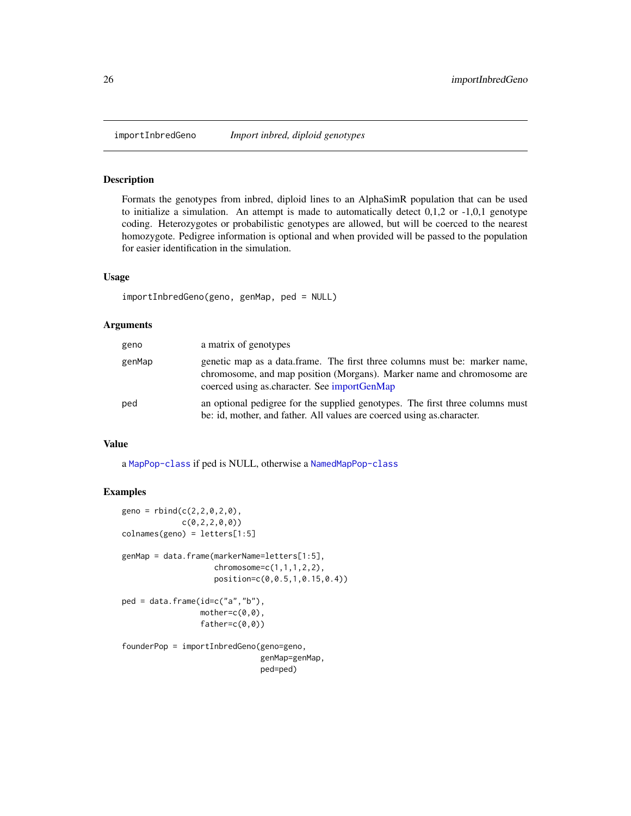<span id="page-25-0"></span>

Formats the genotypes from inbred, diploid lines to an AlphaSimR population that can be used to initialize a simulation. An attempt is made to automatically detect  $0,1,2$  or  $-1,0,1$  genotype coding. Heterozygotes or probabilistic genotypes are allowed, but will be coerced to the nearest homozygote. Pedigree information is optional and when provided will be passed to the population for easier identification in the simulation.

#### Usage

```
importInbredGeno(geno, genMap, ped = NULL)
```
#### Arguments

| geno   | a matrix of genotypes                                                                                                                                                                                |
|--------|------------------------------------------------------------------------------------------------------------------------------------------------------------------------------------------------------|
| genMap | genetic map as a data.frame. The first three columns must be: marker name,<br>chromosome, and map position (Morgans). Marker name and chromosome are<br>coerced using as character. See importGenMap |
| ped    | an optional pedigree for the supplied genotypes. The first three columns must<br>be: id, mother, and father. All values are coerced using as character.                                              |

#### Value

a [MapPop-class](#page-30-1) if ped is NULL, otherwise a [NamedMapPop-class](#page-35-1)

```
geno = rbind(c(2, 2, 0, 2, 0),c(0,2,2,0,0))
colnames(geno) = letters[1:5]
genMap = data.frame(markerName=letters[1:5],
                    chromosome=c(1,1,1,2,2),
                    position=c(0,0.5,1,0.15,0.4))
ped = data.frame(id=c("a","b"),
                 mother=c(0,0),
                 father=c(0,0))
founderPop = importInbredGeno(geno=geno,
                              genMap=genMap,
                              ped=ped)
```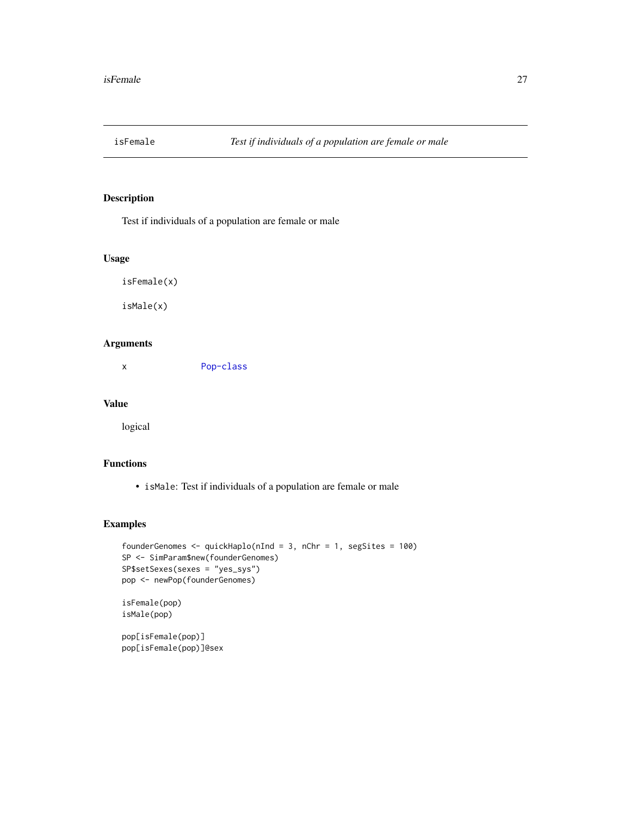<span id="page-26-0"></span>

Test if individuals of a population are female or male

#### Usage

```
isFemale(x)
```
isMale(x)

# Arguments

x [Pop-class](#page-41-1)

# Value

logical

# Functions

• isMale: Test if individuals of a population are female or male

```
founderGenomes <- quickHaplo(nInd = 3, nChr = 1, segSites = 100)
SP <- SimParam$new(founderGenomes)
SP$setSexes(sexes = "yes_sys")
pop <- newPop(founderGenomes)
isFemale(pop)
isMale(pop)
pop[isFemale(pop)]
pop[isFemale(pop)]@sex
```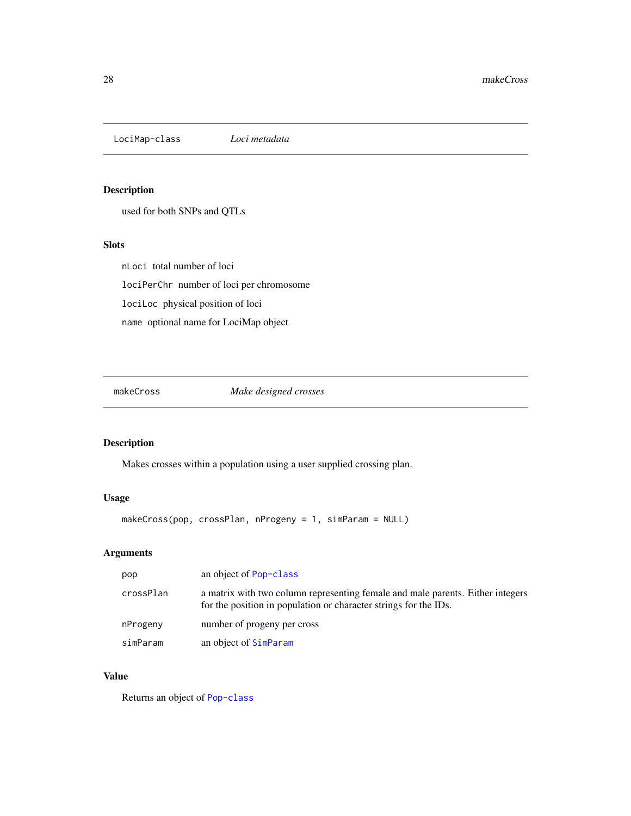<span id="page-27-0"></span>LociMap-class *Loci metadata*

# Description

used for both SNPs and QTLs

#### Slots

nLoci total number of loci lociPerChr number of loci per chromosome lociLoc physical position of loci name optional name for LociMap object

makeCross *Make designed crosses*

# Description

Makes crosses within a population using a user supplied crossing plan.

# Usage

```
makeCross(pop, crossPlan, nProgeny = 1, simParam = NULL)
```
# Arguments

| pop       | an object of Pop-class                                                                                                                             |
|-----------|----------------------------------------------------------------------------------------------------------------------------------------------------|
| crossPlan | a matrix with two column representing female and male parents. Either integers<br>for the position in population or character strings for the IDs. |
| nProgeny  | number of progeny per cross                                                                                                                        |
| simParam  | an object of SimParam                                                                                                                              |

# Value

Returns an object of [Pop-class](#page-41-1)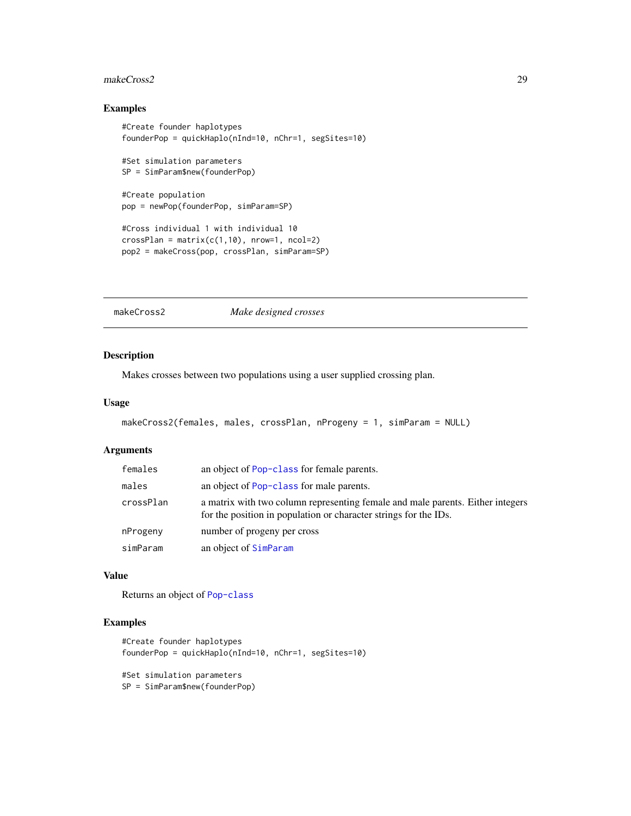#### <span id="page-28-0"></span>makeCross2 29

# Examples

```
#Create founder haplotypes
founderPop = quickHaplo(nInd=10, nChr=1, segSites=10)
#Set simulation parameters
SP = SimParam$new(founderPop)
#Create population
pop = newPop(founderPop, simParam=SP)
#Cross individual 1 with individual 10
crossPlan = matrix(c(1,10), nrow=1, ncol=2)pop2 = makeCross(pop, crossPlan, simParam=SP)
```
makeCross2 *Make designed crosses*

# Description

Makes crosses between two populations using a user supplied crossing plan.

#### Usage

```
makeCross2(females, males, crossPlan, nProgeny = 1, simParam = NULL)
```
### Arguments

| females   | an object of Pop-class for female parents.                                                                                                         |
|-----------|----------------------------------------------------------------------------------------------------------------------------------------------------|
| males     | an object of Pop-class for male parents.                                                                                                           |
| crossPlan | a matrix with two column representing female and male parents. Either integers<br>for the position in population or character strings for the IDs. |
| nProgeny  | number of progeny per cross                                                                                                                        |
| simParam  | an object of SimParam                                                                                                                              |

# Value

Returns an object of [Pop-class](#page-41-1)

# Examples

```
#Create founder haplotypes
founderPop = quickHaplo(nInd=10, nChr=1, segSites=10)
#Set simulation parameters
```
SP = SimParam\$new(founderPop)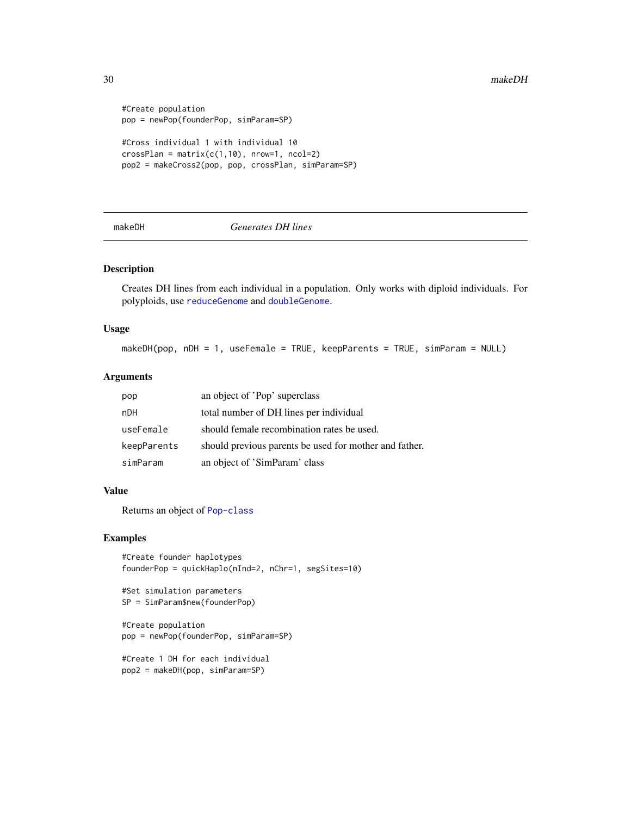```
#Create population
pop = newPop(founderPop, simParam=SP)
#Cross individual 1 with individual 10
crossPlan = matrix(c(1,10), nrow=1, ncol=2)pop2 = makeCross2(pop, pop, crossPlan, simParam=SP)
```
# <span id="page-29-1"></span>makeDH *Generates DH lines*

#### Description

Creates DH lines from each individual in a population. Only works with diploid individuals. For polyploids, use [reduceGenome](#page-55-1) and [doubleGenome](#page-8-1).

#### Usage

makeDH(pop, nDH = 1, useFemale = TRUE, keepParents = TRUE, simParam = NULL)

# Arguments

| pop         | an object of 'Pop' superclass                          |
|-------------|--------------------------------------------------------|
| nDH         | total number of DH lines per individual                |
| useFemale   | should female recombination rates be used.             |
| keepParents | should previous parents be used for mother and father. |
| simParam    | an object of 'SimParam' class                          |

#### Value

Returns an object of [Pop-class](#page-41-1)

#### Examples

```
#Create founder haplotypes
founderPop = quickHaplo(nInd=2, nChr=1, segSites=10)
```

```
#Set simulation parameters
SP = SimParam$new(founderPop)
```
#Create population pop = newPop(founderPop, simParam=SP)

```
#Create 1 DH for each individual
pop2 = makeDH(pop, simParam=SP)
```
<span id="page-29-0"></span>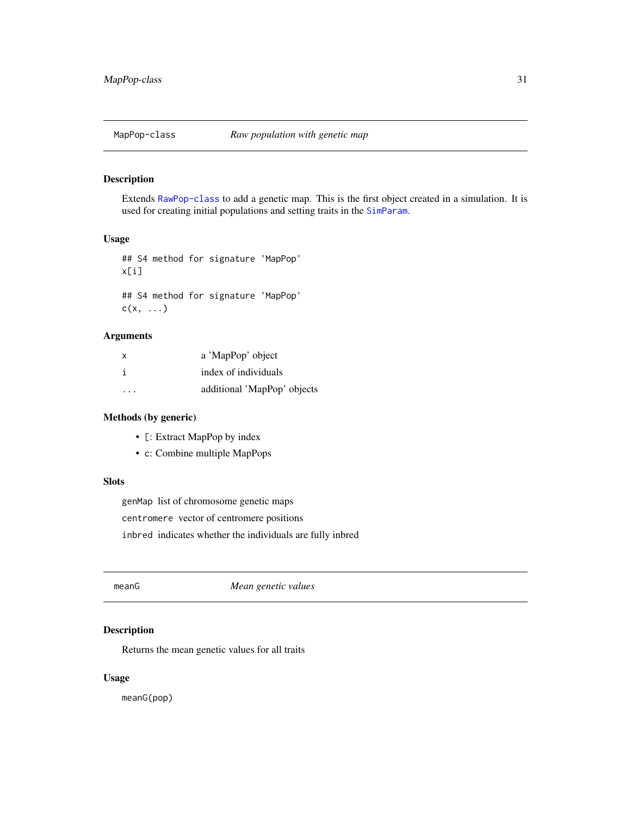<span id="page-30-1"></span><span id="page-30-0"></span>

Extends [RawPop-class](#page-54-1) to add a genetic map. This is the first object created in a simulation. It is used for creating initial populations and setting traits in the [SimParam](#page-89-1).

#### Usage

## S4 method for signature 'MapPop' x[i] ## S4 method for signature 'MapPop'  $c(x, \ldots)$ 

# Arguments

| X       | a 'MapPop' object           |
|---------|-----------------------------|
|         | index of individuals        |
| $\cdot$ | additional 'MapPop' objects |

# Methods (by generic)

- [: Extract MapPop by index
- c: Combine multiple MapPops

#### Slots

genMap list of chromosome genetic maps

centromere vector of centromere positions

inbred indicates whether the individuals are fully inbred

meanG *Mean genetic values*

# Description

Returns the mean genetic values for all traits

#### Usage

meanG(pop)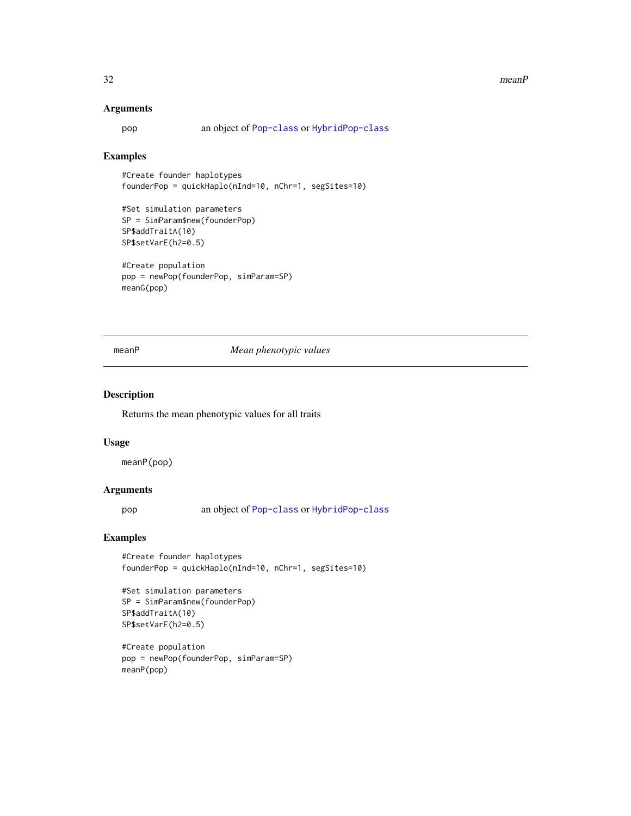#### <span id="page-31-0"></span>32 meanP

#### Arguments

pop an object of [Pop-class](#page-41-1) or [HybridPop-class](#page-22-1)

# Examples

#Create founder haplotypes founderPop = quickHaplo(nInd=10, nChr=1, segSites=10)

```
#Set simulation parameters
SP = SimParam$new(founderPop)
SP$addTraitA(10)
SP$setVarE(h2=0.5)
```

```
#Create population
pop = newPop(founderPop, simParam=SP)
meanG(pop)
```
#### meanP *Mean phenotypic values*

#### Description

Returns the mean phenotypic values for all traits

#### Usage

meanP(pop)

#### Arguments

pop an object of [Pop-class](#page-41-1) or [HybridPop-class](#page-22-1)

#### Examples

#Create founder haplotypes founderPop = quickHaplo(nInd=10, nChr=1, segSites=10)

```
#Set simulation parameters
SP = SimParam$new(founderPop)
SP$addTraitA(10)
SP$setVarE(h2=0.5)
```

```
#Create population
pop = newPop(founderPop, simParam=SP)
meanP(pop)
```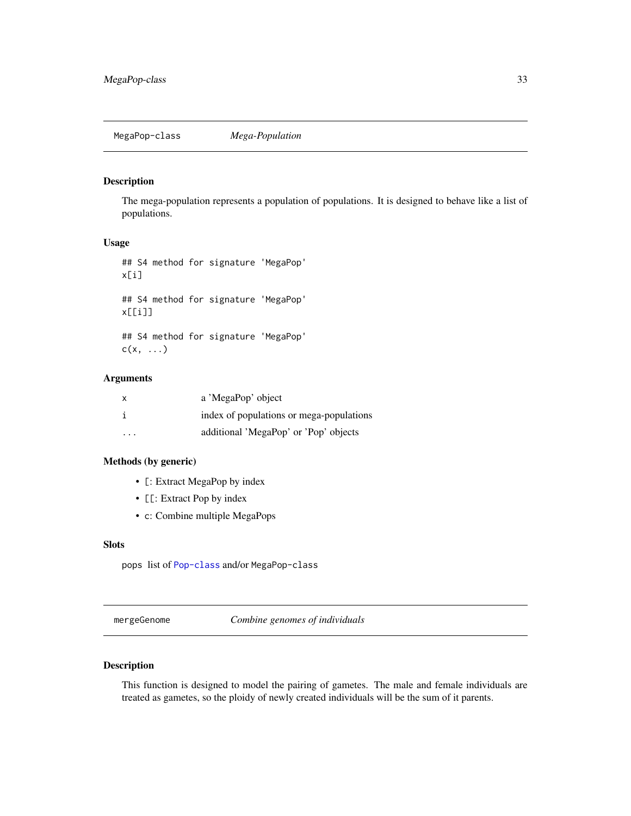<span id="page-32-1"></span><span id="page-32-0"></span>The mega-population represents a population of populations. It is designed to behave like a list of populations.

#### Usage

```
## S4 method for signature 'MegaPop'
x[i]
## S4 method for signature 'MegaPop'
x[[i]]
## S4 method for signature 'MegaPop'
c(x, \ldots)
```
#### Arguments

| X       | a 'MegaPop' object                       |
|---------|------------------------------------------|
|         | index of populations or mega-populations |
| $\cdot$ | additional 'MegaPop' or 'Pop' objects    |

#### Methods (by generic)

- [: Extract MegaPop by index
- [[: Extract Pop by index
- c: Combine multiple MegaPops

# Slots

pops list of [Pop-class](#page-41-1) and/or MegaPop-class

mergeGenome *Combine genomes of individuals*

# Description

This function is designed to model the pairing of gametes. The male and female individuals are treated as gametes, so the ploidy of newly created individuals will be the sum of it parents.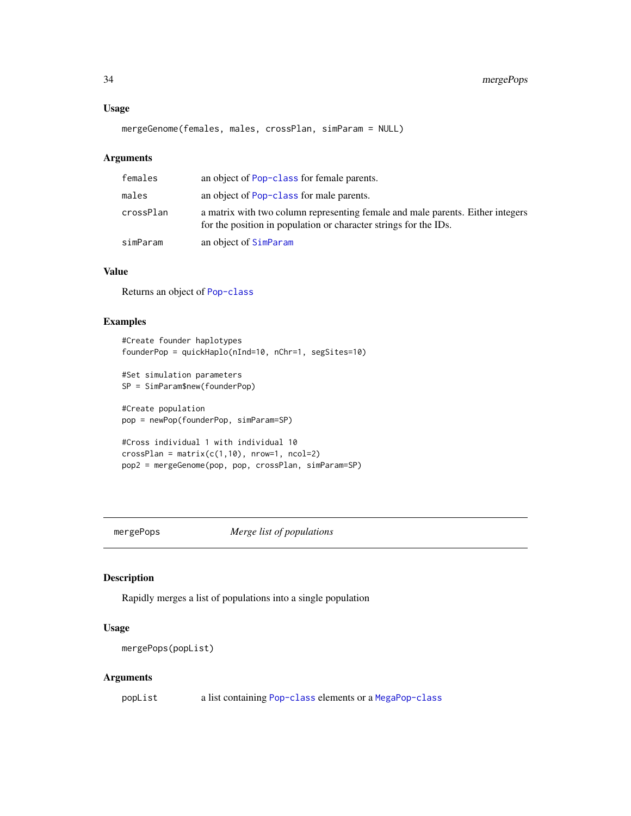# <span id="page-33-0"></span>Usage

```
mergeGenome(females, males, crossPlan, simParam = NULL)
```
# Arguments

| females   | an object of Pop-class for female parents.                                                                                                         |
|-----------|----------------------------------------------------------------------------------------------------------------------------------------------------|
| males     | an object of Pop-class for male parents.                                                                                                           |
| crossPlan | a matrix with two column representing female and male parents. Either integers<br>for the position in population or character strings for the IDs. |
| simParam  | an object of SimParam                                                                                                                              |

# Value

Returns an object of [Pop-class](#page-41-1)

#### Examples

```
#Create founder haplotypes
founderPop = quickHaplo(nInd=10, nChr=1, segSites=10)
#Set simulation parameters
SP = SimParam$new(founderPop)
#Create population
pop = newPop(founderPop, simParam=SP)
```

```
#Cross individual 1 with individual 10
crossPlan = matrix(c(1,10), nrow=1, ncol=2)pop2 = mergeGenome(pop, pop, crossPlan, simParam=SP)
```
mergePops *Merge list of populations*

# Description

Rapidly merges a list of populations into a single population

# Usage

mergePops(popList)

#### Arguments

popList a list containing [Pop-class](#page-41-1) elements or a [MegaPop-class](#page-32-1)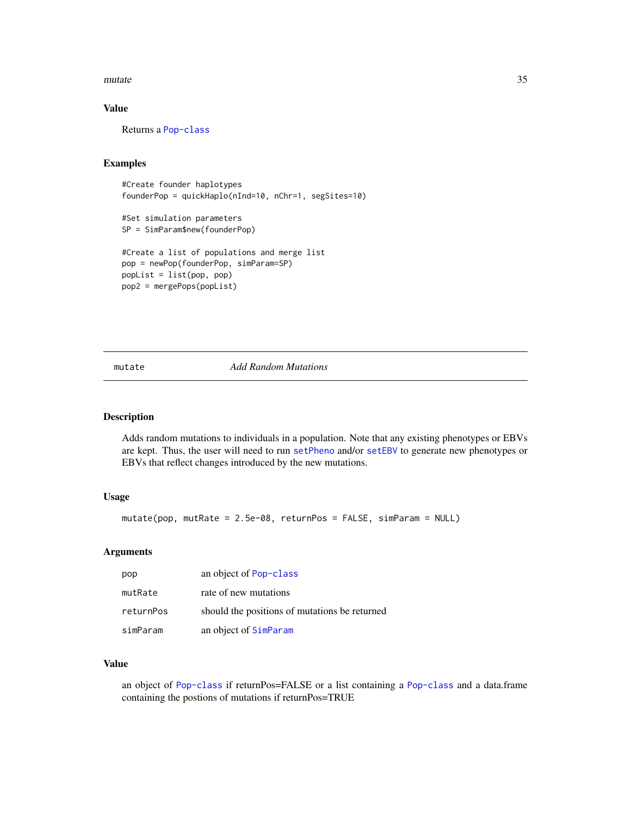#### <span id="page-34-0"></span>mutate 35

# Value

Returns a [Pop-class](#page-41-1)

# Examples

```
#Create founder haplotypes
founderPop = quickHaplo(nInd=10, nChr=1, segSites=10)
```

```
#Set simulation parameters
SP = SimParam$new(founderPop)
```

```
#Create a list of populations and merge list
pop = newPop(founderPop, simParam=SP)
popList = list(pop, pop)
pop2 = mergePops(popList)
```
#### mutate *Add Random Mutations*

# Description

Adds random mutations to individuals in a population. Note that any existing phenotypes or EBVs are kept. Thus, the user will need to run [setPheno](#page-84-1) and/or [setEBV](#page-82-1) to generate new phenotypes or EBVs that reflect changes introduced by the new mutations.

#### Usage

```
mutate(pop, mutRate = 2.5e-08, returnPos = FALSE, simParam = NULL)
```
#### Arguments

| pop       | an object of Pop-class                        |
|-----------|-----------------------------------------------|
| mutRate   | rate of new mutations                         |
| returnPos | should the positions of mutations be returned |
| simParam  | an object of SimParam                         |

# Value

an object of [Pop-class](#page-41-1) if returnPos=FALSE or a list containing a [Pop-class](#page-41-1) and a data.frame containing the postions of mutations if returnPos=TRUE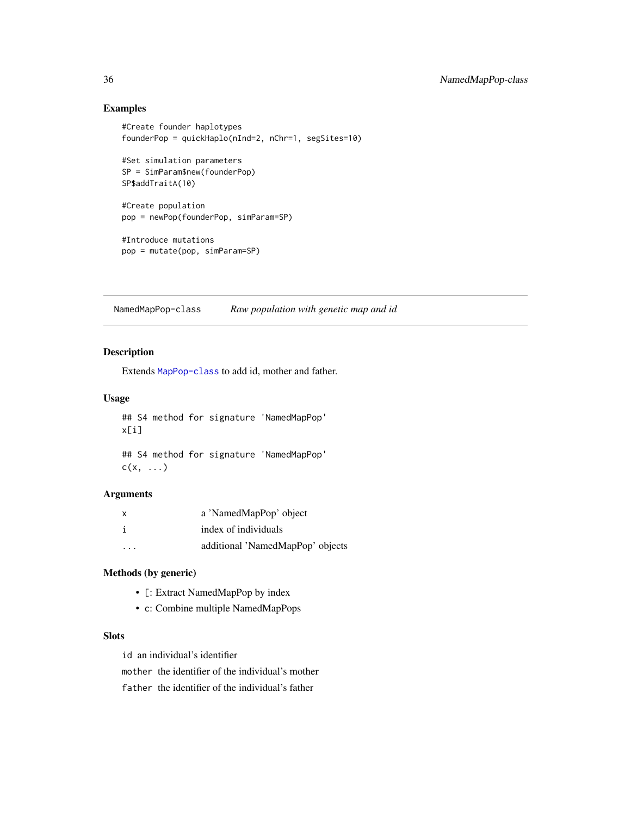# Examples

```
#Create founder haplotypes
founderPop = quickHaplo(nInd=2, nChr=1, segSites=10)
#Set simulation parameters
SP = SimParam$new(founderPop)
SP$addTraitA(10)
#Create population
pop = newPop(founderPop, simParam=SP)
#Introduce mutations
pop = mutate(pop, simParam=SP)
```
<span id="page-35-1"></span>NamedMapPop-class *Raw population with genetic map and id*

# Description

Extends [MapPop-class](#page-30-1) to add id, mother and father.

#### Usage

```
## S4 method for signature 'NamedMapPop'
x[i]
```

```
## S4 method for signature 'NamedMapPop'
c(x, \ldots)
```
#### Arguments

| x | a 'NamedMapPop' object           |
|---|----------------------------------|
|   | index of individuals             |
| . | additional 'NamedMapPop' objects |

# Methods (by generic)

- [: Extract NamedMapPop by index
- c: Combine multiple NamedMapPops

# Slots

id an individual's identifier

mother the identifier of the individual's mother

father the identifier of the individual's father

<span id="page-35-0"></span>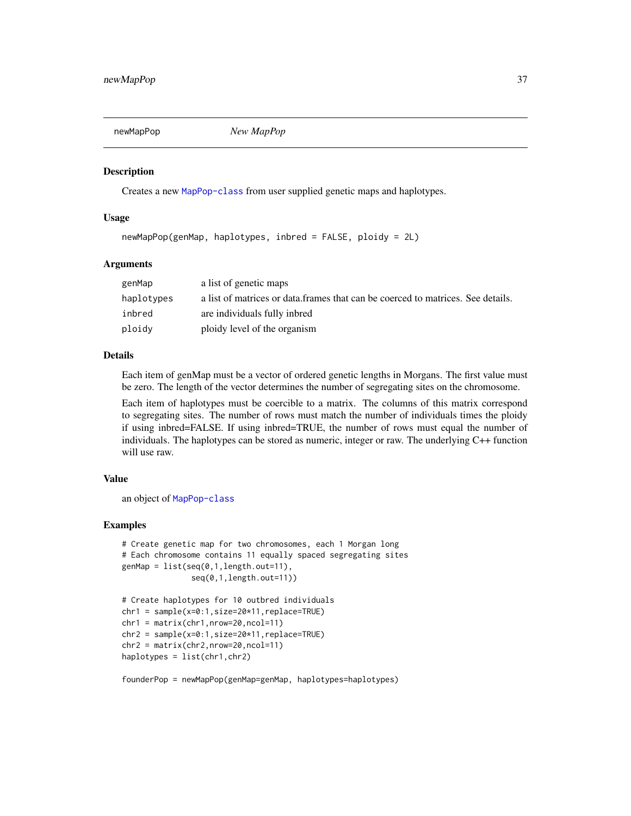<span id="page-36-0"></span>

Creates a new [MapPop-class](#page-30-0) from user supplied genetic maps and haplotypes.

### Usage

```
newMapPop(genMap, haplotypes, inbred = FALSE, ploidy = 2L)
```
### Arguments

| genMap     | a list of genetic maps                                                          |
|------------|---------------------------------------------------------------------------------|
| haplotypes | a list of matrices or data frames that can be coerced to matrices. See details. |
| inbred     | are individuals fully inbred                                                    |
| ploidy     | ploidy level of the organism                                                    |

### Details

Each item of genMap must be a vector of ordered genetic lengths in Morgans. The first value must be zero. The length of the vector determines the number of segregating sites on the chromosome.

Each item of haplotypes must be coercible to a matrix. The columns of this matrix correspond to segregating sites. The number of rows must match the number of individuals times the ploidy if using inbred=FALSE. If using inbred=TRUE, the number of rows must equal the number of individuals. The haplotypes can be stored as numeric, integer or raw. The underlying C++ function will use raw.

### Value

an object of [MapPop-class](#page-30-0)

### Examples

```
# Create genetic map for two chromosomes, each 1 Morgan long
# Each chromosome contains 11 equally spaced segregating sites
genMap = list(seq(0,1,length.out=11),
              seq(0,1,length.out=11))
# Create haplotypes for 10 outbred individuals
```

```
chr1 = sample(x=0:1,size=20*11,replace=TRUE)
chr1 = matrix(chr1, nrow=20, ncol=11)chr2 = sample(x=0:1,size=20*11,replace=TRUE)
chr2 = matrix(chr2,nrow=20,ncol=11)
haplotypes = list(chr1,chr2)
```
founderPop = newMapPop(genMap=genMap, haplotypes=haplotypes)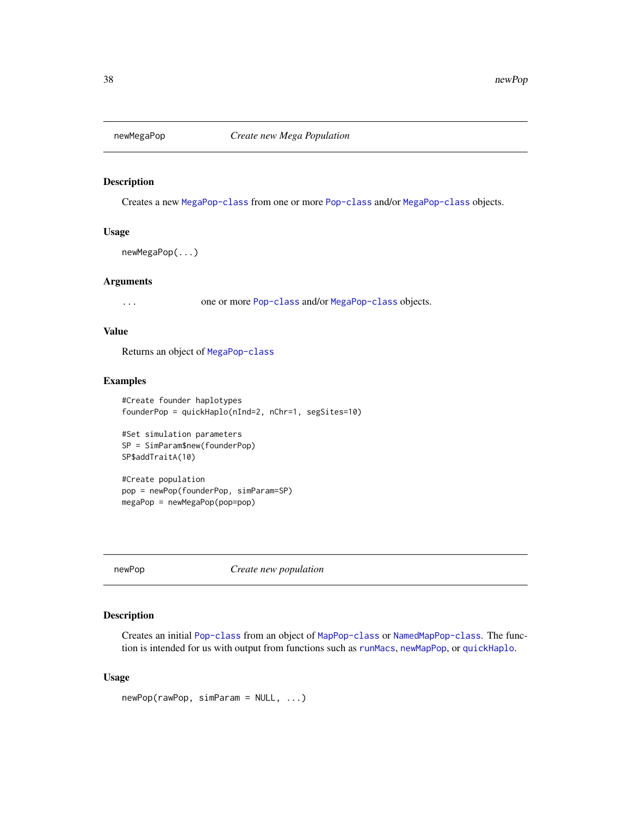Creates a new [MegaPop-class](#page-32-0) from one or more [Pop-class](#page-41-0) and/or [MegaPop-class](#page-32-0) objects.

### Usage

```
newMegaPop(...)
```
### Arguments

... one or more [Pop-class](#page-41-0) and/or [MegaPop-class](#page-32-0) objects.

### Value

Returns an object of [MegaPop-class](#page-32-0)

### Examples

```
#Create founder haplotypes
founderPop = quickHaplo(nInd=2, nChr=1, segSites=10)
```

```
#Set simulation parameters
SP = SimParam$new(founderPop)
SP$addTraitA(10)
```
#Create population pop = newPop(founderPop, simParam=SP) megaPop = newMegaPop(pop=pop)

newPop *Create new population*

## Description

Creates an initial [Pop-class](#page-41-0) from an object of [MapPop-class](#page-30-0) or [NamedMapPop-class](#page-35-0). The function is intended for us with output from functions such as [runMacs](#page-70-0), [newMapPop](#page-36-0), or [quickHaplo](#page-51-0).

#### Usage

newPop(rawPop, simParam = NULL, ...)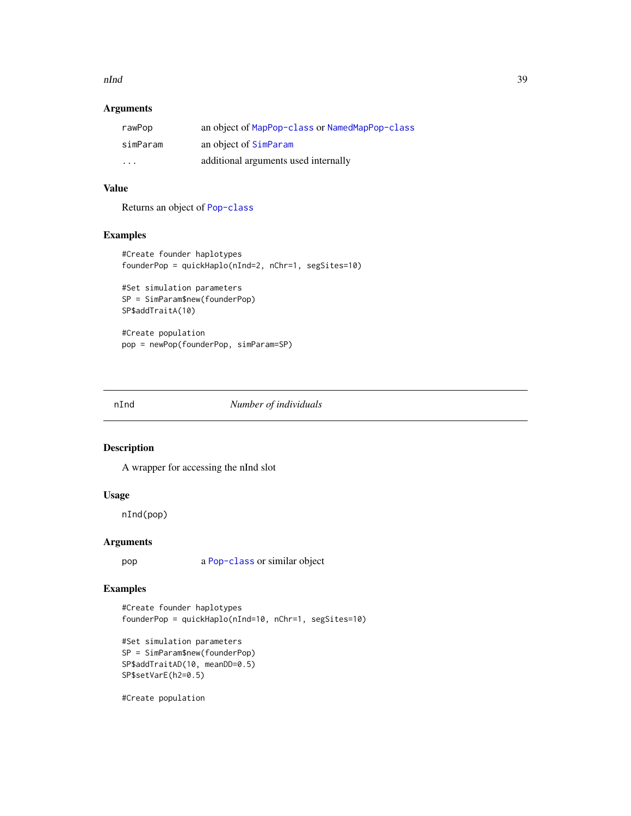#### nInd 39

## Arguments

| rawPop   | an object of MapPop-class or NamedMapPop-class |
|----------|------------------------------------------------|
| simParam | an object of SimParam                          |
| .        | additional arguments used internally           |

## Value

Returns an object of [Pop-class](#page-41-0)

## Examples

```
#Create founder haplotypes
founderPop = quickHaplo(nInd=2, nChr=1, segSites=10)
```

```
#Set simulation parameters
SP = SimParam$new(founderPop)
SP$addTraitA(10)
```
#Create population pop = newPop(founderPop, simParam=SP)

#### nInd *Number of individuals*

## Description

A wrapper for accessing the nInd slot

#### Usage

nInd(pop)

## Arguments

pop a [Pop-class](#page-41-0) or similar object

## Examples

#Create founder haplotypes founderPop = quickHaplo(nInd=10, nChr=1, segSites=10)

```
#Set simulation parameters
SP = SimParam$new(founderPop)
SP$addTraitAD(10, meanDD=0.5)
SP$setVarE(h2=0.5)
```
#Create population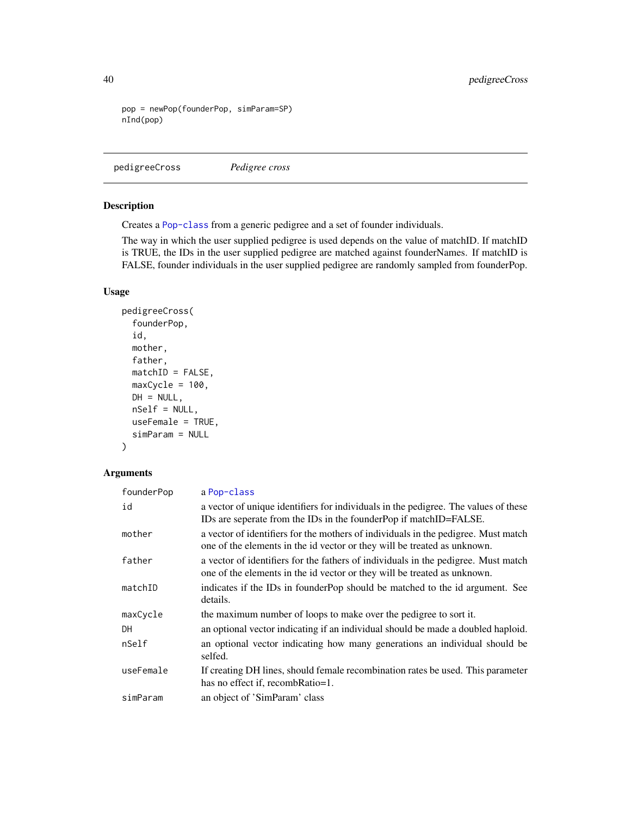```
pop = newPop(founderPop, simParam=SP)
nInd(pop)
```
pedigreeCross *Pedigree cross*

## Description

Creates a [Pop-class](#page-41-0) from a generic pedigree and a set of founder individuals.

The way in which the user supplied pedigree is used depends on the value of matchID. If matchID is TRUE, the IDs in the user supplied pedigree are matched against founderNames. If matchID is FALSE, founder individuals in the user supplied pedigree are randomly sampled from founderPop.

## Usage

```
pedigreeCross(
  founderPop,
  id,
  mother,
  father,
  matchID = FALSE,maxCycle = 100,
 DH = NULL,nSelf = NULL,
  useFemale = TRUE,
  simParam = NULL
)
```
#### Arguments

| founderPop | a Pop-class                                                                                                                                                    |
|------------|----------------------------------------------------------------------------------------------------------------------------------------------------------------|
| id         | a vector of unique identifiers for individuals in the pedigree. The values of these<br>IDs are seperate from the IDs in the founderPop if matchID=FALSE.       |
| mother     | a vector of identifiers for the mothers of individuals in the pedigree. Must match<br>one of the elements in the id vector or they will be treated as unknown. |
| father     | a vector of identifiers for the fathers of individuals in the pedigree. Must match<br>one of the elements in the id vector or they will be treated as unknown. |
| matchID    | indicates if the IDs in founder Pop should be matched to the id argument. See<br>details.                                                                      |
| maxCycle   | the maximum number of loops to make over the pedigree to sort it.                                                                                              |
| DH         | an optional vector indicating if an individual should be made a doubled hapooid.                                                                               |
| nSelf      | an optional vector indicating how many generations an individual should be<br>selfed.                                                                          |
| useFemale  | If creating DH lines, should female recombination rates be used. This parameter<br>has no effect if, recombRatio=1.                                            |
| simParam   | an object of 'SimParam' class                                                                                                                                  |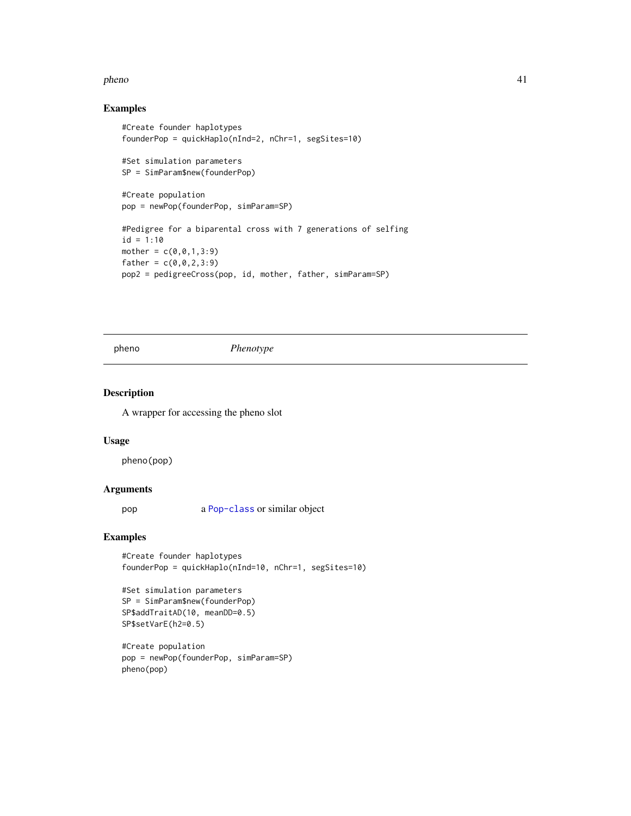#### pheno 41

## Examples

```
#Create founder haplotypes
founderPop = quickHaplo(nInd=2, nChr=1, segSites=10)
#Set simulation parameters
SP = SimParam$new(founderPop)
#Create population
pop = newPop(founderPop, simParam=SP)
#Pedigree for a biparental cross with 7 generations of selfing
id = 1:10mother = c(0, 0, 1, 3:9)father = c(0, 0, 2, 3:9)pop2 = pedigreeCross(pop, id, mother, father, simParam=SP)
```
pheno *Phenotype*

### Description

A wrapper for accessing the pheno slot

### Usage

pheno(pop)

#### Arguments

pop a [Pop-class](#page-41-0) or similar object

### Examples

#Create founder haplotypes founderPop = quickHaplo(nInd=10, nChr=1, segSites=10)

```
#Set simulation parameters
SP = SimParam$new(founderPop)
SP$addTraitAD(10, meanDD=0.5)
SP$setVarE(h2=0.5)
```

```
#Create population
pop = newPop(founderPop, simParam=SP)
pheno(pop)
```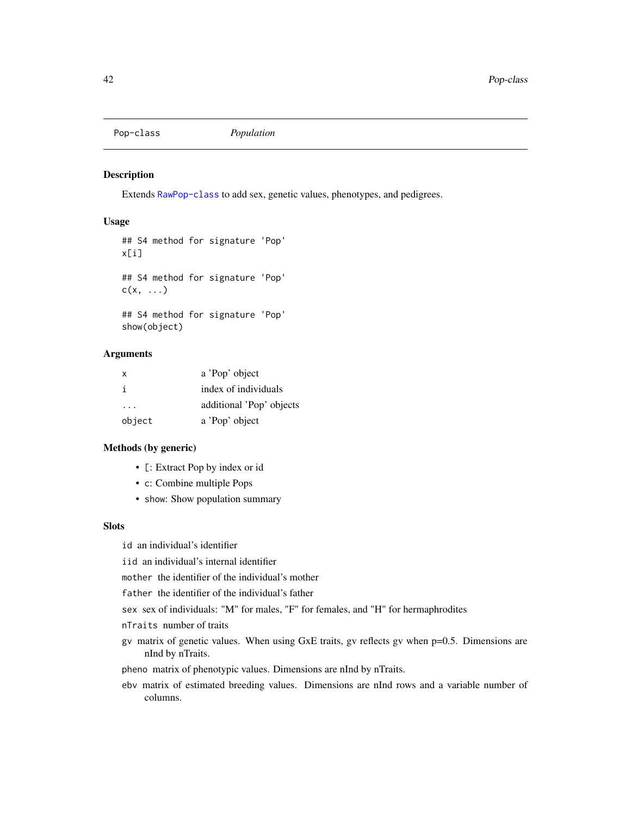<span id="page-41-0"></span>Pop-class *Population*

## Description

Extends [RawPop-class](#page-54-0) to add sex, genetic values, phenotypes, and pedigrees.

## Usage

```
## S4 method for signature 'Pop'
x[i]
## S4 method for signature 'Pop'
c(x, \ldots)## S4 method for signature 'Pop'
show(object)
```
### Arguments

| X            | a 'Pop' object           |
|--------------|--------------------------|
| $\mathbf{i}$ | index of individuals     |
| .            | additional 'Pop' objects |
| object       | a 'Pop' object           |

## Methods (by generic)

- [: Extract Pop by index or id
- c: Combine multiple Pops
- show: Show population summary

## **Slots**

id an individual's identifier

iid an individual's internal identifier

mother the identifier of the individual's mother

father the identifier of the individual's father

sex sex of individuals: "M" for males, "F" for females, and "H" for hermaphrodites

nTraits number of traits

gv matrix of genetic values. When using GxE traits, gv reflects gv when p=0.5. Dimensions are nInd by nTraits.

pheno matrix of phenotypic values. Dimensions are nInd by nTraits.

ebv matrix of estimated breeding values. Dimensions are nInd rows and a variable number of columns.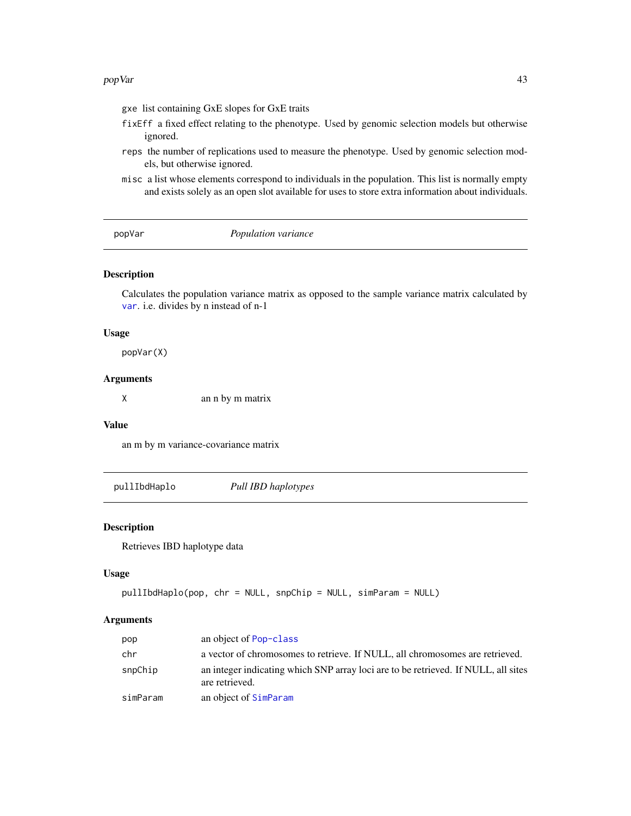#### popVar 43

- gxe list containing GxE slopes for GxE traits
- fixEff a fixed effect relating to the phenotype. Used by genomic selection models but otherwise ignored.
- reps the number of replications used to measure the phenotype. Used by genomic selection models, but otherwise ignored.
- misc a list whose elements correspond to individuals in the population. This list is normally empty and exists solely as an open slot available for uses to store extra information about individuals.

popVar *Population variance*

### Description

Calculates the population variance matrix as opposed to the sample variance matrix calculated by [var](#page-0-0). i.e. divides by n instead of n-1

### Usage

popVar(X)

## Arguments

X an n by m matrix

## Value

an m by m variance-covariance matrix

pullIbdHaplo *Pull IBD haplotypes*

## Description

Retrieves IBD haplotype data

### Usage

```
pullIbdHaplo(pop, chr = NULL, snpChip = NULL, simParam = NULL)
```
#### Arguments

| pop      | an object of Pop-class                                                                               |
|----------|------------------------------------------------------------------------------------------------------|
| chr      | a vector of chromosomes to retrieve. If NULL, all chromosomes are retrieved.                         |
| snpChip  | an integer indicating which SNP array loci are to be retrieved. If NULL, all sites<br>are retrieved. |
| simParam | an object of SimParam                                                                                |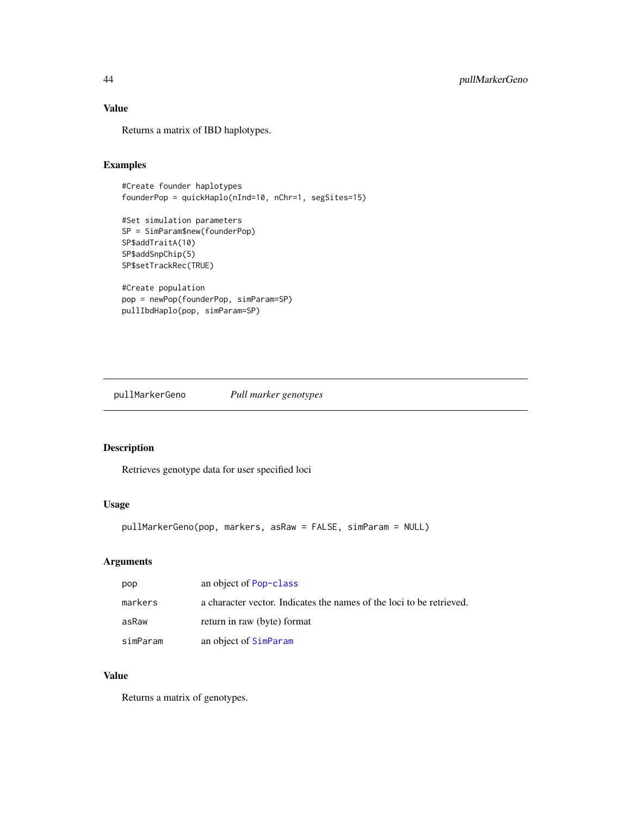## Value

Returns a matrix of IBD haplotypes.

## Examples

```
#Create founder haplotypes
founderPop = quickHaplo(nInd=10, nChr=1, segSites=15)
#Set simulation parameters
SP = SimParam$new(founderPop)
SP$addTraitA(10)
SP$addSnpChip(5)
SP$setTrackRec(TRUE)
```

```
#Create population
pop = newPop(founderPop, simParam=SP)
pullIbdHaplo(pop, simParam=SP)
```
pullMarkerGeno *Pull marker genotypes*

## Description

Retrieves genotype data for user specified loci

## Usage

```
pullMarkerGeno(pop, markers, asRaw = FALSE, simParam = NULL)
```
## Arguments

| pop      | an object of Pop-class                                               |
|----------|----------------------------------------------------------------------|
| markers  | a character vector. Indicates the names of the loci to be retrieved. |
| asRaw    | return in raw (byte) format                                          |
| simParam | an object of SimParam                                                |

# Value

Returns a matrix of genotypes.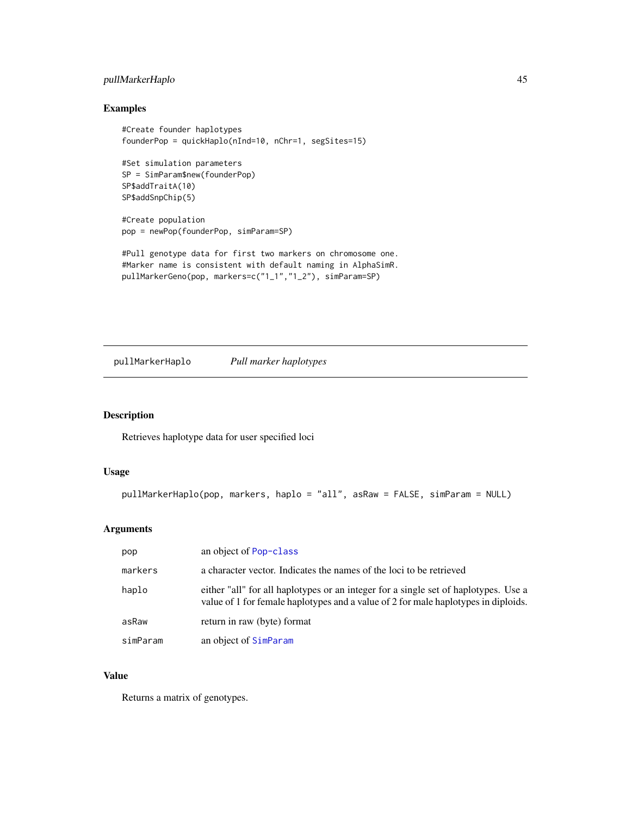## pullMarkerHaplo 45

## Examples

```
#Create founder haplotypes
founderPop = quickHaplo(nInd=10, nChr=1, segSites=15)
#Set simulation parameters
SP = SimParam$new(founderPop)
SP$addTraitA(10)
SP$addSnpChip(5)
#Create population
pop = newPop(founderPop, simParam=SP)
#Pull genotype data for first two markers on chromosome one.
```

```
#Marker name is consistent with default naming in AlphaSimR.
pullMarkerGeno(pop, markers=c("1_1","1_2"), simParam=SP)
```
pullMarkerHaplo *Pull marker haplotypes*

### Description

Retrieves haplotype data for user specified loci

## Usage

```
pullMarkerHaplo(pop, markers, haplo = "all", asRaw = FALSE, simParam = NULL)
```
### Arguments

| pop      | an object of Pop-class                                                                                                                                                    |
|----------|---------------------------------------------------------------------------------------------------------------------------------------------------------------------------|
| markers  | a character vector. Indicates the names of the loci to be retrieved                                                                                                       |
| haplo    | either "all" for all haplotypes or an integer for a single set of haplotypes. Use a<br>value of 1 for female haplotypes and a value of 2 for male haplotypes in diploids. |
| asRaw    | return in raw (byte) format                                                                                                                                               |
| simParam | an object of SimParam                                                                                                                                                     |

## Value

Returns a matrix of genotypes.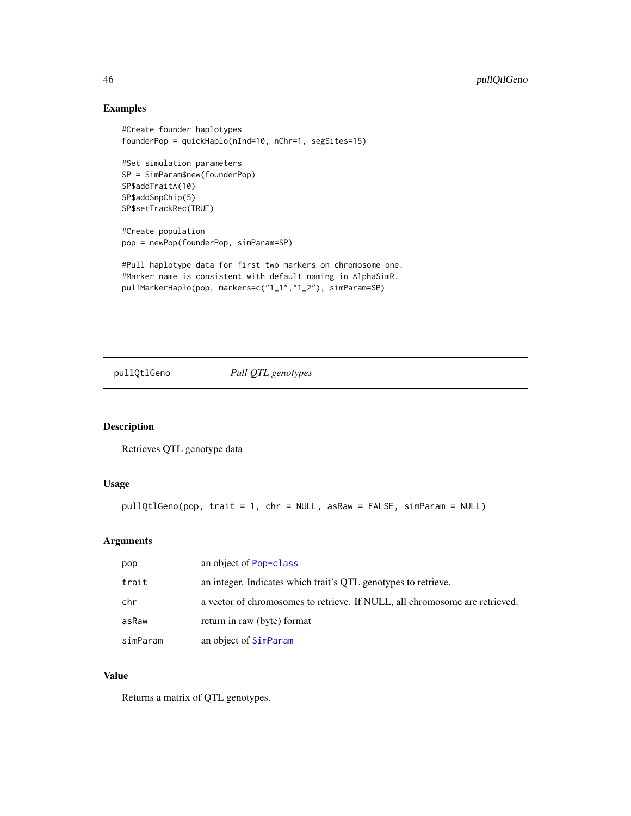## Examples

```
#Create founder haplotypes
founderPop = quickHaplo(nInd=10, nChr=1, segSites=15)
#Set simulation parameters
SP = SimParam$new(founderPop)
SP$addTraitA(10)
SP$addSnpChip(5)
SP$setTrackRec(TRUE)
#Create population
pop = newPop(founderPop, simParam=SP)
```

```
#Pull haplotype data for first two markers on chromosome one.
#Marker name is consistent with default naming in AlphaSimR.
pullMarkerHaplo(pop, markers=c("1_1","1_2"), simParam=SP)
```

```
pullQtlGeno Pull QTL genotypes
```
### Description

Retrieves QTL genotype data

### Usage

```
pullQtlGeno(pop, trait = 1, chr = NULL, asRaw = FALSE, simParam = NULL)
```
## Arguments

| pop      | an object of Pop-class                                                      |
|----------|-----------------------------------------------------------------------------|
| trait    | an integer. Indicates which trait's QTL genotypes to retrieve.              |
| chr      | a vector of chromosomes to retrieve. If NULL, all chromosome are retrieved. |
| asRaw    | return in raw (byte) format                                                 |
| simParam | an object of SimParam                                                       |

# Value

Returns a matrix of QTL genotypes.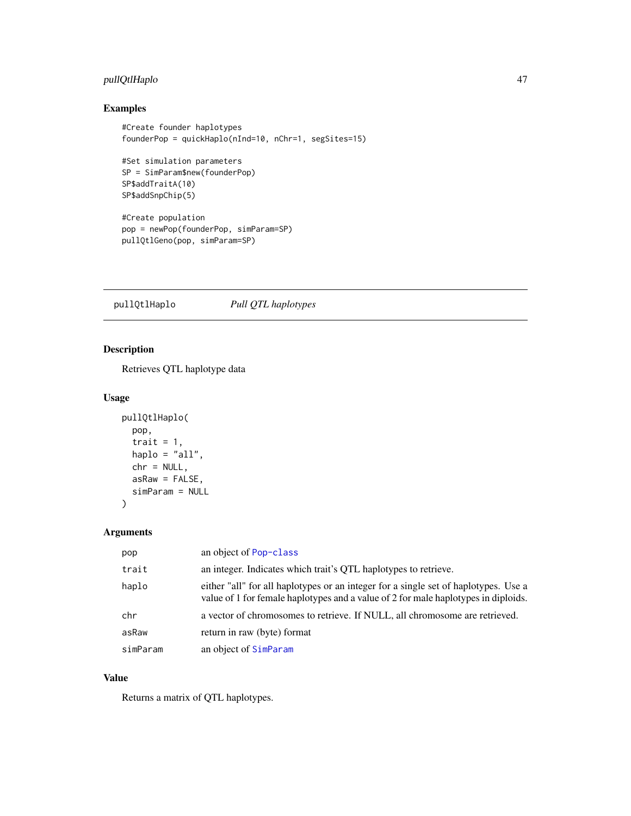## pullQtlHaplo 47

# Examples

```
#Create founder haplotypes
founderPop = quickHaplo(nInd=10, nChr=1, segSites=15)
#Set simulation parameters
SP = SimParam$new(founderPop)
SP$addTraitA(10)
SP$addSnpChip(5)
#Create population
pop = newPop(founderPop, simParam=SP)
pullQtlGeno(pop, simParam=SP)
```
pullQtlHaplo *Pull QTL haplotypes*

## Description

Retrieves QTL haplotype data

## Usage

```
pullQtlHaplo(
  pop,
  trait = 1,
  haplo = "all",chr = NULL,asRaw = FALSE,
  simParam = NULL
\mathcal{E}
```
## Arguments

| pop      | an object of Pop-class                                                                                                                                                    |
|----------|---------------------------------------------------------------------------------------------------------------------------------------------------------------------------|
| trait    | an integer. Indicates which trait's QTL haplotypes to retrieve.                                                                                                           |
| haplo    | either "all" for all haplotypes or an integer for a single set of haplotypes. Use a<br>value of 1 for female haplotypes and a value of 2 for male haplotypes in diploids. |
| chr      | a vector of chromosomes to retrieve. If NULL, all chromosome are retrieved.                                                                                               |
| asRaw    | return in raw (byte) format                                                                                                                                               |
| simParam | an object of SimParam                                                                                                                                                     |

## Value

Returns a matrix of QTL haplotypes.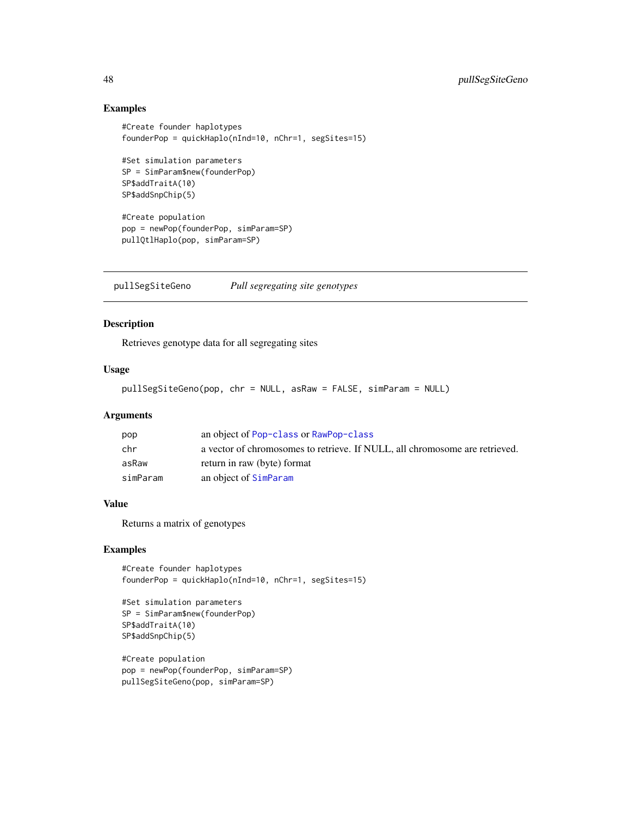### Examples

```
#Create founder haplotypes
founderPop = quickHaplo(nInd=10, nChr=1, segSites=15)
#Set simulation parameters
SP = SimParam$new(founderPop)
SP$addTraitA(10)
SP$addSnpChip(5)
#Create population
pop = newPop(founderPop, simParam=SP)
pullQtlHaplo(pop, simParam=SP)
```
pullSegSiteGeno *Pull segregating site genotypes*

## Description

Retrieves genotype data for all segregating sites

### Usage

```
pullSegSiteGeno(pop, chr = NULL, asRaw = FALSE, simParam = NULL)
```
### Arguments

| pop      | an object of Pop-class or RawPop-class                                      |
|----------|-----------------------------------------------------------------------------|
| chr      | a vector of chromosomes to retrieve. If NULL, all chromosome are retrieved. |
| asRaw    | return in raw (byte) format                                                 |
| simParam | an object of SimParam                                                       |

## Value

Returns a matrix of genotypes

```
#Create founder haplotypes
founderPop = quickHaplo(nInd=10, nChr=1, segSites=15)
```

```
#Set simulation parameters
SP = SimParam$new(founderPop)
SP$addTraitA(10)
SP$addSnpChip(5)
```

```
#Create population
pop = newPop(founderPop, simParam=SP)
pullSegSiteGeno(pop, simParam=SP)
```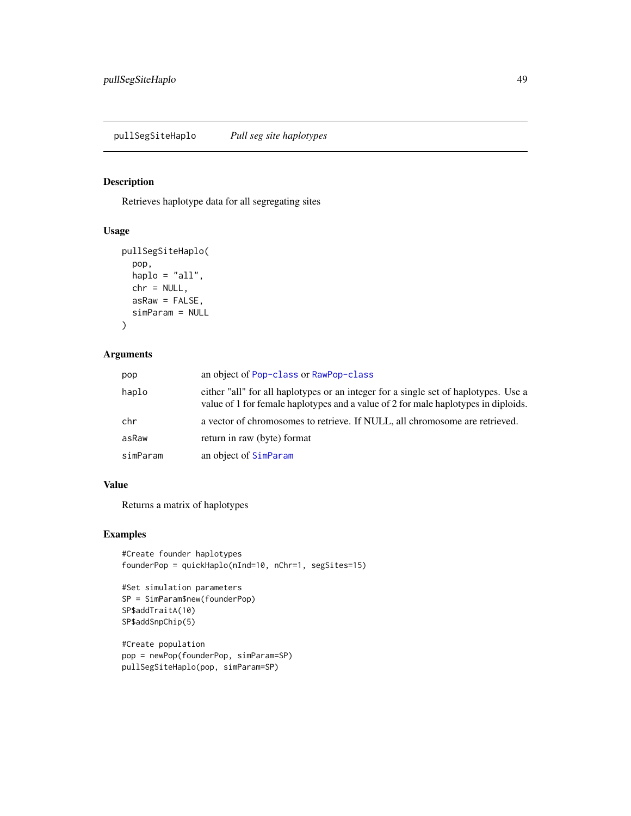Retrieves haplotype data for all segregating sites

#### Usage

```
pullSegSiteHaplo(
  pop,
  haplo = "all",chr = NULL,
  asRaw = FALSE,
  simParam = NULL
)
```
## Arguments

| pop      | an object of Pop-class or RawPop-class                                                                                                                                    |
|----------|---------------------------------------------------------------------------------------------------------------------------------------------------------------------------|
| haplo    | either "all" for all haplotypes or an integer for a single set of haplotypes. Use a<br>value of 1 for female haplotypes and a value of 2 for male haplotypes in diploids. |
| chr      | a vector of chromosomes to retrieve. If NULL, all chromosome are retrieved.                                                                                               |
| asRaw    | return in raw (byte) format                                                                                                                                               |
| simParam | an object of SimParam                                                                                                                                                     |

## Value

Returns a matrix of haplotypes

```
#Create founder haplotypes
founderPop = quickHaplo(nInd=10, nChr=1, segSites=15)
```

```
#Set simulation parameters
SP = SimParam$new(founderPop)
SP$addTraitA(10)
SP$addSnpChip(5)
```

```
#Create population
pop = newPop(founderPop, simParam=SP)
pullSegSiteHaplo(pop, simParam=SP)
```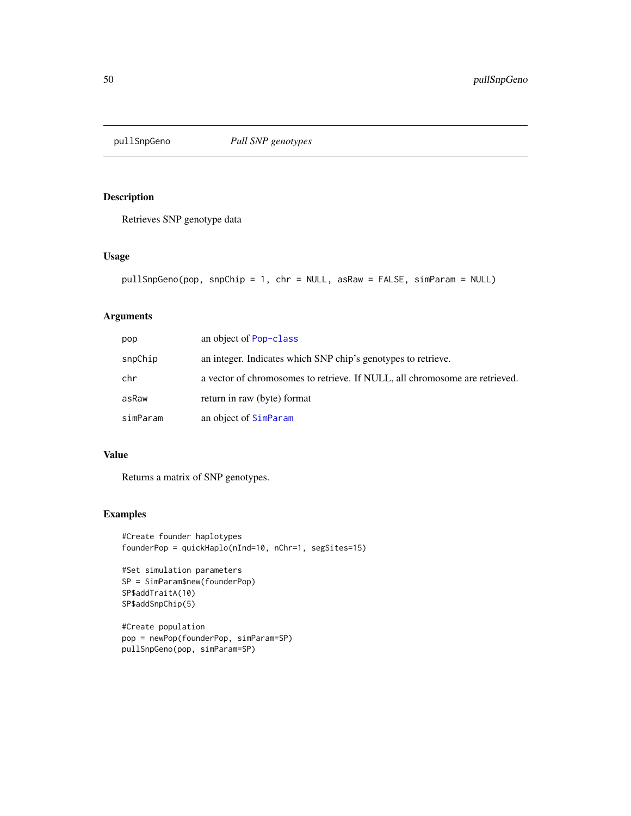Retrieves SNP genotype data

### Usage

```
pullSnpGeno(pop, snpChip = 1, chr = NULL, asRaw = FALSE, simParam = NULL)
```
## Arguments

| pop      | an object of Pop-class                                                      |
|----------|-----------------------------------------------------------------------------|
| snpChip  | an integer. Indicates which SNP chip's genotypes to retrieve.               |
| chr      | a vector of chromosomes to retrieve. If NULL, all chromosome are retrieved. |
| asRaw    | return in raw (byte) format                                                 |
| simParam | an object of SimParam                                                       |

## Value

Returns a matrix of SNP genotypes.

```
#Create founder haplotypes
founderPop = quickHaplo(nInd=10, nChr=1, segSites=15)
```

```
#Set simulation parameters
SP = SimParam$new(founderPop)
SP$addTraitA(10)
SP$addSnpChip(5)
```

```
#Create population
pop = newPop(founderPop, simParam=SP)
pullSnpGeno(pop, simParam=SP)
```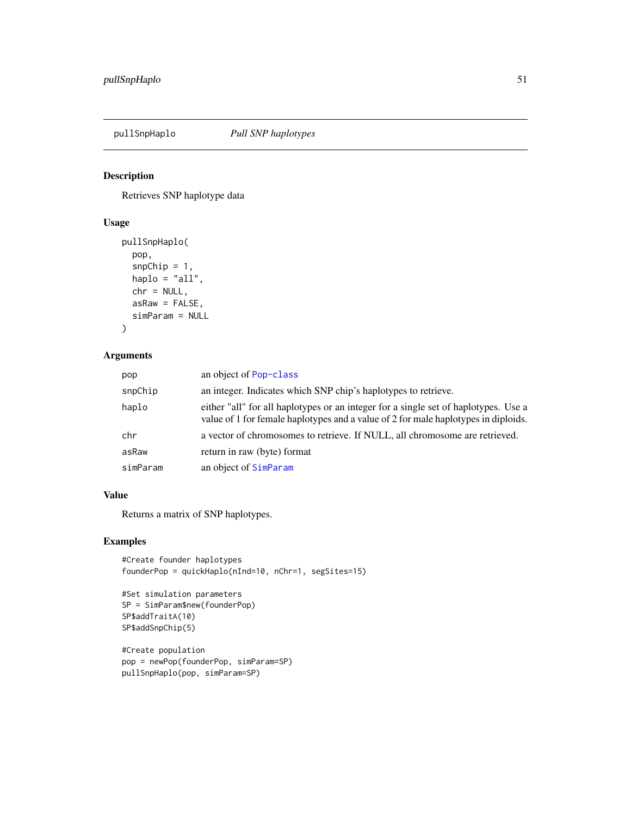Retrieves SNP haplotype data

## Usage

```
pullSnpHaplo(
  pop,
  snpChip = 1,
 haplo = "all",chr = NULL,asRaw = FALSE,
  simParam = NULL
)
```
## Arguments

| pop      | an object of Pop-class                                                                                                                                                    |
|----------|---------------------------------------------------------------------------------------------------------------------------------------------------------------------------|
| snpChip  | an integer. Indicates which SNP chip's haplotypes to retrieve.                                                                                                            |
| haplo    | either "all" for all haplotypes or an integer for a single set of haplotypes. Use a<br>value of 1 for female haplotypes and a value of 2 for male haplotypes in diploids. |
| chr      | a vector of chromosomes to retrieve. If NULL, all chromosome are retrieved.                                                                                               |
| asRaw    | return in raw (byte) format                                                                                                                                               |
| simParam | an object of SimParam                                                                                                                                                     |

### Value

Returns a matrix of SNP haplotypes.

## Examples

```
#Create founder haplotypes
founderPop = quickHaplo(nInd=10, nChr=1, segSites=15)
```

```
#Set simulation parameters
SP = SimParam$new(founderPop)
SP$addTraitA(10)
SP$addSnpChip(5)
```
#Create population pop = newPop(founderPop, simParam=SP) pullSnpHaplo(pop, simParam=SP)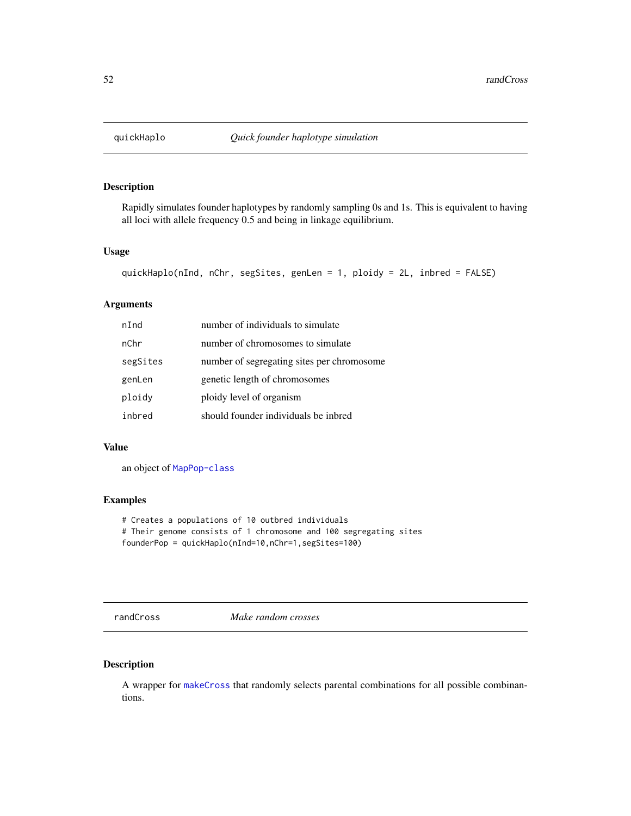<span id="page-51-0"></span>

Rapidly simulates founder haplotypes by randomly sampling 0s and 1s. This is equivalent to having all loci with allele frequency 0.5 and being in linkage equilibrium.

### Usage

```
quickHaplo(nInd, nChr, segSites, genLen = 1, ploidy = 2L, inbred = FALSE)
```
#### Arguments

| nInd     | number of individuals to simulate          |
|----------|--------------------------------------------|
| nChr     | number of chromosomes to simulate          |
| segSites | number of segregating sites per chromosome |
| genLen   | genetic length of chromosomes              |
| ploidy   | ploidy level of organism                   |
| inbred   | should founder individuals be inbred       |

### Value

an object of [MapPop-class](#page-30-0)

## Examples

# Creates a populations of 10 outbred individuals # Their genome consists of 1 chromosome and 100 segregating sites founderPop = quickHaplo(nInd=10,nChr=1,segSites=100)

randCross *Make random crosses*

## Description

A wrapper for [makeCross](#page-27-0) that randomly selects parental combinations for all possible combinantions.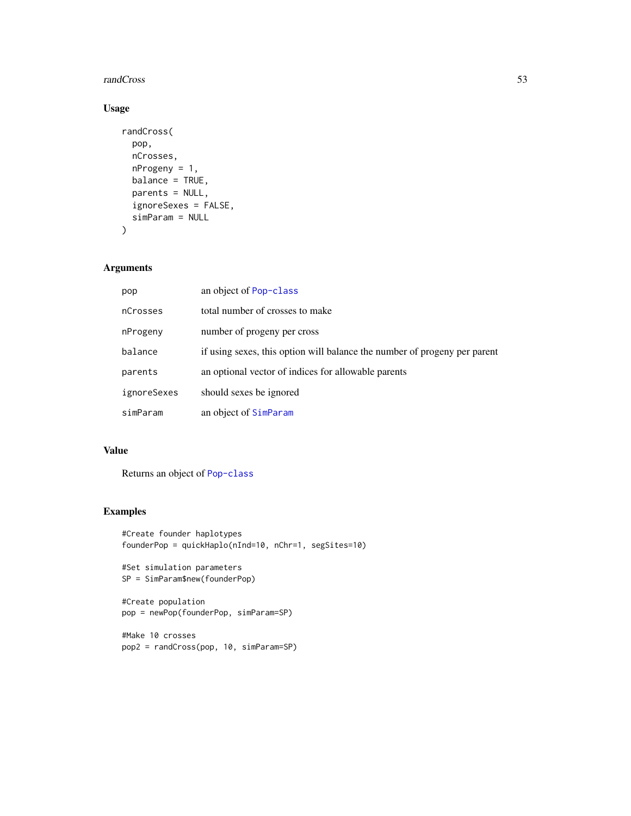#### **randCross** 53

## Usage

```
randCross(
 pop,
 nCrosses,
 nProgeny = 1,
 balance = TRUE,
 parents = NULL,
  ignoreSexes = FALSE,
  simParam = NULL
)
```
## Arguments

| pop         | an object of Pop-class                                                    |
|-------------|---------------------------------------------------------------------------|
| nCrosses    | total number of crosses to make                                           |
| nProgeny    | number of progeny per cross                                               |
| balance     | if using sexes, this option will balance the number of progeny per parent |
| parents     | an optional vector of indices for allowable parents                       |
| ignoreSexes | should sexes be ignored                                                   |
| simParam    | an object of SimParam                                                     |

## Value

Returns an object of [Pop-class](#page-41-0)

```
#Create founder haplotypes
founderPop = quickHaplo(nInd=10, nChr=1, segSites=10)
```

```
#Set simulation parameters
SP = SimParam$new(founderPop)
```

```
#Create population
pop = newPop(founderPop, simParam=SP)
```

```
#Make 10 crosses
pop2 = randCross(pop, 10, simParam=SP)
```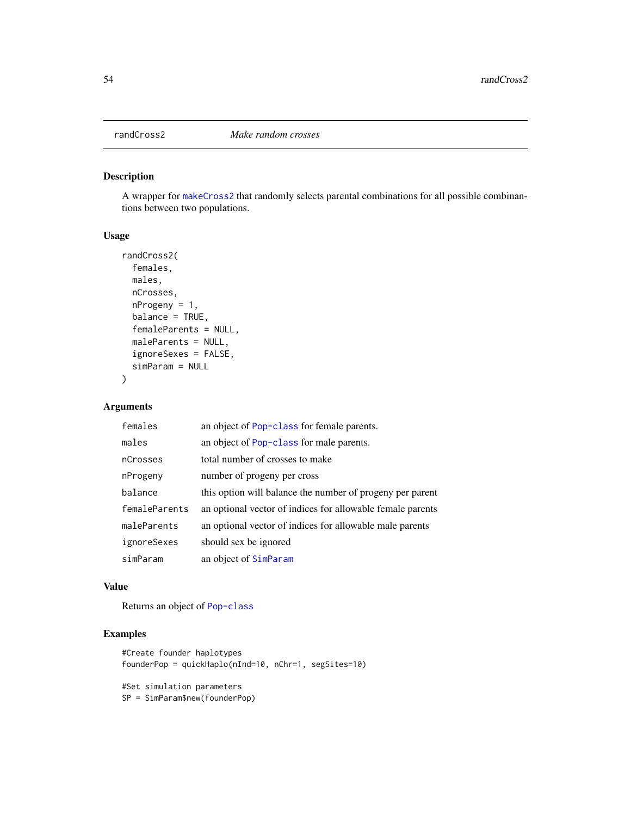A wrapper for [makeCross2](#page-28-0) that randomly selects parental combinations for all possible combinantions between two populations.

#### Usage

```
randCross2(
  females,
 males,
 nCrosses,
 nProgeny = 1,
 balance = TRUE,
 femaleParents = NULL,
 maleParents = NULL,
 ignoreSexes = FALSE,
 simParam = NULL
)
```
## Arguments

| females       | an object of Pop-class for female parents.                 |
|---------------|------------------------------------------------------------|
| males         | an object of Pop-class for male parents.                   |
| nCrosses      | total number of crosses to make                            |
| nProgeny      | number of progeny per cross                                |
| balance       | this option will balance the number of progeny per parent  |
| femaleParents | an optional vector of indices for allowable female parents |
| maleParents   | an optional vector of indices for allowable male parents   |
| ignoreSexes   | should sex be ignored                                      |
| simParam      | an object of SimParam                                      |

#### Value

Returns an object of [Pop-class](#page-41-0)

```
#Create founder haplotypes
founderPop = quickHaplo(nInd=10, nChr=1, segSites=10)
#Set simulation parameters
SP = SimParam$new(founderPop)
```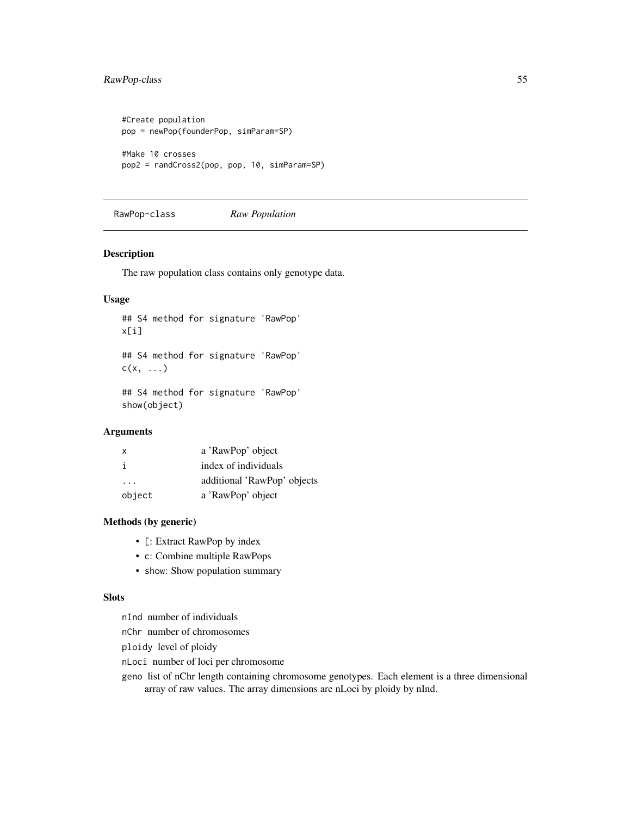## RawPop-class 55

```
#Create population
pop = newPop(founderPop, simParam=SP)
#Make 10 crosses
pop2 = randCross2(pop, pop, 10, simParam=SP)
```
<span id="page-54-0"></span>RawPop-class *Raw Population*

#### Description

The raw population class contains only genotype data.

## Usage

```
## S4 method for signature 'RawPop'
x[i]
## S4 method for signature 'RawPop'
c(x, \ldots)## S4 method for signature 'RawPop'
```
show(object)

### Arguments

| X      | a 'RawPop' object           |
|--------|-----------------------------|
| i      | index of individuals        |
| .      | additional 'RawPop' objects |
| object | a 'RawPop' object           |

## Methods (by generic)

- [: Extract RawPop by index
- c: Combine multiple RawPops
- show: Show population summary

### Slots

nInd number of individuals

nChr number of chromosomes

ploidy level of ploidy

nLoci number of loci per chromosome

geno list of nChr length containing chromosome genotypes. Each element is a three dimensional array of raw values. The array dimensions are nLoci by ploidy by nInd.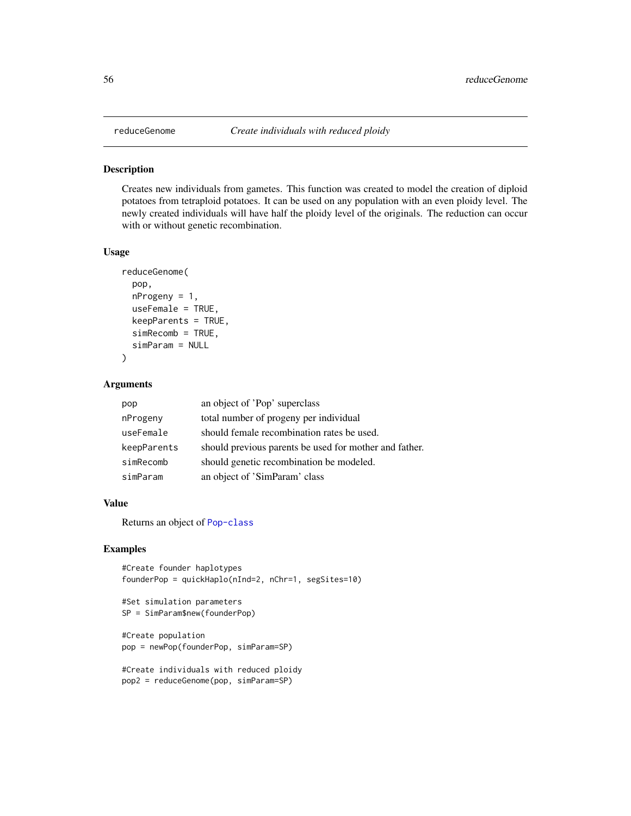Creates new individuals from gametes. This function was created to model the creation of diploid potatoes from tetraploid potatoes. It can be used on any population with an even ploidy level. The newly created individuals will have half the ploidy level of the originals. The reduction can occur with or without genetic recombination.

#### Usage

```
reduceGenome(
  pop,
  nProgeny = 1,
  useFemale = TRUE,
  keepParents = TRUE,
  simRecomb = TRUE,
  simParam = NULL
\mathcal{E}
```
## Arguments

| pop         | an object of 'Pop' superclass                          |
|-------------|--------------------------------------------------------|
| nProgeny    | total number of progeny per individual                 |
| useFemale   | should female recombination rates be used.             |
| keepParents | should previous parents be used for mother and father. |
| simRecomb   | should genetic recombination be modeled.               |
| simParam    | an object of 'SimParam' class                          |

## Value

Returns an object of [Pop-class](#page-41-0)

```
#Create founder haplotypes
founderPop = quickHaplo(nInd=2, nChr=1, segSites=10)
```

```
#Set simulation parameters
SP = SimParam$new(founderPop)
```

```
#Create population
pop = newPop(founderPop, simParam=SP)
```

```
#Create individuals with reduced ploidy
pop2 = reduceGenome(pop, simParam=SP)
```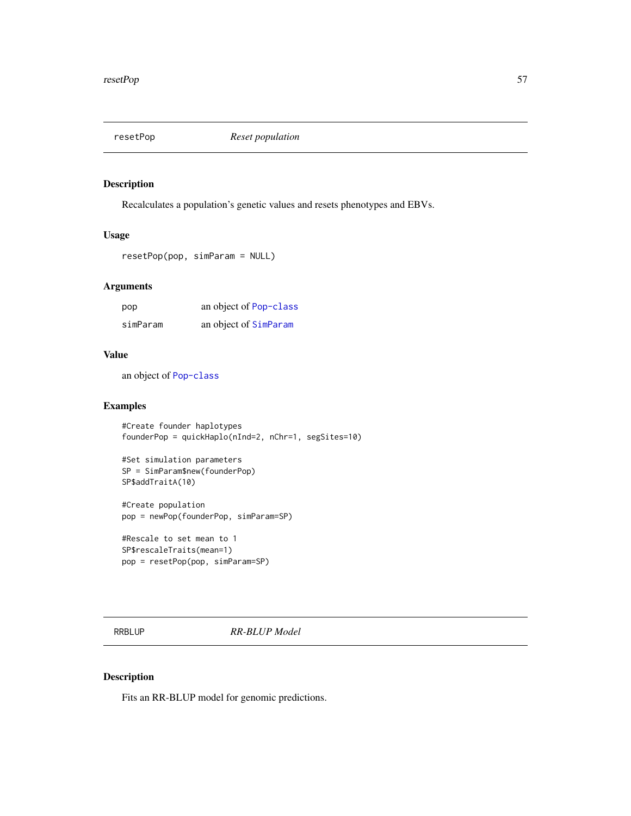Recalculates a population's genetic values and resets phenotypes and EBVs.

### Usage

```
resetPop(pop, simParam = NULL)
```
## Arguments

| pop      | an object of Pop-class |
|----------|------------------------|
| simParam | an object of SimParam  |

### Value

an object of [Pop-class](#page-41-0)

## Examples

```
#Create founder haplotypes
founderPop = quickHaplo(nInd=2, nChr=1, segSites=10)
```

```
#Set simulation parameters
SP = SimParam$new(founderPop)
SP$addTraitA(10)
```
#Create population pop = newPop(founderPop, simParam=SP)

```
#Rescale to set mean to 1
SP$rescaleTraits(mean=1)
pop = resetPop(pop, simParam=SP)
```
<span id="page-56-0"></span>RRBLUP *RR-BLUP Model*

## Description

Fits an RR-BLUP model for genomic predictions.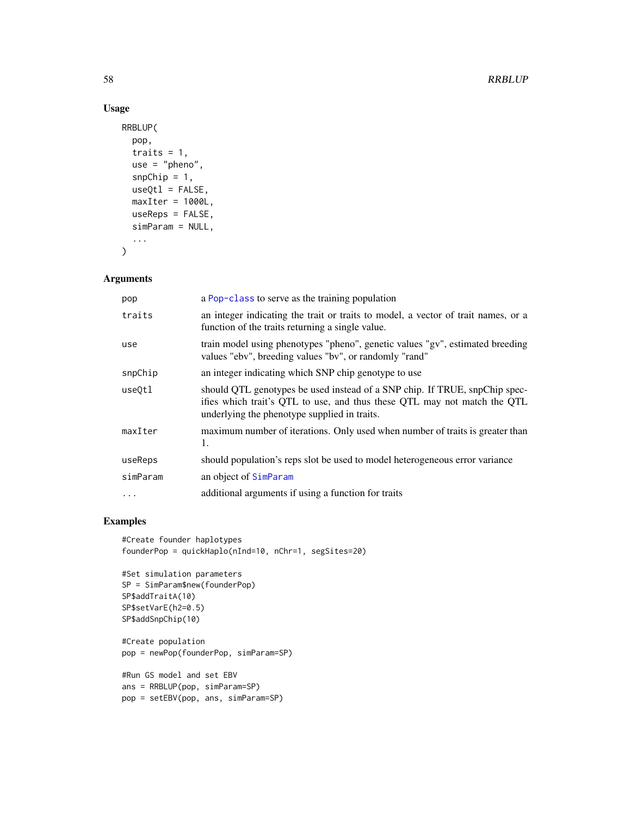## Usage

```
RRBLUP(
  pop,
  traits = 1,
 use = "pheno",
  snpChip = 1,
 useQt1 = FALSE,maxIter = 1000L,useReps = FALSE,
 simParam = NULL,
  ...
\mathcal{E}
```
## Arguments

| pop      | a Pop-class to serve as the training population                                                                                                                                                        |
|----------|--------------------------------------------------------------------------------------------------------------------------------------------------------------------------------------------------------|
| traits   | an integer indicating the trait or traits to model, a vector of trait names, or a<br>function of the traits returning a single value.                                                                  |
| use      | train model using phenotypes "pheno", genetic values "gv", estimated breeding<br>values "ebv", breeding values "bv", or randomly "rand"                                                                |
| snpChip  | an integer indicating which SNP chip genotype to use                                                                                                                                                   |
| use0tl   | should QTL genotypes be used instead of a SNP chip. If TRUE, snpChip spec-<br>ifies which trait's QTL to use, and thus these QTL may not match the QTL<br>underlying the phenotype supplied in traits. |
| maxIter  | maximum number of iterations. Only used when number of traits is greater than<br>1.                                                                                                                    |
| useReps  | should population's reps slot be used to model heterogeneous error variance                                                                                                                            |
| simParam | an object of SimParam                                                                                                                                                                                  |
| $\cdot$  | additional arguments if using a function for traits                                                                                                                                                    |

```
#Create founder haplotypes
founderPop = quickHaplo(nInd=10, nChr=1, segSites=20)
```

```
#Set simulation parameters
SP = SimParam$new(founderPop)
SP$addTraitA(10)
SP$setVarE(h2=0.5)
SP$addSnpChip(10)
```

```
#Create population
pop = newPop(founderPop, simParam=SP)
```

```
#Run GS model and set EBV
ans = RRBLUP(pop, simParam=SP)
pop = setEBV(pop, ans, simParam=SP)
```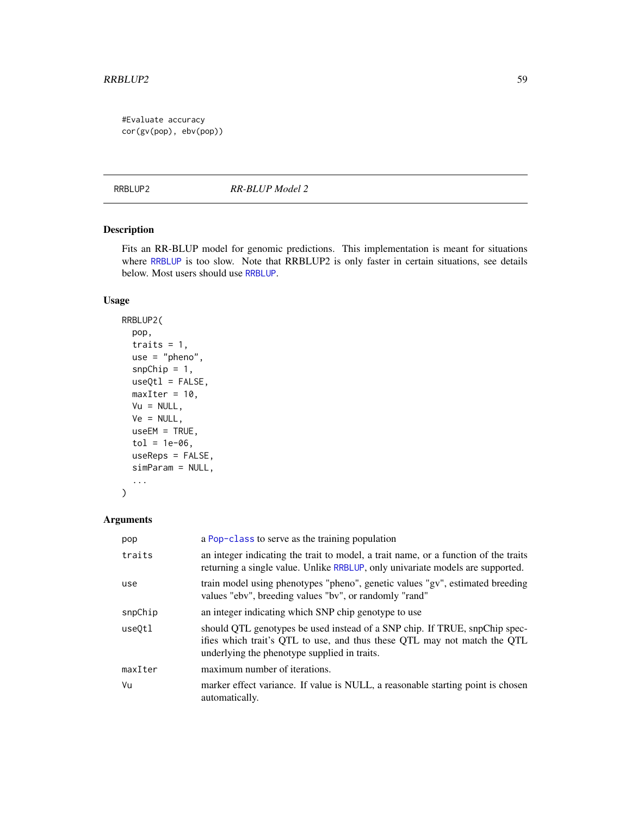#### $RRB LUP2$  59

#Evaluate accuracy cor(gv(pop), ebv(pop))

RRBLUP2 *RR-BLUP Model 2*

## Description

Fits an RR-BLUP model for genomic predictions. This implementation is meant for situations where [RRBLUP](#page-56-0) is too slow. Note that RRBLUP2 is only faster in certain situations, see details below. Most users should use [RRBLUP](#page-56-0).

## Usage

```
RRBLUP2(
 pop,
  traits = 1,
 use = "pheno",
  snpChip = 1,
 useQt1 = FALSE,maxIter = 10,Vu = NULL,Ve = NULL,useEM = TRUE,
  tol = 1e-06,useReps = FALSE,
  simParam = NULL,
  ...
\mathcal{L}
```
## Arguments

| pop     | a Pop-class to serve as the training population                                                                                                                                                        |
|---------|--------------------------------------------------------------------------------------------------------------------------------------------------------------------------------------------------------|
| traits  | an integer indicating the trait to model, a trait name, or a function of the traits<br>returning a single value. Unlike RRBLUP, only univariate models are supported.                                  |
| use     | train model using phenotypes "pheno", genetic values "gv", estimated breeding<br>values "ebv", breeding values "bv", or randomly "rand"                                                                |
| snpChip | an integer indicating which SNP chip genotype to use                                                                                                                                                   |
| use0tl  | should QTL genotypes be used instead of a SNP chip. If TRUE, snpChip spec-<br>ifies which trait's QTL to use, and thus these QTL may not match the QTL<br>underlying the phenotype supplied in traits. |
| maxIter | maximum number of iterations.                                                                                                                                                                          |
| Vu      | marker effect variance. If value is NULL, a reasonable starting point is chosen<br>automatically.                                                                                                      |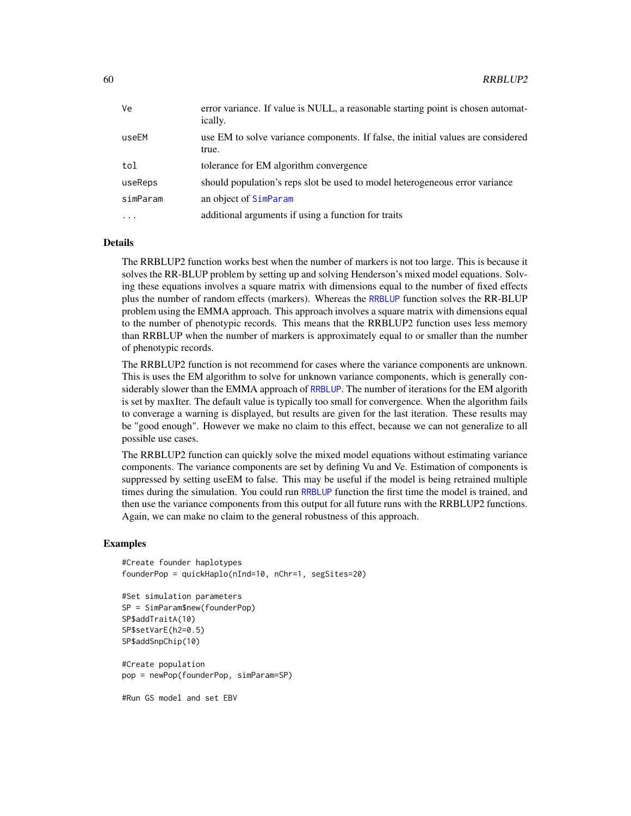| Ve       | error variance. If value is NULL, a reasonable starting point is chosen automat-<br>ically. |
|----------|---------------------------------------------------------------------------------------------|
| useEM    | use EM to solve variance components. If false, the initial values are considered<br>true.   |
| tol      | tolerance for EM algorithm convergence                                                      |
| useReps  | should population's reps slot be used to model heterogeneous error variance                 |
| simParam | an object of SimParam                                                                       |
| $\cdot$  | additional arguments if using a function for traits                                         |

## Details

The RRBLUP2 function works best when the number of markers is not too large. This is because it solves the RR-BLUP problem by setting up and solving Henderson's mixed model equations. Solving these equations involves a square matrix with dimensions equal to the number of fixed effects plus the number of random effects (markers). Whereas the [RRBLUP](#page-56-0) function solves the RR-BLUP problem using the EMMA approach. This approach involves a square matrix with dimensions equal to the number of phenotypic records. This means that the RRBLUP2 function uses less memory than RRBLUP when the number of markers is approximately equal to or smaller than the number of phenotypic records.

The RRBLUP2 function is not recommend for cases where the variance components are unknown. This is uses the EM algorithm to solve for unknown variance components, which is generally con-siderably slower than the EMMA approach of [RRBLUP](#page-56-0). The number of iterations for the EM algorith is set by maxIter. The default value is typically too small for convergence. When the algorithm fails to converage a warning is displayed, but results are given for the last iteration. These results may be "good enough". However we make no claim to this effect, because we can not generalize to all possible use cases.

The RRBLUP2 function can quickly solve the mixed model equations without estimating variance components. The variance components are set by defining Vu and Ve. Estimation of components is suppressed by setting useEM to false. This may be useful if the model is being retrained multiple times during the simulation. You could run [RRBLUP](#page-56-0) function the first time the model is trained, and then use the variance components from this output for all future runs with the RRBLUP2 functions. Again, we can make no claim to the general robustness of this approach.

#### Examples

```
#Create founder haplotypes
founderPop = quickHaplo(nInd=10, nChr=1, segSites=20)
```

```
#Set simulation parameters
SP = SimParam$new(founderPop)
SP$addTraitA(10)
SP$setVarE(h2=0.5)
SP$addSnpChip(10)
```
#Create population pop = newPop(founderPop, simParam=SP)

#Run GS model and set EBV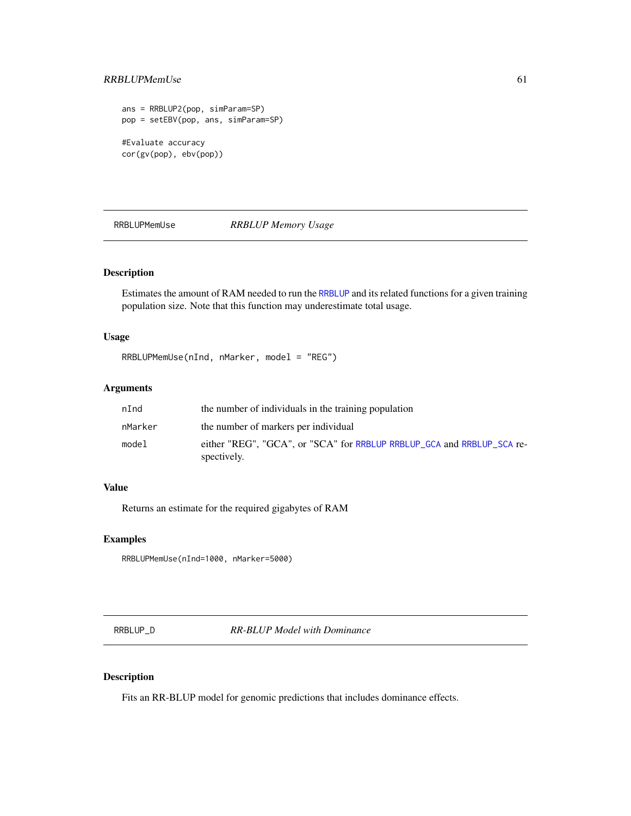## RRBLUPMemUse 61

```
ans = RRBLUP2(pop, simParam=SP)
pop = setEBV(pop, ans, simParam=SP)
#Evaluate accuracy
cor(gv(pop), ebv(pop))
```
RRBLUPMemUse *RRBLUP Memory Usage*

## Description

Estimates the amount of RAM needed to run the [RRBLUP](#page-56-0) and its related functions for a given training population size. Note that this function may underestimate total usage.

## Usage

RRBLUPMemUse(nInd, nMarker, model = "REG")

## Arguments

| nInd    | the number of individuals in the training population                                  |
|---------|---------------------------------------------------------------------------------------|
| nMarker | the number of markers per individual                                                  |
| model   | either "REG", "GCA", or "SCA" for RRBLUP RRBLUP_GCA and RRBLUP_SCA re-<br>spectively. |

## Value

Returns an estimate for the required gigabytes of RAM

## Examples

RRBLUPMemUse(nInd=1000, nMarker=5000)

<span id="page-60-0"></span>RRBLUP\_D *RR-BLUP Model with Dominance*

## Description

Fits an RR-BLUP model for genomic predictions that includes dominance effects.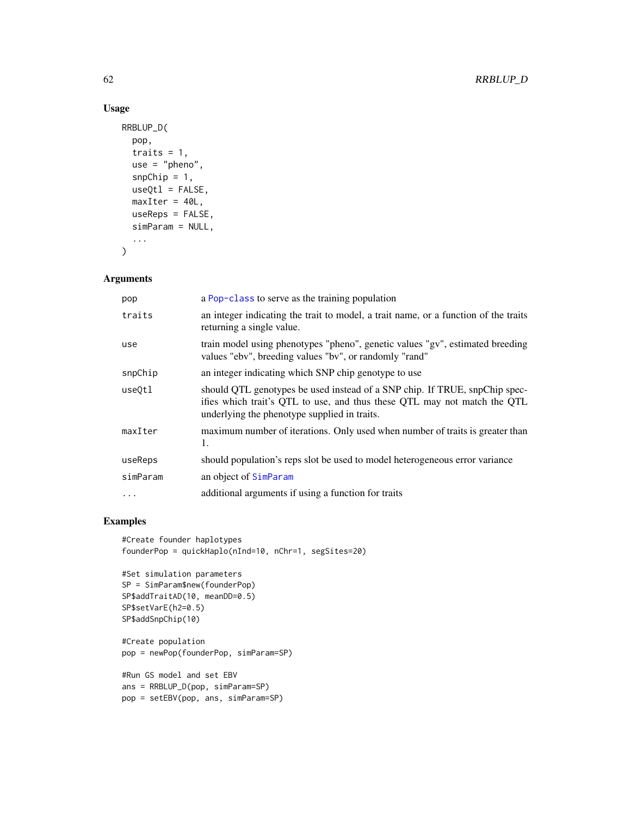## Usage

```
RRBLUP_D(
  pop,
  traits = 1,
 use = "pheno",
  snpChip = 1,
 useQt1 = FALSE,maxIter = 40L,useReps = FALSE,
 simParam = NULL,
  ...
\mathcal{E}
```
## Arguments

| pop      | a Pop-class to serve as the training population                                                                                                                                                        |
|----------|--------------------------------------------------------------------------------------------------------------------------------------------------------------------------------------------------------|
| traits   | an integer indicating the trait to model, a trait name, or a function of the traits<br>returning a single value.                                                                                       |
| use      | train model using phenotypes "pheno", genetic values "gv", estimated breeding<br>values "ebv", breeding values "bv", or randomly "rand"                                                                |
| snpChip  | an integer indicating which SNP chip genotype to use                                                                                                                                                   |
| use0tl   | should QTL genotypes be used instead of a SNP chip. If TRUE, snpChip spec-<br>ifies which trait's QTL to use, and thus these QTL may not match the QTL<br>underlying the phenotype supplied in traits. |
| maxIter  | maximum number of iterations. Only used when number of traits is greater than<br>1.                                                                                                                    |
| useReps  | should population's reps slot be used to model heterogeneous error variance                                                                                                                            |
| simParam | an object of SimParam                                                                                                                                                                                  |
| $\ddots$ | additional arguments if using a function for traits                                                                                                                                                    |

# Examples

```
#Create founder haplotypes
founderPop = quickHaplo(nInd=10, nChr=1, segSites=20)
```

```
#Set simulation parameters
SP = SimParam$new(founderPop)
SP$addTraitAD(10, meanDD=0.5)
SP$setVarE(h2=0.5)
SP$addSnpChip(10)
```
#Create population pop = newPop(founderPop, simParam=SP)

```
#Run GS model and set EBV
ans = RRBLUP_D(pop, simParam=SP)
pop = setEBV(pop, ans, simParam=SP)
```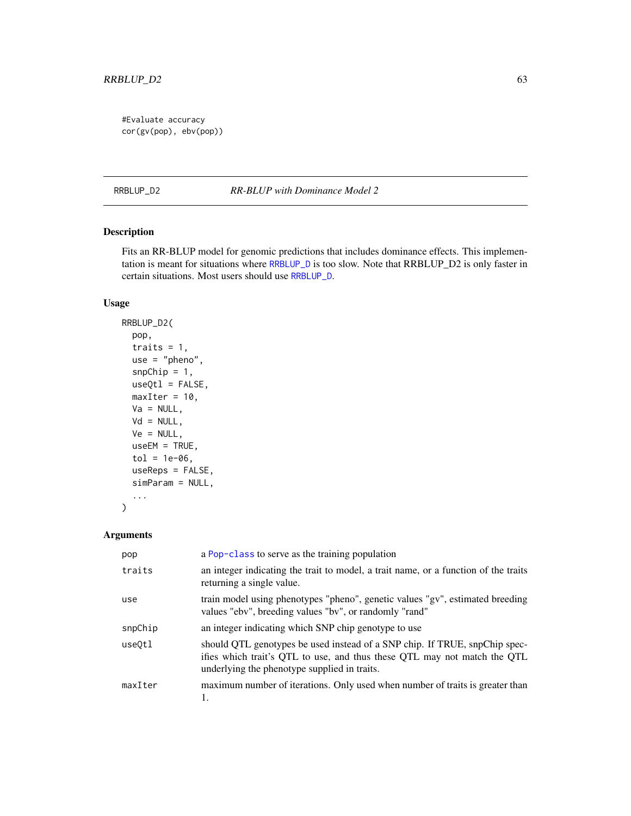## RRBLUP\_D2 63

#Evaluate accuracy cor(gv(pop), ebv(pop))

RRBLUP\_D2 *RR-BLUP with Dominance Model 2*

## Description

Fits an RR-BLUP model for genomic predictions that includes dominance effects. This implementation is meant for situations where [RRBLUP\\_D](#page-60-0) is too slow. Note that RRBLUP\_D2 is only faster in certain situations. Most users should use [RRBLUP\\_D](#page-60-0).

### Usage

```
RRBLUP_D2(
 pop,
  traits = 1,
 use = "pheno",
  snpChip = 1,
 useQtl = FALSE,maxIter = 10,Va = NULL,Vd = NULL,Ve = NULL,useEM = TRUE,
 tol = 1e-06,useReps = FALSE,
  simParam = NULL,
  ...
)
```
### Arguments

| pop     | a Pop-class to serve as the training population                                                                                                                                                        |
|---------|--------------------------------------------------------------------------------------------------------------------------------------------------------------------------------------------------------|
| traits  | an integer indicating the trait to model, a trait name, or a function of the traits<br>returning a single value.                                                                                       |
| use     | train model using phenotypes "pheno", genetic values "gv", estimated breeding<br>values "ebv", breeding values "bv", or randomly "rand"                                                                |
| snpChip | an integer indicating which SNP chip genotype to use                                                                                                                                                   |
| use0tl  | should QTL genotypes be used instead of a SNP chip. If TRUE, snpChip spec-<br>ifies which trait's QTL to use, and thus these QTL may not match the QTL<br>underlying the phenotype supplied in traits. |
| maxIter | maximum number of iterations. Only used when number of traits is greater than                                                                                                                          |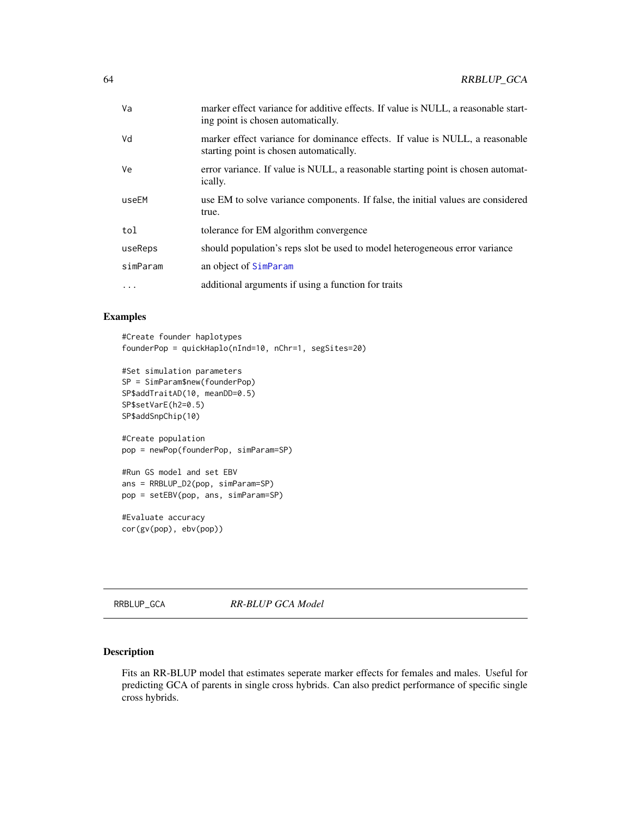| Va       | marker effect variance for additive effects. If value is NULL, a reasonable start-<br>ing point is chosen automatically. |
|----------|--------------------------------------------------------------------------------------------------------------------------|
| Vd       | marker effect variance for dominance effects. If value is NULL, a reasonable<br>starting point is chosen automatically.  |
| Ve       | error variance. If value is NULL, a reasonable starting point is chosen automat-<br>ically.                              |
| useEM    | use EM to solve variance components. If false, the initial values are considered<br>true.                                |
| tol      | tolerance for EM algorithm convergence                                                                                   |
| useReps  | should population's reps slot be used to model heterogeneous error variance                                              |
| simParam | an object of SimParam                                                                                                    |
|          | additional arguments if using a function for traits                                                                      |
|          |                                                                                                                          |

## Examples

#Create founder haplotypes founderPop = quickHaplo(nInd=10, nChr=1, segSites=20)

```
#Set simulation parameters
SP = SimParam$new(founderPop)
SP$addTraitAD(10, meanDD=0.5)
SP$setVarE(h2=0.5)
SP$addSnpChip(10)
```

```
#Create population
pop = newPop(founderPop, simParam=SP)
```

```
#Run GS model and set EBV
ans = RRBLUP_D2(pop, simParam=SP)
pop = setEBV(pop, ans, simParam=SP)
```
#Evaluate accuracy cor(gv(pop), ebv(pop))

<span id="page-63-0"></span>RRBLUP\_GCA *RR-BLUP GCA Model*

## Description

Fits an RR-BLUP model that estimates seperate marker effects for females and males. Useful for predicting GCA of parents in single cross hybrids. Can also predict performance of specific single cross hybrids.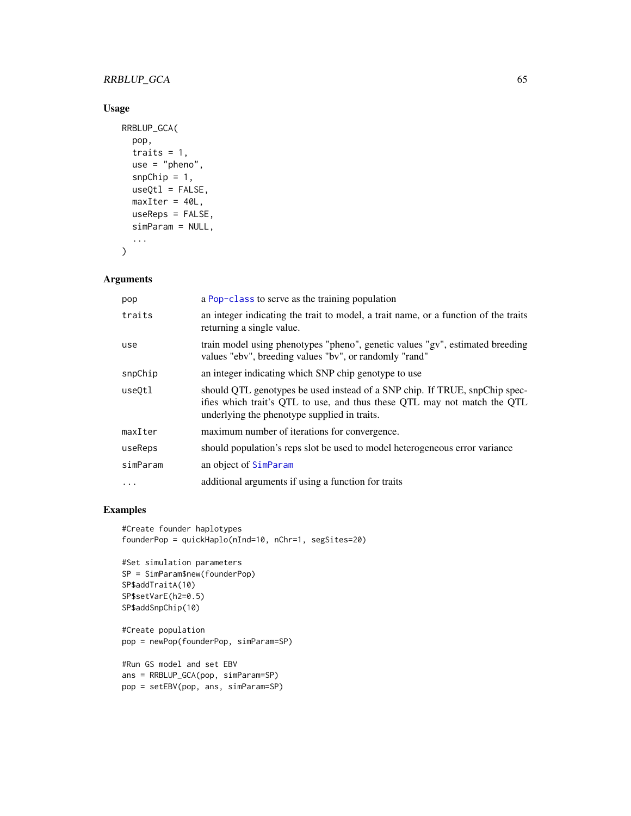## RRBLUP\_GCA 65

## Usage

```
RRBLUP_GCA(
  pop,
  traits = 1,
 use = "pheno",
  snpChip = 1,
 useQtl = FALSE,maxIter = 40L,useReps = FALSE,
 simParam = NULL,
  ...
\mathcal{E}
```
### Arguments

| pop      | a Pop-class to serve as the training population                                                                                                                                                        |
|----------|--------------------------------------------------------------------------------------------------------------------------------------------------------------------------------------------------------|
| traits   | an integer indicating the trait to model, a trait name, or a function of the traits<br>returning a single value.                                                                                       |
| use      | train model using phenotypes "pheno", genetic values "gv", estimated breeding<br>values "ebv", breeding values "bv", or randomly "rand"                                                                |
| snpChip  | an integer indicating which SNP chip genotype to use                                                                                                                                                   |
| use0tl   | should QTL genotypes be used instead of a SNP chip. If TRUE, snpChip spec-<br>ifies which trait's QTL to use, and thus these QTL may not match the QTL<br>underlying the phenotype supplied in traits. |
| maxIter  | maximum number of iterations for convergence.                                                                                                                                                          |
| useReps  | should population's reps slot be used to model heterogeneous error variance                                                                                                                            |
| simParam | an object of SimParam                                                                                                                                                                                  |
| $\cdots$ | additional arguments if using a function for traits                                                                                                                                                    |

```
#Create founder haplotypes
founderPop = quickHaplo(nInd=10, nChr=1, segSites=20)
```

```
#Set simulation parameters
SP = SimParam$new(founderPop)
SP$addTraitA(10)
SP$setVarE(h2=0.5)
SP$addSnpChip(10)
```

```
#Create population
pop = newPop(founderPop, simParam=SP)
```

```
#Run GS model and set EBV
ans = RRBLUP_GCA(pop, simParam=SP)
pop = setEBV(pop, ans, simParam=SP)
```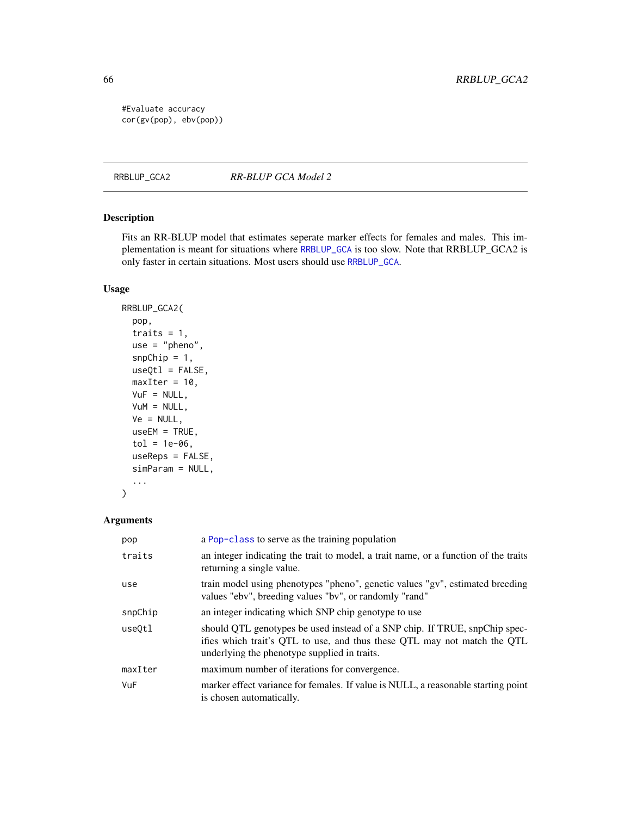#Evaluate accuracy cor(gv(pop), ebv(pop))

RRBLUP\_GCA2 *RR-BLUP GCA Model 2*

## Description

Fits an RR-BLUP model that estimates seperate marker effects for females and males. This implementation is meant for situations where [RRBLUP\\_GCA](#page-63-0) is too slow. Note that RRBLUP\_GCA2 is only faster in certain situations. Most users should use [RRBLUP\\_GCA](#page-63-0).

## Usage

```
RRBLUP_GCA2(
  pop,
  traits = 1,
 use = "pheno",
  snpChip = 1,
  useQtl = FALSE,maxIter = 10,VuF = NULL,VuM = NULL,
  Ve = NULL,useEM = TRUE,tol = 1e-06,useReps = FALSE,
  simParam = NULL,
  ...
\mathcal{L}
```
## Arguments

| pop     | a Pop-class to serve as the training population                                                                                                                                                        |
|---------|--------------------------------------------------------------------------------------------------------------------------------------------------------------------------------------------------------|
| traits  | an integer indicating the trait to model, a trait name, or a function of the traits<br>returning a single value.                                                                                       |
| use     | train model using phenotypes "pheno", genetic values "gv", estimated breeding<br>values "ebv", breeding values "bv", or randomly "rand"                                                                |
| snpChip | an integer indicating which SNP chip genotype to use                                                                                                                                                   |
| use0tl  | should QTL genotypes be used instead of a SNP chip. If TRUE, snpChip spec-<br>ifies which trait's QTL to use, and thus these QTL may not match the QTL<br>underlying the phenotype supplied in traits. |
| maxIter | maximum number of iterations for convergence.                                                                                                                                                          |
| VuF     | marker effect variance for females. If value is NULL, a reasonable starting point<br>is chosen automatically.                                                                                          |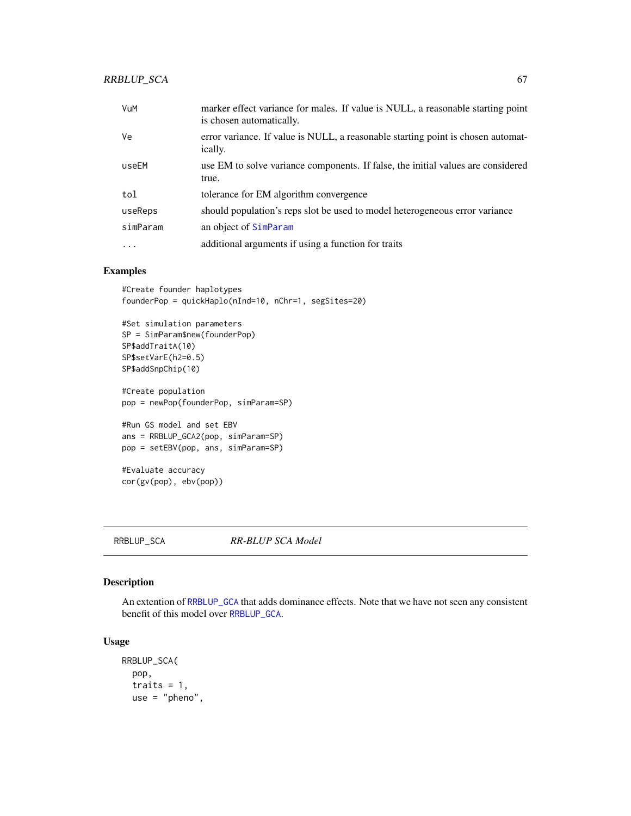## RRBLUP\_SCA 67

| VuM      | marker effect variance for males. If value is NULL, a reasonable starting point<br>is chosen automatically. |
|----------|-------------------------------------------------------------------------------------------------------------|
| Ve       | error variance. If value is NULL, a reasonable starting point is chosen automat-<br>ically.                 |
| useEM    | use EM to solve variance components. If false, the initial values are considered<br>true.                   |
| tol      | tolerance for EM algorithm convergence                                                                      |
| useReps  | should population's reps slot be used to model heterogeneous error variance                                 |
| simParam | an object of SimParam                                                                                       |
| $\cdot$  | additional arguments if using a function for traits                                                         |

## Examples

```
#Create founder haplotypes
founderPop = quickHaplo(nInd=10, nChr=1, segSites=20)
```

```
#Set simulation parameters
SP = SimParam$new(founderPop)
SP$addTraitA(10)
SP$setVarE(h2=0.5)
SP$addSnpChip(10)
```
#Create population pop = newPop(founderPop, simParam=SP)

```
#Run GS model and set EBV
ans = RRBLUP_GCA2(pop, simParam=SP)
pop = setEBV(pop, ans, simParam=SP)
```

```
#Evaluate accuracy
cor(gv(pop), ebv(pop))
```
#### <span id="page-66-0"></span>RRBLUP\_SCA *RR-BLUP SCA Model*

# Description

An extention of [RRBLUP\\_GCA](#page-63-0) that adds dominance effects. Note that we have not seen any consistent benefit of this model over [RRBLUP\\_GCA](#page-63-0).

### Usage

```
RRBLUP_SCA(
 pop,
  traits = 1,
 use = "pheno",
```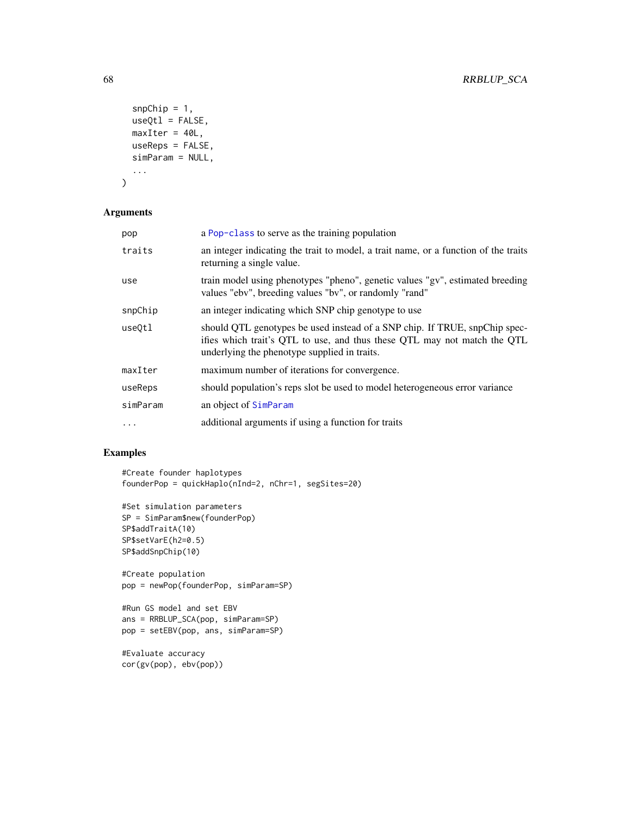```
snpChip = 1,
 useQtl = FALSE,maxIter = 40L,useReps = FALSE,
  simParam = NULL,
  ...
\mathcal{L}
```
## Arguments

| pop      | a Pop-class to serve as the training population                                                                                                                                                        |
|----------|--------------------------------------------------------------------------------------------------------------------------------------------------------------------------------------------------------|
| traits   | an integer indicating the trait to model, a trait name, or a function of the traits<br>returning a single value.                                                                                       |
| use      | train model using phenotypes "pheno", genetic values "gv", estimated breeding<br>values "ebv", breeding values "bv", or randomly "rand"                                                                |
| snpChip  | an integer indicating which SNP chip genotype to use                                                                                                                                                   |
| useOtl   | should QTL genotypes be used instead of a SNP chip. If TRUE, snpChip spec-<br>ifies which trait's QTL to use, and thus these QTL may not match the QTL<br>underlying the phenotype supplied in traits. |
| maxIter  | maximum number of iterations for convergence.                                                                                                                                                          |
| useReps  | should population's reps slot be used to model heterogeneous error variance                                                                                                                            |
| simParam | an object of SimParam                                                                                                                                                                                  |
| $\cdots$ | additional arguments if using a function for traits                                                                                                                                                    |

```
#Create founder haplotypes
founderPop = quickHaplo(nInd=2, nChr=1, segSites=20)
```

```
#Set simulation parameters
SP = SimParam$new(founderPop)
SP$addTraitA(10)
SP$setVarE(h2=0.5)
SP$addSnpChip(10)
```

```
#Create population
pop = newPop(founderPop, simParam=SP)
```

```
#Run GS model and set EBV
ans = RRBLUP_SCA(pop, simParam=SP)
pop = setEBV(pop, ans, simParam=SP)
```

```
#Evaluate accuracy
cor(gv(pop), ebv(pop))
```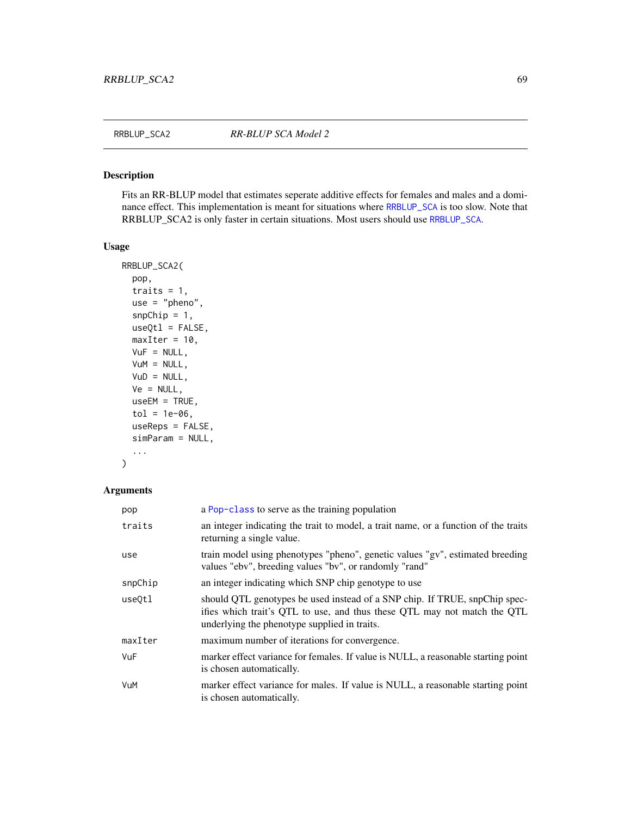Fits an RR-BLUP model that estimates seperate additive effects for females and males and a dominance effect. This implementation is meant for situations where [RRBLUP\\_SCA](#page-66-0) is too slow. Note that RRBLUP\_SCA2 is only faster in certain situations. Most users should use [RRBLUP\\_SCA](#page-66-0).

### Usage

```
RRBLUP_SCA2(
 pop,
 traits = 1,
 use = "pheno",
  snpChip = 1,
 useQt1 = FALSE,maxIter = 10,VuF = NULL,VuM = NULL,
 VUD = NULL,Ve = NULL,useEM = TRUE,tol = 1e-06,useReps = FALSE,
 simParam = NULL,
  ...
)
```
## Arguments

| pop     | a Pop-class to serve as the training population                                                                                                                                                        |
|---------|--------------------------------------------------------------------------------------------------------------------------------------------------------------------------------------------------------|
| traits  | an integer indicating the trait to model, a trait name, or a function of the traits<br>returning a single value.                                                                                       |
| use     | train model using phenotypes "pheno", genetic values "gv", estimated breeding<br>values "ebv", breeding values "bv", or randomly "rand"                                                                |
| snpChip | an integer indicating which SNP chip genotype to use                                                                                                                                                   |
| use0tl  | should QTL genotypes be used instead of a SNP chip. If TRUE, snpChip spec-<br>ifies which trait's QTL to use, and thus these QTL may not match the QTL<br>underlying the phenotype supplied in traits. |
| maxIter | maximum number of iterations for convergence.                                                                                                                                                          |
| VuF     | marker effect variance for females. If value is NULL, a reasonable starting point<br>is chosen automatically.                                                                                          |
| VuM     | marker effect variance for males. If value is NULL, a reasonable starting point<br>is chosen automatically.                                                                                            |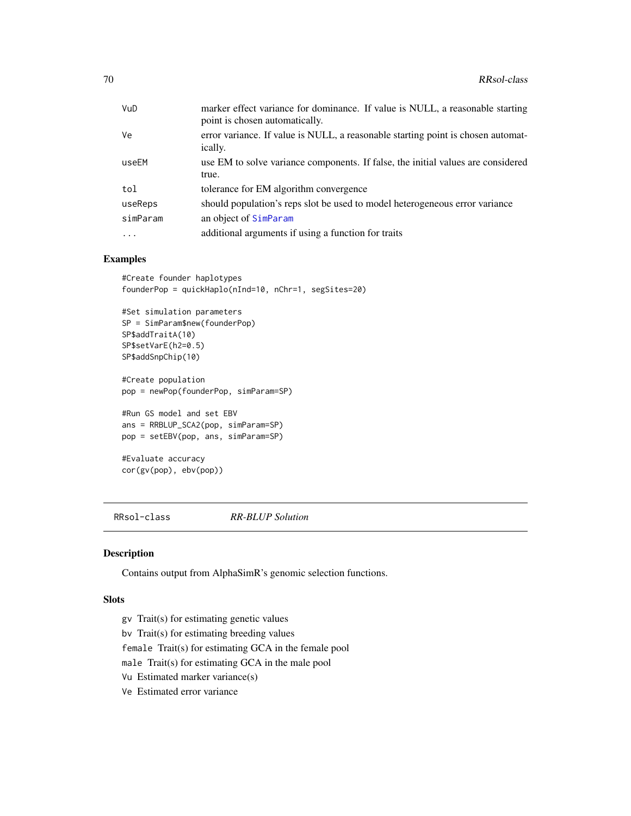| VuD      | marker effect variance for dominance. If value is NULL, a reasonable starting<br>point is chosen automatically. |
|----------|-----------------------------------------------------------------------------------------------------------------|
| Ve       | error variance. If value is NULL, a reasonable starting point is chosen automat-<br>ically.                     |
| useEM    | use EM to solve variance components. If false, the initial values are considered<br>true.                       |
| tol      | tolerance for EM algorithm convergence                                                                          |
| useReps  | should population's reps slot be used to model heterogeneous error variance                                     |
| simParam | an object of SimParam                                                                                           |
| $\cdots$ | additional arguments if using a function for traits                                                             |

## Examples

```
#Create founder haplotypes
founderPop = quickHaplo(nInd=10, nChr=1, segSites=20)
#Set simulation parameters
SP = SimParam$new(founderPop)
SP$addTraitA(10)
SP$setVarE(h2=0.5)
SP$addSnpChip(10)
#Create population
pop = newPop(founderPop, simParam=SP)
#Run GS model and set EBV
ans = RRBLUP_SCA2(pop, simParam=SP)
pop = setEBV(pop, ans, simParam=SP)
#Evaluate accuracy
cor(gv(pop), ebv(pop))
```
RRsol-class *RR-BLUP Solution*

## Description

Contains output from AlphaSimR's genomic selection functions.

### Slots

- gv Trait(s) for estimating genetic values
- bv Trait(s) for estimating breeding values

female Trait(s) for estimating GCA in the female pool

- male Trait(s) for estimating GCA in the male pool
- Vu Estimated marker variance(s)
- Ve Estimated error variance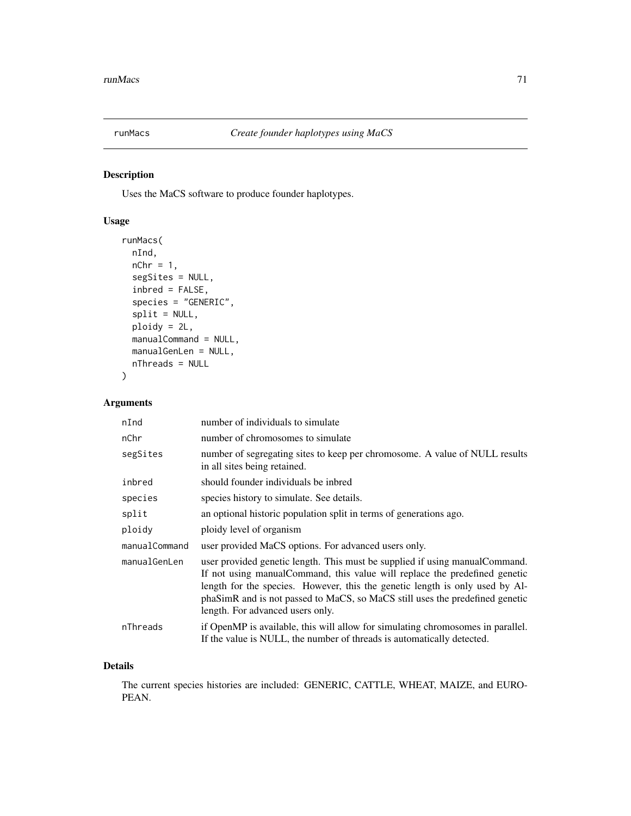<span id="page-70-0"></span>

Uses the MaCS software to produce founder haplotypes.

## Usage

```
runMacs(
 nInd,
 nChr = 1,
  segSites = NULL,
  inbred = FALSE,
  species = "GENERIC",
  split = NULL,ploidy = 2L,
 manualCommand = NULL,
 manualGenLen = NULL,
 nThreads = NULL
)
```
## Arguments

| nInd          | number of individuals to simulate                                                                                                                                                                                                                                                                                                                               |  |
|---------------|-----------------------------------------------------------------------------------------------------------------------------------------------------------------------------------------------------------------------------------------------------------------------------------------------------------------------------------------------------------------|--|
| nChr          | number of chromosomes to simulate                                                                                                                                                                                                                                                                                                                               |  |
| segSites      | number of segregating sites to keep per chromosome. A value of NULL results<br>in all sites being retained.                                                                                                                                                                                                                                                     |  |
| inbred        | should founder individuals be inbred                                                                                                                                                                                                                                                                                                                            |  |
| species       | species history to simulate. See details.                                                                                                                                                                                                                                                                                                                       |  |
| split         | an optional historic population split in terms of generations ago.                                                                                                                                                                                                                                                                                              |  |
| ploidy        | ploidy level of organism                                                                                                                                                                                                                                                                                                                                        |  |
| manualCommand | user provided MaCS options. For advanced users only.                                                                                                                                                                                                                                                                                                            |  |
| manualGenLen  | user provided genetic length. This must be supplied if using manual Command.<br>If not using manual Command, this value will replace the predefined genetic<br>length for the species. However, this the genetic length is only used by Al-<br>phaSimR and is not passed to MaCS, so MaCS still uses the predefined genetic<br>length. For advanced users only. |  |
| nThreads      | if OpenMP is available, this will allow for simulating chromosomes in parallel.<br>If the value is NULL, the number of threads is automatically detected.                                                                                                                                                                                                       |  |

## Details

The current species histories are included: GENERIC, CATTLE, WHEAT, MAIZE, and EURO-PEAN.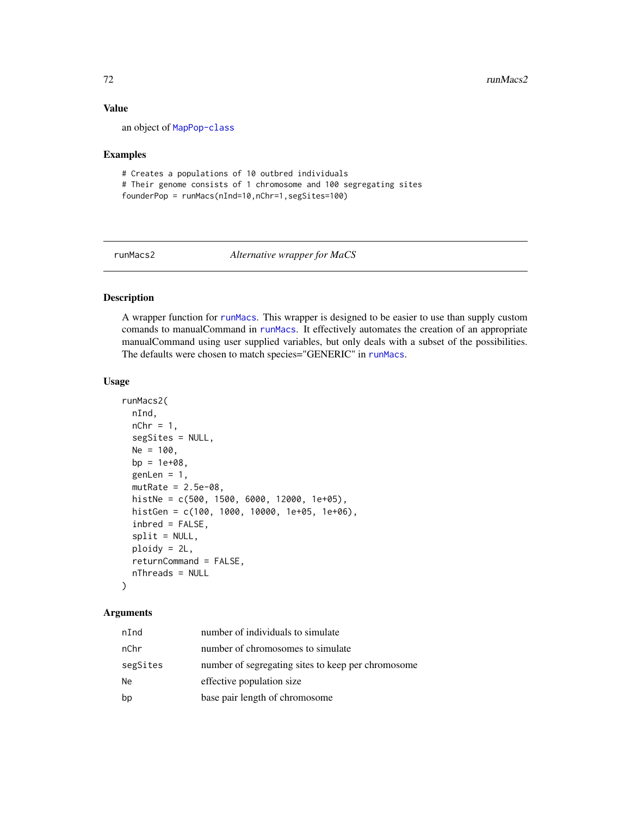### Value

an object of [MapPop-class](#page-30-0)

### Examples

```
# Creates a populations of 10 outbred individuals
# Their genome consists of 1 chromosome and 100 segregating sites
founderPop = runMacs(nInd=10,nChr=1,segSites=100)
```
runMacs2 *Alternative wrapper for MaCS*

## Description

A wrapper function for [runMacs](#page-70-0). This wrapper is designed to be easier to use than supply custom comands to manualCommand in [runMacs](#page-70-0). It effectively automates the creation of an appropriate manualCommand using user supplied variables, but only deals with a subset of the possibilities. The defaults were chosen to match species="GENERIC" in [runMacs](#page-70-0).

### Usage

```
runMacs2(
  nInd,
  nChr = 1,
  segSites = NULL,
 Ne = 100,
 bp = 1e+08,
  genLen = 1,
 mutRate = 2.5e-08,histNe = c(500, 1500, 6000, 12000, 1e+05),
  histGen = c(100, 1000, 10000, 1e+05, 1e+06),
  inbred = FALSE,
  split = NULL,ploidy = 2L,
  returnCommand = FALSE,
 nThreads = NULL
\lambda
```
## Arguments

| nInd     | number of individuals to simulate                  |
|----------|----------------------------------------------------|
| nChr     | number of chromosomes to simulate                  |
| segSites | number of segregating sites to keep per chromosome |
| Ne       | effective population size                          |
| bp       | base pair length of chromosome                     |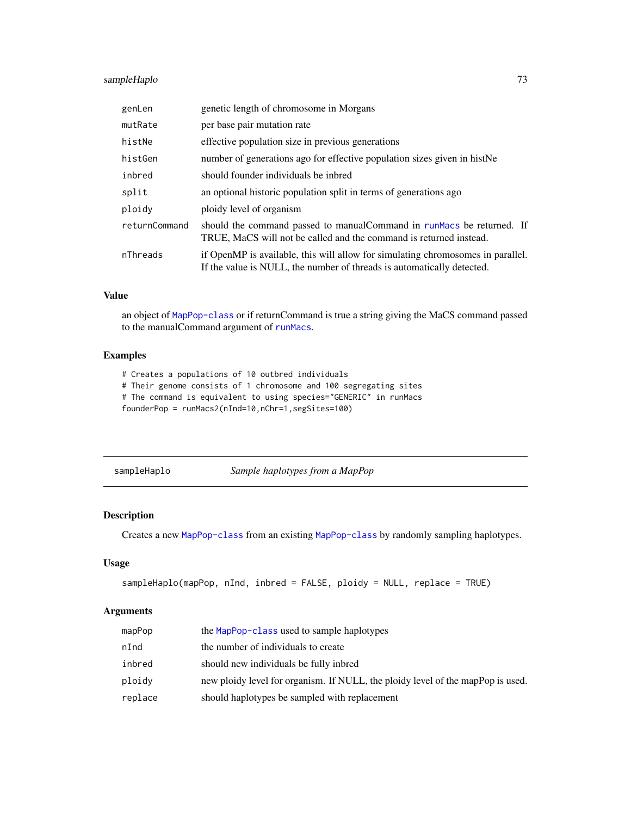### sampleHaplo 73

| genLen        | genetic length of chromosome in Morgans                                                                                                                   |  |
|---------------|-----------------------------------------------------------------------------------------------------------------------------------------------------------|--|
| mutRate       | per base pair mutation rate                                                                                                                               |  |
| histNe        | effective population size in previous generations                                                                                                         |  |
| histGen       | number of generations ago for effective population sizes given in histNe                                                                                  |  |
| inbred        | should founder individuals be inbred                                                                                                                      |  |
| split         | an optional historic population split in terms of generations ago                                                                                         |  |
| ploidy        | ploidy level of organism                                                                                                                                  |  |
| returnCommand | should the command passed to manual Command in runMacs be returned. If<br>TRUE, MaCS will not be called and the command is returned instead.              |  |
| nThreads      | if OpenMP is available, this will allow for simulating chromosomes in parallel.<br>If the value is NULL, the number of threads is automatically detected. |  |

### Value

an object of [MapPop-class](#page-30-0) or if returnCommand is true a string giving the MaCS command passed to the manualCommand argument of [runMacs](#page-70-0).

### Examples

# Creates a populations of 10 outbred individuals

# Their genome consists of 1 chromosome and 100 segregating sites

# The command is equivalent to using species="GENERIC" in runMacs

founderPop = runMacs2(nInd=10,nChr=1,segSites=100)

sampleHaplo *Sample haplotypes from a MapPop*

### Description

Creates a new [MapPop-class](#page-30-0) from an existing [MapPop-class](#page-30-0) by randomly sampling haplotypes.

#### Usage

```
sampleHaplo(mapPop, nInd, inbred = FALSE, ploidy = NULL, replace = TRUE)
```
#### Arguments

| mapPop  | the MapPop-class used to sample haplotypes                                      |
|---------|---------------------------------------------------------------------------------|
| nInd    | the number of individuals to create                                             |
| inbred  | should new individuals be fully inbred                                          |
| ploidy  | new ploidy level for organism. If NULL, the ploidy level of the mapPop is used. |
| replace | should haplotypes be sampled with replacement                                   |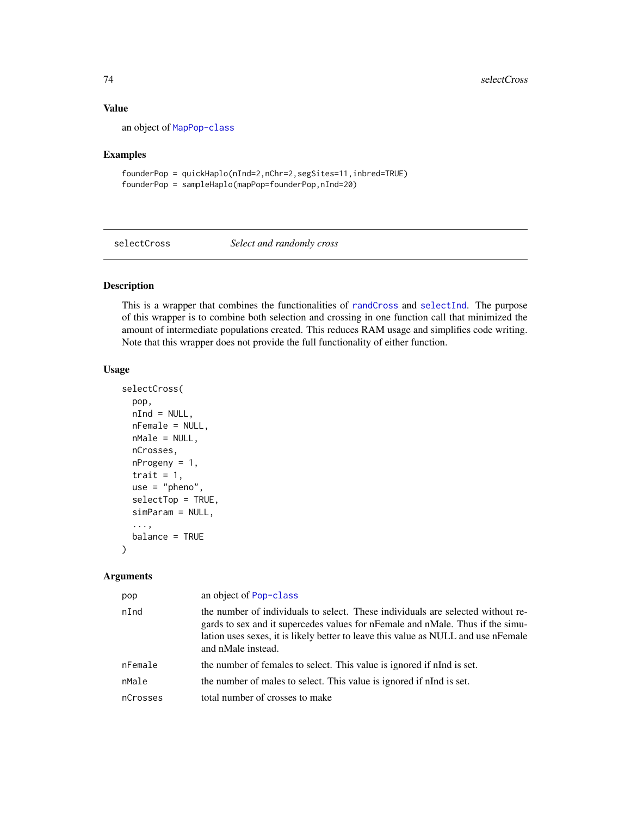#### Value

an object of [MapPop-class](#page-30-0)

#### Examples

founderPop = quickHaplo(nInd=2,nChr=2,segSites=11,inbred=TRUE) founderPop = sampleHaplo(mapPop=founderPop,nInd=20)

selectCross *Select and randomly cross*

#### Description

This is a wrapper that combines the functionalities of [randCross](#page-51-0) and [selectInd](#page-76-0). The purpose of this wrapper is to combine both selection and crossing in one function call that minimized the amount of intermediate populations created. This reduces RAM usage and simplifies code writing. Note that this wrapper does not provide the full functionality of either function.

#### Usage

```
selectCross(
 pop,
 nInd = NULL,nFemale = NULL,
 nMale = NULL,
 nCrosses,
 nProgeny = 1,
  trait = 1,use = "pheno",
  selectTop = TRUE,
  simParam = NULL,
  ...,
 balance = TRUE
)
```
#### Arguments

| pop      | an object of Pop-class                                                                                                                                                                                                                                                        |
|----------|-------------------------------------------------------------------------------------------------------------------------------------------------------------------------------------------------------------------------------------------------------------------------------|
| nInd     | the number of individuals to select. These individuals are selected without re-<br>gards to sex and it supercedes values for nFemale and nMale. Thus if the simu-<br>lation uses sexes, it is likely better to leave this value as NULL and use nFemale<br>and nMale instead. |
| nFemale  | the number of females to select. This value is ignored if nInd is set.                                                                                                                                                                                                        |
| nMale    | the number of males to select. This value is ignored if nInd is set.                                                                                                                                                                                                          |
| nCrosses | total number of crosses to make                                                                                                                                                                                                                                               |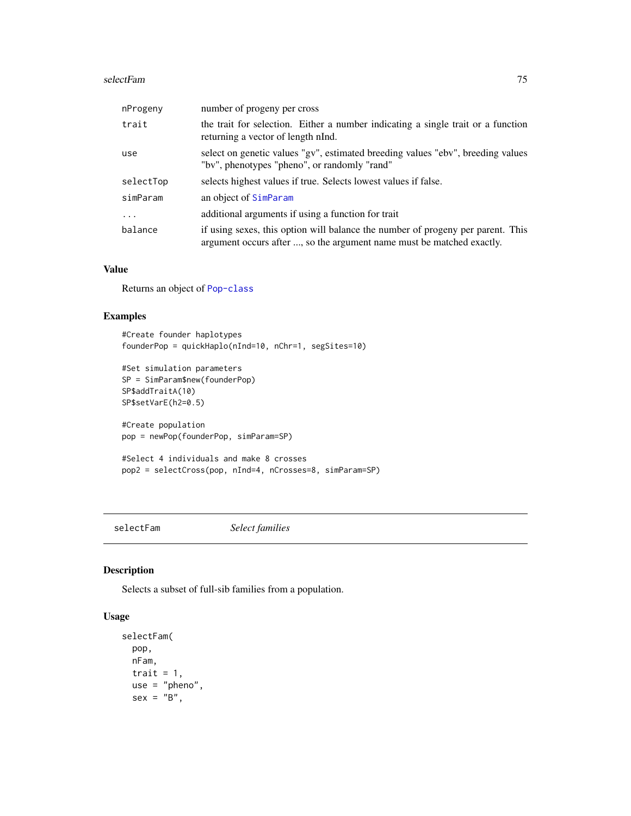#### selectFam 75

| nProgeny  | number of progeny per cross                                                                                                                              |
|-----------|----------------------------------------------------------------------------------------------------------------------------------------------------------|
| trait     | the trait for selection. Either a number indicating a single trait or a function<br>returning a vector of length nInd.                                   |
| use       | select on genetic values "gv", estimated breeding values "ebv", breeding values<br>"bv", phenotypes "pheno", or randomly "rand"                          |
| selectTop | selects highest values if true. Selects lowest values if false.                                                                                          |
| simParam  | an object of SimParam                                                                                                                                    |
| $\ddotsc$ | additional arguments if using a function for trait                                                                                                       |
| balance   | if using sexes, this option will balance the number of progeny per parent. This<br>argument occurs after , so the argument name must be matched exactly. |

#### Value

Returns an object of [Pop-class](#page-41-0)

### Examples

```
#Create founder haplotypes
founderPop = quickHaplo(nInd=10, nChr=1, segSites=10)
#Set simulation parameters
SP = SimParam$new(founderPop)
SP$addTraitA(10)
SP$setVarE(h2=0.5)
#Create population
pop = newPop(founderPop, simParam=SP)
#Select 4 individuals and make 8 crosses
pop2 = selectCross(pop, nInd=4, nCrosses=8, simParam=SP)
```
selectFam *Select families*

### **Description**

Selects a subset of full-sib families from a population.

### Usage

```
selectFam(
 pop,
 nFam,
 trait = 1,use = "pheno",
 sex = "B",
```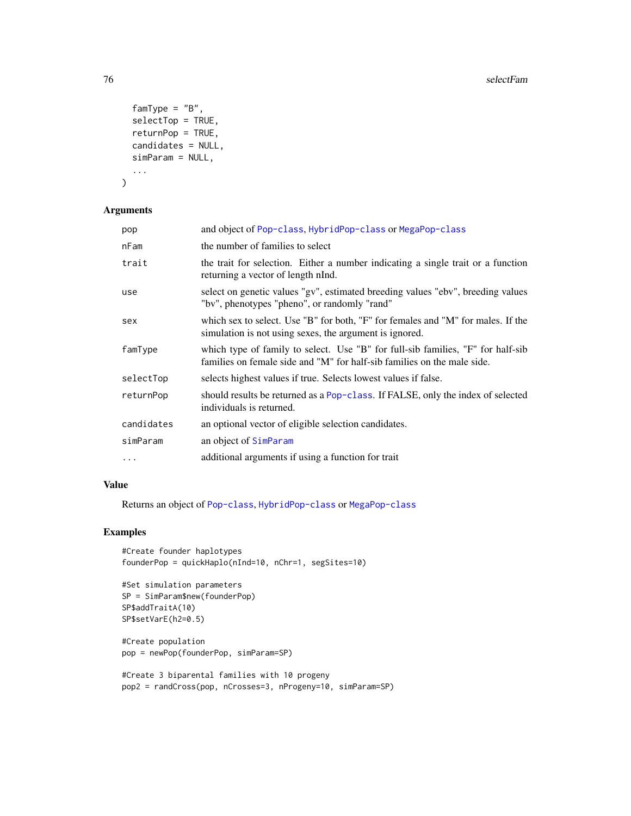```
famType = "B",selectTop = TRUE,
 returnPop = TRUE,
 candidates = NULL,
  simParam = NULL,
  ...
\mathcal{L}
```
#### Arguments

| pop        | and object of Pop-class, HybridPop-class or MegaPop-class                                                                                                  |
|------------|------------------------------------------------------------------------------------------------------------------------------------------------------------|
| nFam       | the number of families to select                                                                                                                           |
| trait      | the trait for selection. Either a number indicating a single trait or a function<br>returning a vector of length nInd.                                     |
| use        | select on genetic values "gv", estimated breeding values "ebv", breeding values<br>"by", phenotypes "pheno", or randomly "rand"                            |
| sex        | which sex to select. Use "B" for both, "F" for females and "M" for males. If the<br>simulation is not using sexes, the argument is ignored.                |
| famType    | which type of family to select. Use "B" for full-sib families, "F" for half-sib<br>families on female side and "M" for half-sib families on the male side. |
| selectTop  | selects highest values if true. Selects lowest values if false.                                                                                            |
| returnPop  | should results be returned as a Pop-class. If FALSE, only the index of selected<br>individuals is returned.                                                |
| candidates | an optional vector of eligible selection candidates.                                                                                                       |
| simParam   | an object of SimParam                                                                                                                                      |
| $\ddotsc$  | additional arguments if using a function for trait                                                                                                         |

### Value

Returns an object of [Pop-class](#page-41-0), [HybridPop-class](#page-22-0) or [MegaPop-class](#page-32-0)

```
#Create founder haplotypes
founderPop = quickHaplo(nInd=10, nChr=1, segSites=10)
```

```
#Set simulation parameters
SP = SimParam$new(founderPop)
SP$addTraitA(10)
SP$setVarE(h2=0.5)
```

```
#Create population
pop = newPop(founderPop, simParam=SP)
```

```
#Create 3 biparental families with 10 progeny
pop2 = randCross(pop, nCrosses=3, nProgeny=10, simParam=SP)
```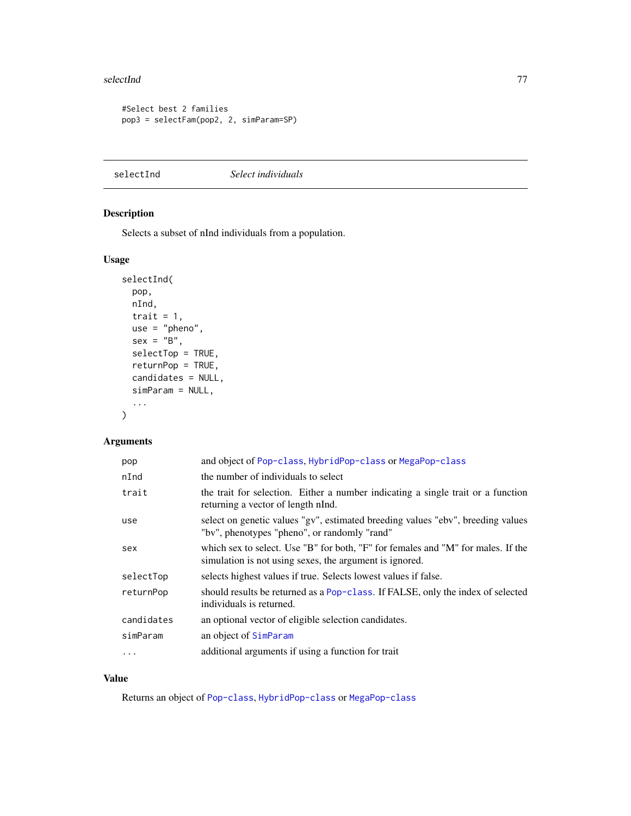#### selectInd 77

```
#Select best 2 families
pop3 = selectFam(pop2, 2, simParam=SP)
```
<span id="page-76-0"></span>selectInd *Select individuals*

### Description

Selects a subset of nInd individuals from a population.

### Usage

```
selectInd(
 pop,
 nInd,
  trait = 1,use = "pheno",
  sex = "B",selectTop = TRUE,
  returnPop = TRUE,
 candidates = NULL,
  simParam = NULL,
  ...
\mathcal{L}
```
### Arguments

| pop        | and object of Pop-class, HybridPop-class or MegaPop-class                                                                                   |
|------------|---------------------------------------------------------------------------------------------------------------------------------------------|
| nInd       | the number of individuals to select                                                                                                         |
| trait      | the trait for selection. Either a number indicating a single trait or a function<br>returning a vector of length nInd.                      |
| use        | select on genetic values "gv", estimated breeding values "ebv", breeding values<br>"bv", phenotypes "pheno", or randomly "rand"             |
| sex        | which sex to select. Use "B" for both, "F" for females and "M" for males. If the<br>simulation is not using sexes, the argument is ignored. |
| selectTop  | selects highest values if true. Selects lowest values if false.                                                                             |
| returnPop  | should results be returned as a Pop-class. If FALSE, only the index of selected<br>individuals is returned.                                 |
| candidates | an optional vector of eligible selection candidates.                                                                                        |
| simParam   | an object of SimParam                                                                                                                       |
| .          | additional arguments if using a function for trait                                                                                          |

### Value

Returns an object of [Pop-class](#page-41-0), [HybridPop-class](#page-22-0) or [MegaPop-class](#page-32-0)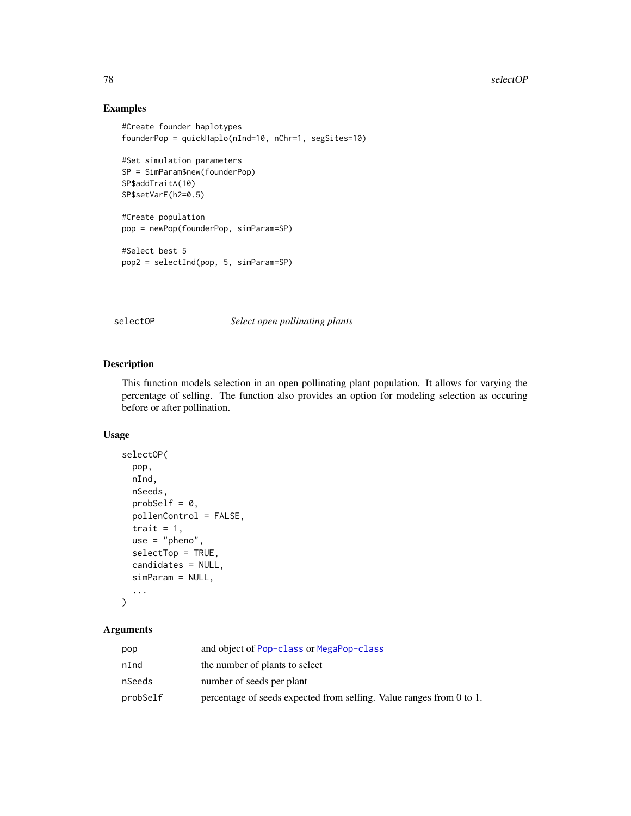### Examples

```
#Create founder haplotypes
founderPop = quickHaplo(nInd=10, nChr=1, segSites=10)
#Set simulation parameters
SP = SimParam$new(founderPop)
SP$addTraitA(10)
SP$setVarE(h2=0.5)
#Create population
pop = newPop(founderPop, simParam=SP)
#Select best 5
pop2 = selectInd(pop, 5, simParam=SP)
```
selectOP *Select open pollinating plants*

### Description

This function models selection in an open pollinating plant population. It allows for varying the percentage of selfing. The function also provides an option for modeling selection as occuring before or after pollination.

#### Usage

```
selectOP(
  pop,
  nInd,
  nSeeds,
  probSelf = 0,
  pollenControl = FALSE,
  trait = 1,
  use = "pheno",selectTop = TRUE,
  candidates = NULL,
  simParam = NULL,
  ...
\mathcal{L}
```
### Arguments

| pop      | and object of Pop-class or MegaPop-class                             |
|----------|----------------------------------------------------------------------|
| nInd     | the number of plants to select                                       |
| nSeeds   | number of seeds per plant                                            |
| probSelf | percentage of seeds expected from selfing. Value ranges from 0 to 1. |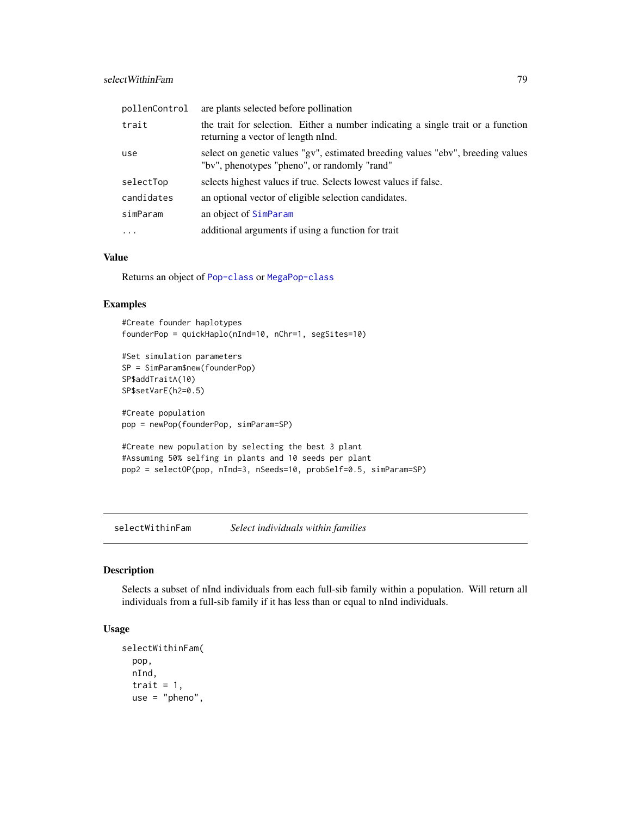| pollenControl | are plants selected before pollination                                                                                          |
|---------------|---------------------------------------------------------------------------------------------------------------------------------|
| trait         | the trait for selection. Either a number indicating a single trait or a function<br>returning a vector of length nInd.          |
| use           | select on genetic values "gv", estimated breeding values "ebv", breeding values<br>"bv", phenotypes "pheno", or randomly "rand" |
| selectTop     | selects highest values if true. Selects lowest values if false.                                                                 |
| candidates    | an optional vector of eligible selection candidates.                                                                            |
| simParam      | an object of SimParam                                                                                                           |
| $\ddots$ .    | additional arguments if using a function for trait                                                                              |
|               |                                                                                                                                 |

### Value

Returns an object of [Pop-class](#page-41-0) or [MegaPop-class](#page-32-0)

#### Examples

#Create founder haplotypes founderPop = quickHaplo(nInd=10, nChr=1, segSites=10)

```
#Set simulation parameters
SP = SimParam$new(founderPop)
SP$addTraitA(10)
SP$setVarE(h2=0.5)
```

```
#Create population
pop = newPop(founderPop, simParam=SP)
```

```
#Create new population by selecting the best 3 plant
#Assuming 50% selfing in plants and 10 seeds per plant
pop2 = selectOP(pop, nInd=3, nSeeds=10, probSelf=0.5, simParam=SP)
```
selectWithinFam *Select individuals within families*

### Description

Selects a subset of nInd individuals from each full-sib family within a population. Will return all individuals from a full-sib family if it has less than or equal to nInd individuals.

### Usage

```
selectWithinFam(
  pop,
 nInd,
  trait = 1,use = "pheno",
```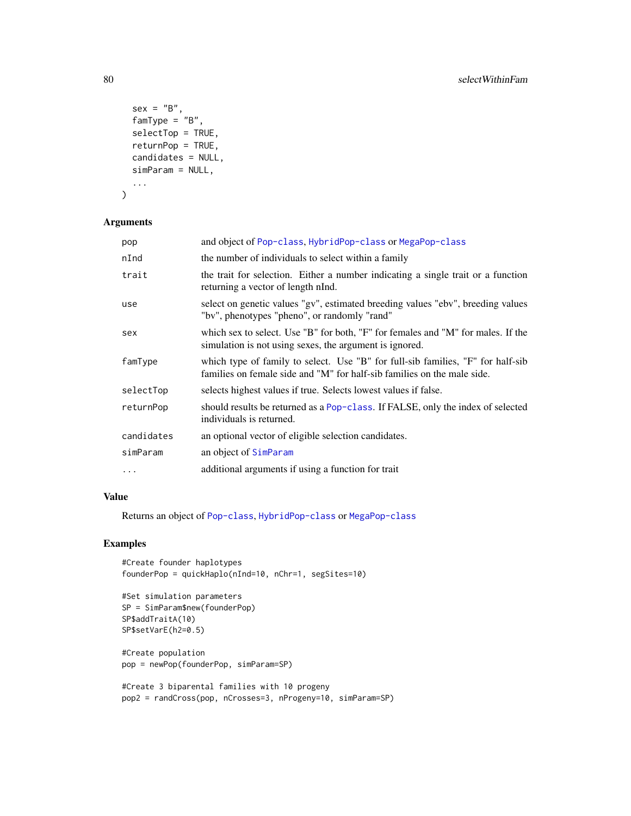```
sex = "B",famType = "B",selectTop = TRUE,
  returnPop = TRUE,
  candidates = NULL,
  simParam = NULL,
  ...
\mathcal{L}
```
# Arguments

| pop        | and object of Pop-class, HybridPop-class or MegaPop-class                                                                                                  |
|------------|------------------------------------------------------------------------------------------------------------------------------------------------------------|
| nInd       | the number of individuals to select within a family                                                                                                        |
| trait      | the trait for selection. Either a number indicating a single trait or a function<br>returning a vector of length nInd.                                     |
| use        | select on genetic values "gv", estimated breeding values "ebv", breeding values<br>"by", phenotypes "pheno", or randomly "rand"                            |
| sex        | which sex to select. Use "B" for both, "F" for females and "M" for males. If the<br>simulation is not using sexes, the argument is ignored.                |
| famType    | which type of family to select. Use "B" for full-sib families, "F" for half-sib<br>families on female side and "M" for half-sib families on the male side. |
| selectTop  | selects highest values if true. Selects lowest values if false.                                                                                            |
| returnPop  | should results be returned as a Pop-class. If FALSE, only the index of selected<br>individuals is returned.                                                |
| candidates | an optional vector of eligible selection candidates.                                                                                                       |
| simParam   | an object of SimParam                                                                                                                                      |
| $\cdots$   | additional arguments if using a function for trait                                                                                                         |

### Value

Returns an object of [Pop-class](#page-41-0), [HybridPop-class](#page-22-0) or [MegaPop-class](#page-32-0)

```
#Create founder haplotypes
founderPop = quickHaplo(nInd=10, nChr=1, segSites=10)
```

```
#Set simulation parameters
SP = SimParam$new(founderPop)
SP$addTraitA(10)
SP$setVarE(h2=0.5)
```

```
#Create population
pop = newPop(founderPop, simParam=SP)
```

```
#Create 3 biparental families with 10 progeny
pop2 = randCross(pop, nCrosses=3, nProgeny=10, simParam=SP)
```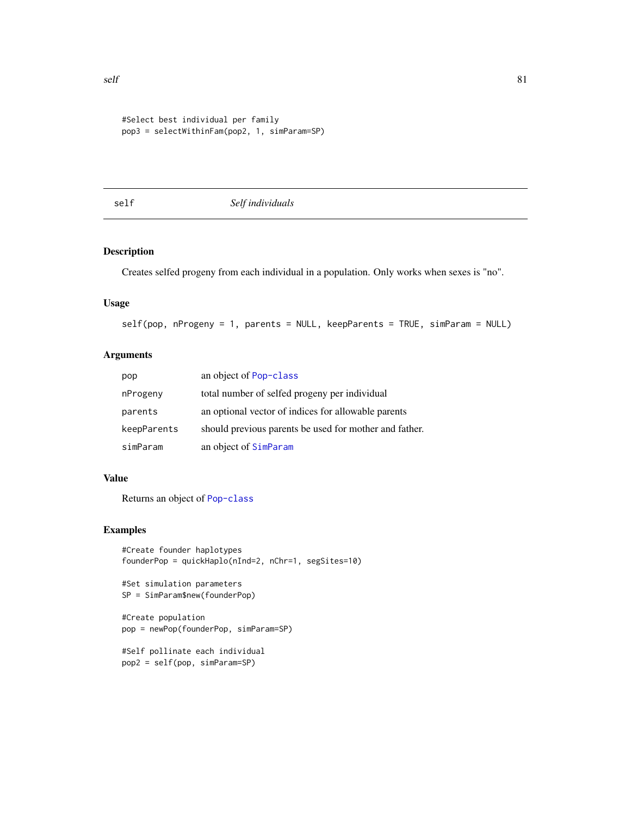```
#Select best individual per family
pop3 = selectWithinFam(pop2, 1, simParam=SP)
```
### self *Self individuals*

### Description

Creates selfed progeny from each individual in a population. Only works when sexes is "no".

### Usage

```
self(pop, nProgeny = 1, parents = NULL, keepParents = TRUE, simParam = NULL)
```
### Arguments

| pop         | an object of Pop-class                                 |
|-------------|--------------------------------------------------------|
| nProgeny    | total number of selfed progeny per individual          |
| parents     | an optional vector of indices for allowable parents    |
| keepParents | should previous parents be used for mother and father. |
| simParam    | an object of SimParam                                  |

### Value

Returns an object of [Pop-class](#page-41-0)

```
#Create founder haplotypes
founderPop = quickHaplo(nInd=2, nChr=1, segSites=10)
```

```
#Set simulation parameters
SP = SimParam$new(founderPop)
```

```
#Create population
pop = newPop(founderPop, simParam=SP)
```

```
#Self pollinate each individual
pop2 = self(pop, simParam=SP)
```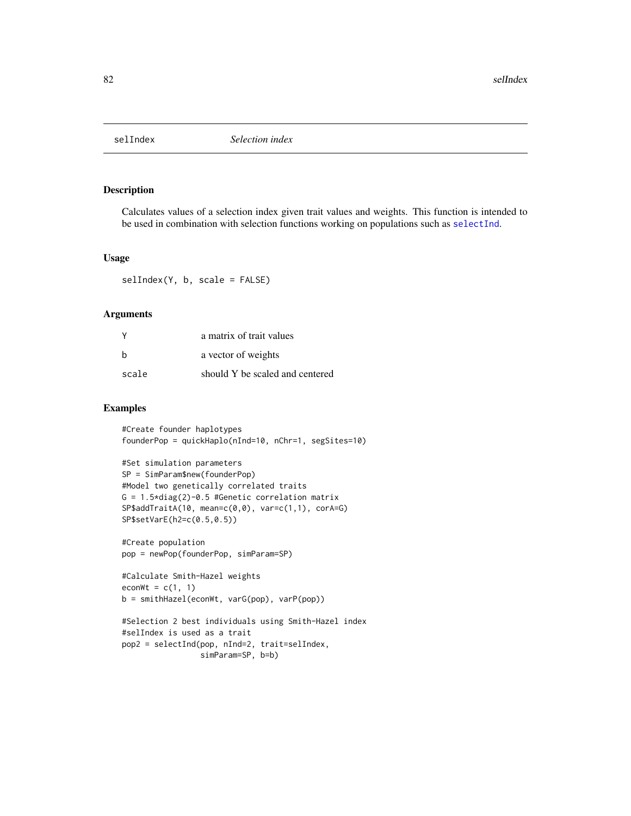#### Description

Calculates values of a selection index given trait values and weights. This function is intended to be used in combination with selection functions working on populations such as [selectInd](#page-76-0).

#### Usage

selIndex(Y, b, scale = FALSE)

#### Arguments

| <b>V</b> | a matrix of trait values        |
|----------|---------------------------------|
| h        | a vector of weights             |
| scale    | should Y be scaled and centered |

```
#Create founder haplotypes
founderPop = quickHaplo(nInd=10, nChr=1, segSites=10)
```

```
#Set simulation parameters
SP = SimParam$new(founderPop)
#Model two genetically correlated traits
G = 1.5 * diag(2) - 0.5 #Genetic correlation matrix
SP$addTraitA(10, mean=c(0,0), var=c(1,1), corA=G)
SP$setVarE(h2=c(0.5,0.5))
```

```
#Create population
pop = newPop(founderPop, simParam=SP)
```

```
#Calculate Smith-Hazel weights
econWt = c(1, 1)b = smithHazel(econWt, varG(pop), varP(pop))
```

```
#Selection 2 best individuals using Smith-Hazel index
#selIndex is used as a trait
pop2 = selectInd(pop, nInd=2, trait=selIndex,
                 simParam=SP, b=b)
```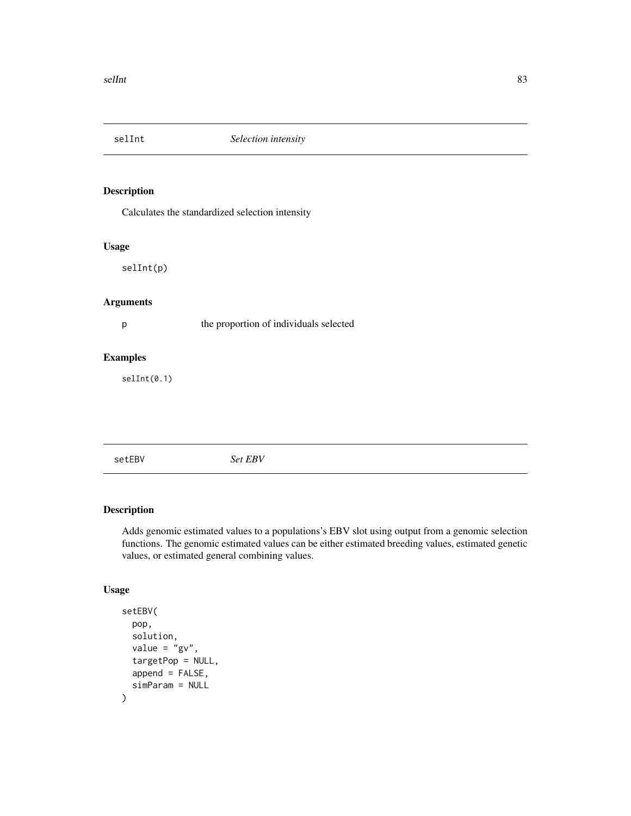### Description

Calculates the standardized selection intensity

#### Usage

selInt(p)

### Arguments

p the proportion of individuals selected

#### Examples

selInt(0.1)

setEBV *Set EBV*

### Description

Adds genomic estimated values to a populations's EBV slot using output from a genomic selection functions. The genomic estimated values can be either estimated breeding values, estimated genetic values, or estimated general combining values.

### Usage

```
setEBV(
  pop,
  solution,
  value = "gy",targetPop = NULL,
  append = FALSE,simParam = NULL
\mathcal{E}
```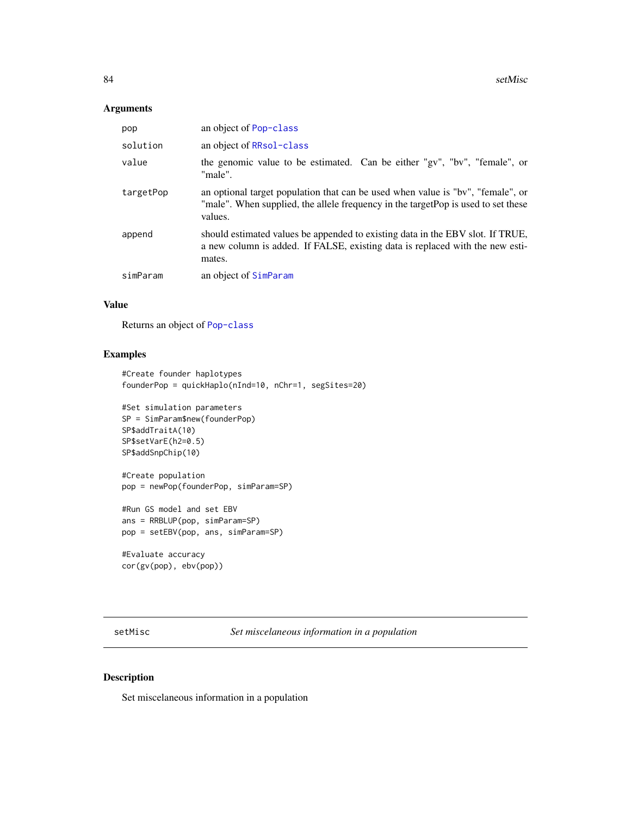### Arguments

| pop       | an object of Pop-class                                                                                                                                                          |
|-----------|---------------------------------------------------------------------------------------------------------------------------------------------------------------------------------|
| solution  | an object of RRsol-class                                                                                                                                                        |
| value     | the genomic value to be estimated. Can be either "gv", "bv", "female", or<br>"male".                                                                                            |
| targetPop | an optional target population that can be used when value is "bv", "female", or<br>"male". When supplied, the allele frequency in the targetPop is used to set these<br>values. |
| append    | should estimated values be appended to existing data in the EBV slot. If TRUE,<br>a new column is added. If FALSE, existing data is replaced with the new esti-<br>mates.       |
| simParam  | an object of SimParam                                                                                                                                                           |

#### Value

Returns an object of [Pop-class](#page-41-0)

### Examples

```
#Create founder haplotypes
founderPop = quickHaplo(nInd=10, nChr=1, segSites=20)
```

```
#Set simulation parameters
SP = SimParam$new(founderPop)
SP$addTraitA(10)
SP$setVarE(h2=0.5)
SP$addSnpChip(10)
```

```
#Create population
pop = newPop(founderPop, simParam=SP)
```

```
#Run GS model and set EBV
ans = RRBLUP(pop, simParam=SP)
pop = setEBV(pop, ans, simParam=SP)
```

```
#Evaluate accuracy
cor(gv(pop), ebv(pop))
```
setMisc *Set miscelaneous information in a population*

### Description

Set miscelaneous information in a population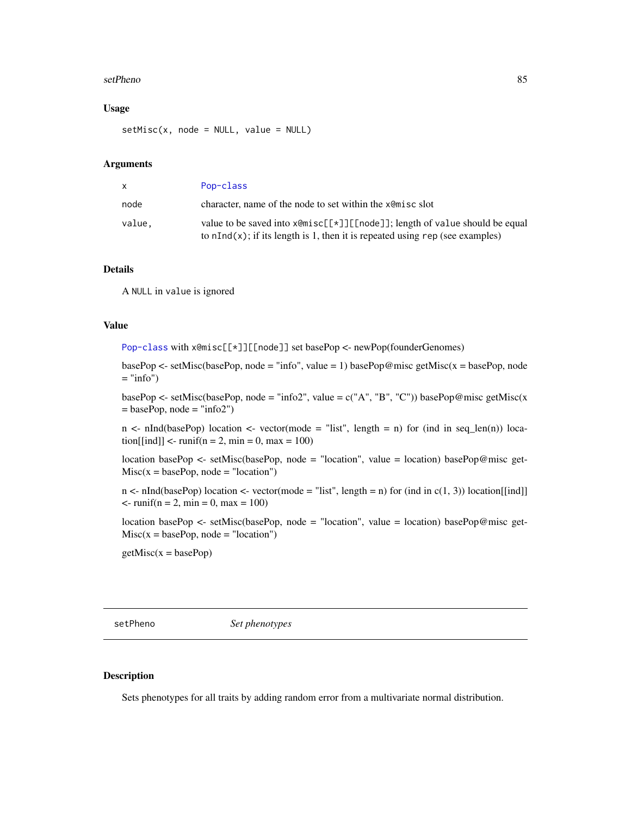#### setPheno 85

#### Usage

 $setMisc(x, node = NULL, value = NULL)$ 

### Arguments

| x.     | Pop-class                                                                                                                                                                       |
|--------|---------------------------------------------------------------------------------------------------------------------------------------------------------------------------------|
| node   | character, name of the node to set within the xemisc slot                                                                                                                       |
| value. | value to be saved into $x \in [\lfloor x \rfloor]$ [[node]]; length of value should be equal<br>to $nInd(x)$ ; if its length is 1, then it is repeated using rep (see examples) |

#### Details

A NULL in value is ignored

### Value

[Pop-class](#page-41-0) with x@misc[[\*]][[node]] set basePop <- newPop(founderGenomes)

basePop  $\le$  setMisc(basePop, node = "info", value = 1) basePop@misc getMisc(x = basePop, node  $=$  "info")

basePop <- setMisc(basePop, node = "info2", value =  $c("A", "B", "C")$ ) basePop@misc getMisc(x  $=$  basePop, node  $=$  "info2")

 $n \leq n$ Ind(basePop) location  $\leq$  vector(mode = "list", length = n) for (ind in seq\_len(n)) loca- $\text{tion}[\text{ind}]$  <-  $\text{runif}(n = 2, \text{min} = 0, \text{max} = 100)$ 

location basePop <- setMisc(basePop, node = "location", value = location) basePop@misc get- $Misc(x = basePop, node = "location")$ 

 $n < \text{nInd}(\text{basePop})$  location  $\lt\text{-}$  vector(mode = "list", length = n) for (ind in c(1, 3)) location[[ind]]  $\leftarrow$  runif(n = 2, min = 0, max = 100)

location basePop <- setMisc(basePop, node = "location", value = location) basePop@misc get- $Misc(x = basePop, node = "location")$ 

 $getMisc(x = basePop)$ 

setPheno *Set phenotypes*

#### Description

Sets phenotypes for all traits by adding random error from a multivariate normal distribution.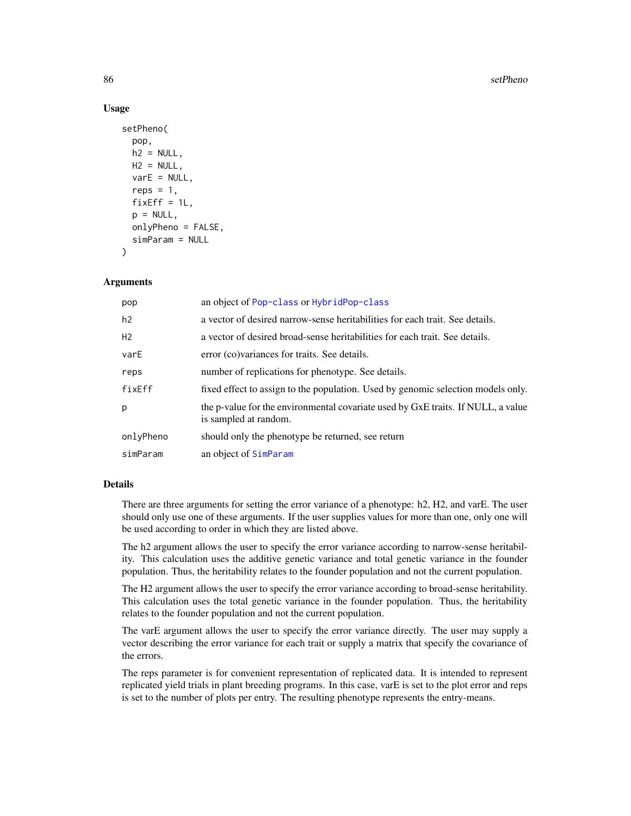#### 86 setPheno setPheno setPheno setPheno setPheno setPheno setPheno setPheno setPheno setPheno setPheno setPheno

#### Usage

```
setPheno(
  pop,
  h2 = NULL,
 H2 = NULL,varE = NULL,
  reps = 1,
  fixEff = 1L,p = NULL,onlyPheno = FALSE,
  simParam = NULL
)
```
#### Arguments

| pop            | an object of Pop-class or HybridPop-class                                                                 |
|----------------|-----------------------------------------------------------------------------------------------------------|
| h2             | a vector of desired narrow-sense heritabilities for each trait. See details.                              |
| H <sub>2</sub> | a vector of desired broad-sense heritabilities for each trait. See details.                               |
| varE           | error (co) variances for traits. See details.                                                             |
| reps           | number of replications for phenotype. See details.                                                        |
| fixEff         | fixed effect to assign to the population. Used by genomic selection models only.                          |
| p              | the p-value for the environmental covariate used by GxE traits. If NULL, a value<br>is sampled at random. |
| onlyPheno      | should only the phenotype be returned, see return                                                         |
| simParam       | an object of SimParam                                                                                     |

#### Details

There are three arguments for setting the error variance of a phenotype: h2, H2, and varE. The user should only use one of these arguments. If the user supplies values for more than one, only one will be used according to order in which they are listed above.

The h2 argument allows the user to specify the error variance according to narrow-sense heritability. This calculation uses the additive genetic variance and total genetic variance in the founder population. Thus, the heritability relates to the founder population and not the current population.

The H2 argument allows the user to specify the error variance according to broad-sense heritability. This calculation uses the total genetic variance in the founder population. Thus, the heritability relates to the founder population and not the current population.

The varE argument allows the user to specify the error variance directly. The user may supply a vector describing the error variance for each trait or supply a matrix that specify the covariance of the errors.

The reps parameter is for convenient representation of replicated data. It is intended to represent replicated yield trials in plant breeding programs. In this case, varE is set to the plot error and reps is set to the number of plots per entry. The resulting phenotype represents the entry-means.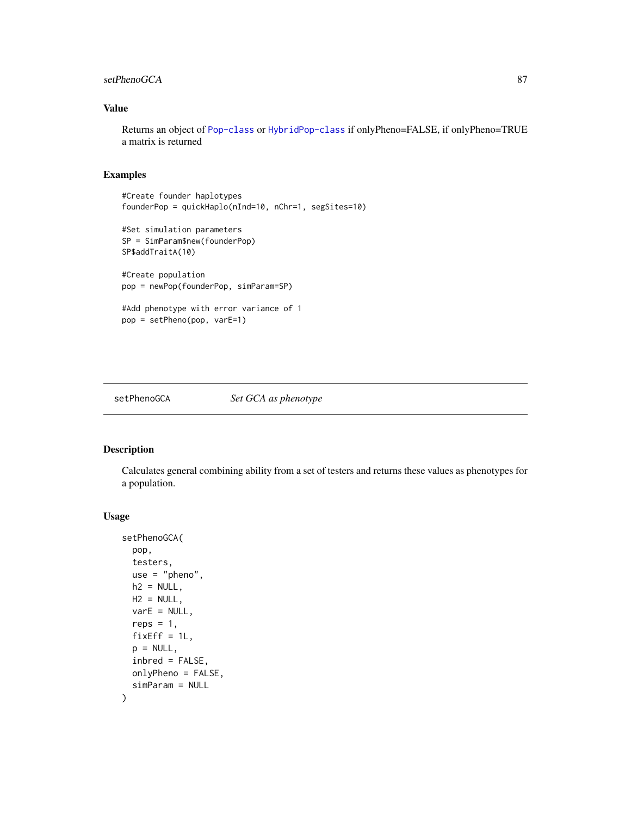### setPhenoGCA 87

### Value

Returns an object of [Pop-class](#page-41-0) or [HybridPop-class](#page-22-0) if onlyPheno=FALSE, if onlyPheno=TRUE a matrix is returned

### Examples

```
#Create founder haplotypes
founderPop = quickHaplo(nInd=10, nChr=1, segSites=10)
#Set simulation parameters
SP = SimParam$new(founderPop)
SP$addTraitA(10)
#Create population
pop = newPop(founderPop, simParam=SP)
#Add phenotype with error variance of 1
pop = setPheno(pop, varE=1)
```
setPhenoGCA *Set GCA as phenotype*

### Description

Calculates general combining ability from a set of testers and returns these values as phenotypes for a population.

#### Usage

```
setPhenoGCA(
 pop,
 testers,
 use = "pheno",
 h2 = NULL,H2 = NULL,varE = NULL,reps = 1,
 fixEff = 1L,
 p = NULL,inbred = FALSE,
 onlyPheno = FALSE,
 simParam = NULL
)
```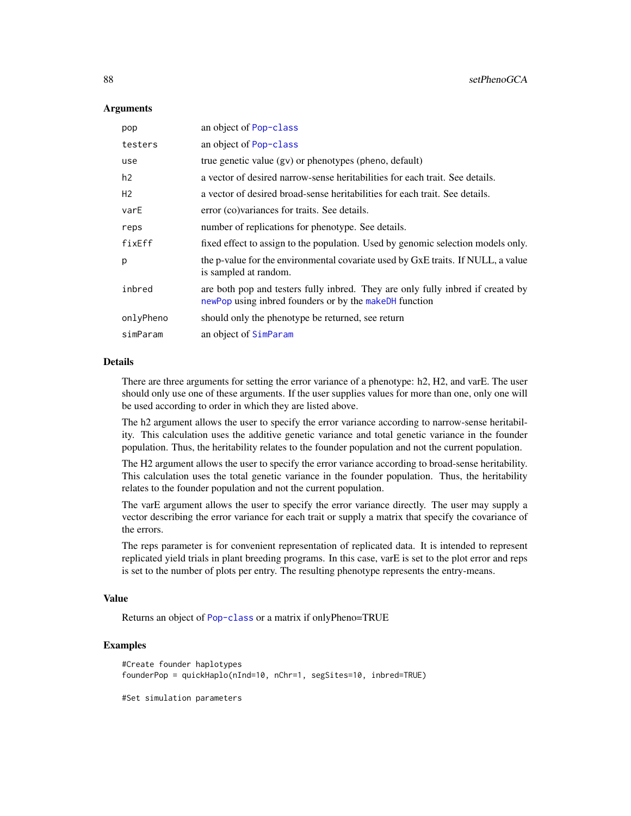#### Arguments

| pop            | an object of Pop-class                                                                                                                    |
|----------------|-------------------------------------------------------------------------------------------------------------------------------------------|
| testers        | an object of Pop-class                                                                                                                    |
| use            | true genetic value (gv) or phenotypes (pheno, default)                                                                                    |
| h2             | a vector of desired narrow-sense heritabilities for each trait. See details.                                                              |
| H <sub>2</sub> | a vector of desired broad-sense heritabilities for each trait. See details.                                                               |
| varE           | error (co) variances for traits. See details.                                                                                             |
| reps           | number of replications for phenotype. See details.                                                                                        |
| fixEff         | fixed effect to assign to the population. Used by genomic selection models only.                                                          |
| p              | the p-value for the environmental covariate used by GxE traits. If NULL, a value<br>is sampled at random.                                 |
| inbred         | are both pop and testers fully inbred. They are only fully inbred if created by<br>newPop using inbred founders or by the makeDH function |
| onlyPheno      | should only the phenotype be returned, see return                                                                                         |
| simParam       | an object of SimParam                                                                                                                     |

### Details

There are three arguments for setting the error variance of a phenotype: h2, H2, and varE. The user should only use one of these arguments. If the user supplies values for more than one, only one will be used according to order in which they are listed above.

The h2 argument allows the user to specify the error variance according to narrow-sense heritability. This calculation uses the additive genetic variance and total genetic variance in the founder population. Thus, the heritability relates to the founder population and not the current population.

The H2 argument allows the user to specify the error variance according to broad-sense heritability. This calculation uses the total genetic variance in the founder population. Thus, the heritability relates to the founder population and not the current population.

The varE argument allows the user to specify the error variance directly. The user may supply a vector describing the error variance for each trait or supply a matrix that specify the covariance of the errors.

The reps parameter is for convenient representation of replicated data. It is intended to represent replicated yield trials in plant breeding programs. In this case, varE is set to the plot error and reps is set to the number of plots per entry. The resulting phenotype represents the entry-means.

#### Value

Returns an object of [Pop-class](#page-41-0) or a matrix if onlyPheno=TRUE

### Examples

```
#Create founder haplotypes
founderPop = quickHaplo(nInd=10, nChr=1, segSites=10, inbred=TRUE)
```
#Set simulation parameters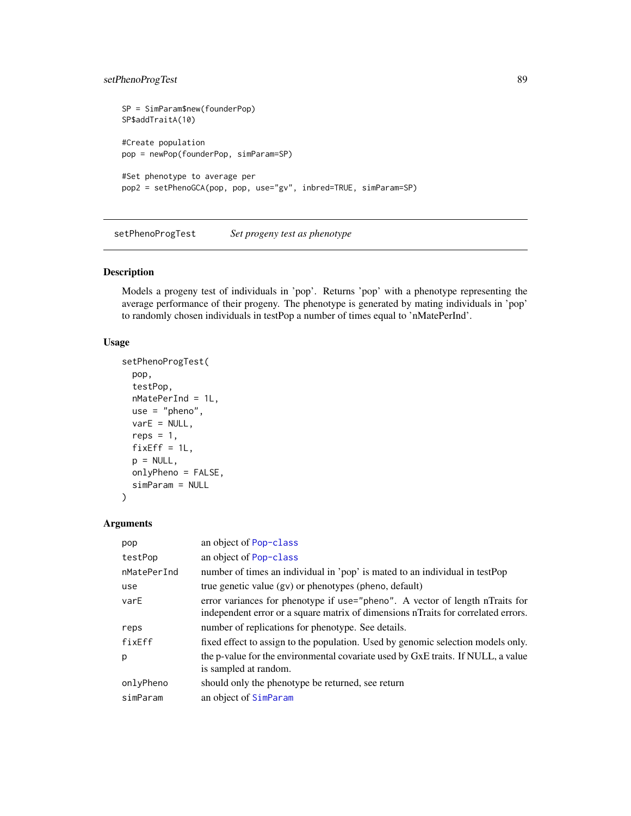### setPhenoProgTest 89

```
SP = SimParam$new(founderPop)
SP$addTraitA(10)
#Create population
pop = newPop(founderPop, simParam=SP)
#Set phenotype to average per
pop2 = setPhenoGCA(pop, pop, use="gv", inbred=TRUE, simParam=SP)
```
setPhenoProgTest *Set progeny test as phenotype*

### Description

Models a progeny test of individuals in 'pop'. Returns 'pop' with a phenotype representing the average performance of their progeny. The phenotype is generated by mating individuals in 'pop' to randomly chosen individuals in testPop a number of times equal to 'nMatePerInd'.

#### Usage

```
setPhenoProgTest(
 pop,
  testPop,
 nMatePerInd = 1L,
 use = "pheno",
 varE = NULL,reps = 1,
 fixEff = 1L,p = NULL,onlyPheno = FALSE,
 simParam = NULL
)
```
#### Arguments

| pop         | an object of Pop-class                                                                                                                                            |
|-------------|-------------------------------------------------------------------------------------------------------------------------------------------------------------------|
| testPop     | an object of Pop-class                                                                                                                                            |
| nMatePerInd | number of times an individual in 'pop' is mated to an individual in testPop                                                                                       |
| use         | true genetic value (gv) or phenotypes (pheno, default)                                                                                                            |
| varE        | error variances for phenotype if use="pheno". A vector of length nTraits for<br>independent error or a square matrix of dimensions nTraits for correlated errors. |
| reps        | number of replications for phenotype. See details.                                                                                                                |
| fixEff      | fixed effect to assign to the population. Used by genomic selection models only.                                                                                  |
| p           | the p-value for the environmental covariate used by GxE traits. If NULL, a value<br>is sampled at random.                                                         |
| onlyPheno   | should only the phenotype be returned, see return                                                                                                                 |
| simParam    | an object of SimParam                                                                                                                                             |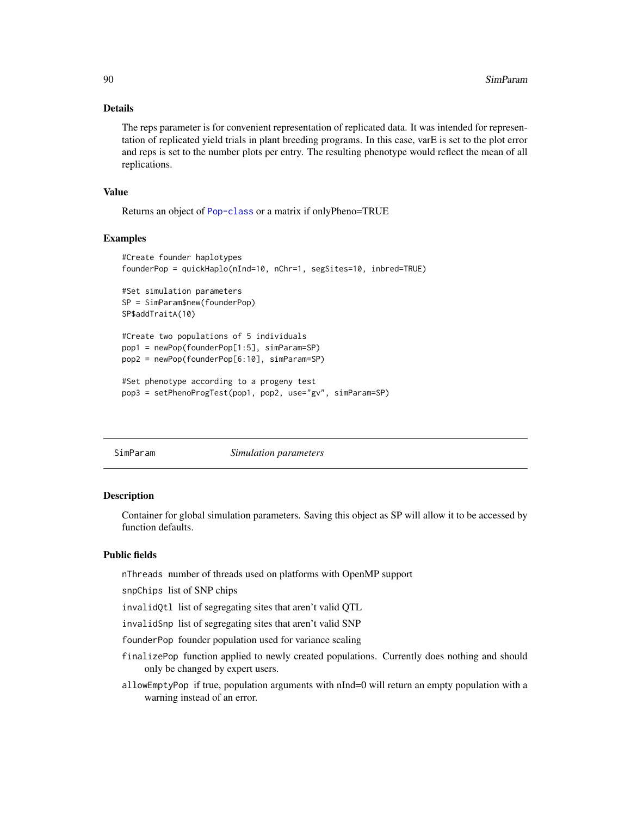### Details

The reps parameter is for convenient representation of replicated data. It was intended for representation of replicated yield trials in plant breeding programs. In this case, varE is set to the plot error and reps is set to the number plots per entry. The resulting phenotype would reflect the mean of all replications.

### Value

Returns an object of [Pop-class](#page-41-0) or a matrix if onlyPheno=TRUE

#### Examples

```
#Create founder haplotypes
founderPop = quickHaplo(nInd=10, nChr=1, segSites=10, inbred=TRUE)
#Set simulation parameters
SP = SimParam$new(founderPop)
SP$addTraitA(10)
#Create two populations of 5 individuals
pop1 = newPop(founderPop[1:5], simParam=SP)
pop2 = newPop(founderPop[6:10], simParam=SP)
#Set phenotype according to a progeny test
pop3 = setPhenoProgTest(pop1, pop2, use="gv", simParam=SP)
```
<span id="page-89-0"></span>

| SimParam |  |
|----------|--|
|          |  |

#### $Simulation$  *parameters*

#### **Description**

Container for global simulation parameters. Saving this object as SP will allow it to be accessed by function defaults.

### Public fields

nThreads number of threads used on platforms with OpenMP support

snpChips list of SNP chips

invalidQtl list of segregating sites that aren't valid QTL

invalidSnp list of segregating sites that aren't valid SNP

founderPop founder population used for variance scaling

- finalizePop function applied to newly created populations. Currently does nothing and should only be changed by expert users.
- allowEmptyPop if true, population arguments with nInd=0 will return an empty population with a warning instead of an error.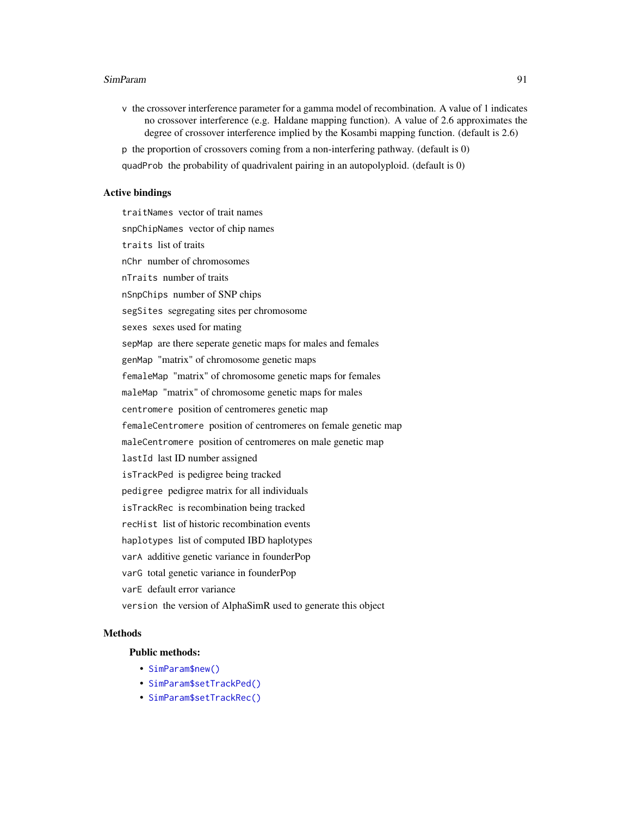v the crossover interference parameter for a gamma model of recombination. A value of 1 indicates no crossover interference (e.g. Haldane mapping function). A value of 2.6 approximates the degree of crossover interference implied by the Kosambi mapping function. (default is 2.6)

p the proportion of crossovers coming from a non-interfering pathway. (default is 0) quadProb the probability of quadrivalent pairing in an autopolyploid. (default is 0)

#### Active bindings

traitNames vector of trait names snpChipNames vector of chip names traits list of traits nChr number of chromosomes nTraits number of traits nSnpChips number of SNP chips segSites segregating sites per chromosome sexes sexes used for mating sepMap are there seperate genetic maps for males and females genMap "matrix" of chromosome genetic maps femaleMap "matrix" of chromosome genetic maps for females maleMap "matrix" of chromosome genetic maps for males centromere position of centromeres genetic map femaleCentromere position of centromeres on female genetic map maleCentromere position of centromeres on male genetic map lastId last ID number assigned isTrackPed is pedigree being tracked pedigree pedigree matrix for all individuals isTrackRec is recombination being tracked recHist list of historic recombination events haplotypes list of computed IBD haplotypes varA additive genetic variance in founderPop varG total genetic variance in founderPop varE default error variance version the version of AlphaSimR used to generate this object

#### Methods

#### Public methods:

- [SimParam\\$new\(\)](#page-91-0)
- [SimParam\\$setTrackPed\(\)](#page-91-1)
- [SimParam\\$setTrackRec\(\)](#page-92-0)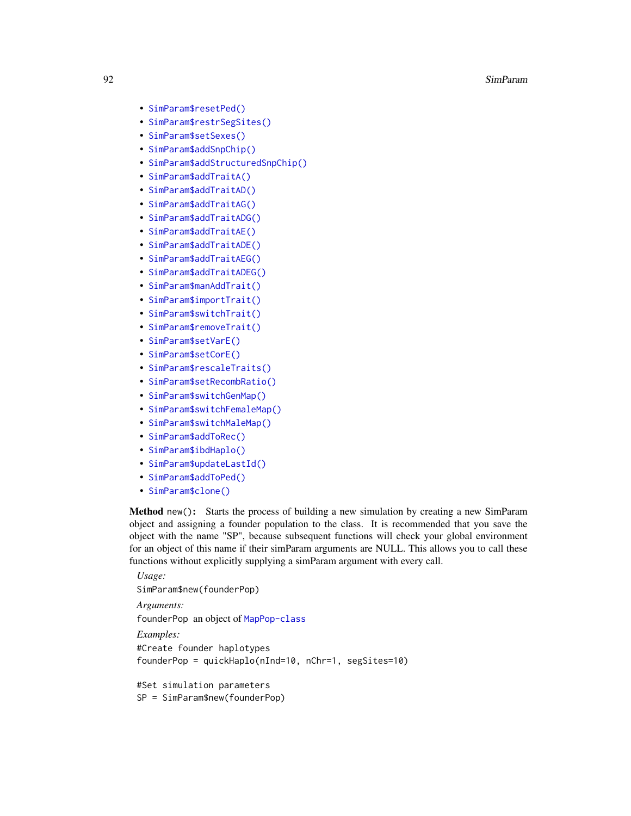- [SimParam\\$resetPed\(\)](#page-92-1)
- [SimParam\\$restrSegSites\(\)](#page-93-0)
- [SimParam\\$setSexes\(\)](#page-93-1)
- [SimParam\\$addSnpChip\(\)](#page-94-0)
- [SimParam\\$addStructuredSnpChip\(\)](#page-94-1)
- [SimParam\\$addTraitA\(\)](#page-94-2)
- [SimParam\\$addTraitAD\(\)](#page-95-0)
- [SimParam\\$addTraitAG\(\)](#page-96-0)
- [SimParam\\$addTraitADG\(\)](#page-97-0)
- [SimParam\\$addTraitAE\(\)](#page-98-0)
- [SimParam\\$addTraitADE\(\)](#page-99-0)
- [SimParam\\$addTraitAEG\(\)](#page-100-0)
- [SimParam\\$addTraitADEG\(\)](#page-101-0)
- [SimParam\\$manAddTrait\(\)](#page-102-0)
- [SimParam\\$importTrait\(\)](#page-102-1)
- [SimParam\\$switchTrait\(\)](#page-102-2)
- [SimParam\\$removeTrait\(\)](#page-103-0)
- [SimParam\\$setVarE\(\)](#page-103-1)
- [SimParam\\$setCorE\(\)](#page-103-2)
- [SimParam\\$rescaleTraits\(\)](#page-104-0)
- [SimParam\\$setRecombRatio\(\)](#page-104-1)
- [SimParam\\$switchGenMap\(\)](#page-105-0)
- [SimParam\\$switchFemaleMap\(\)](#page-105-1)
- [SimParam\\$switchMaleMap\(\)](#page-105-2)
- [SimParam\\$addToRec\(\)](#page-105-3)
- [SimParam\\$ibdHaplo\(\)](#page-106-0)
- [SimParam\\$updateLastId\(\)](#page-106-1)
- [SimParam\\$addToPed\(\)](#page-106-2)
- [SimParam\\$clone\(\)](#page-106-3)

<span id="page-91-0"></span>Method new(): Starts the process of building a new simulation by creating a new SimParam object and assigning a founder population to the class. It is recommended that you save the object with the name "SP", because subsequent functions will check your global environment for an object of this name if their simParam arguments are NULL. This allows you to call these functions without explicitly supplying a simParam argument with every call.

```
Usage:
SimParam$new(founderPop)
Arguments:
founderPop an object of MapPop-class
Examples:
#Create founder haplotypes
founderPop = quickHaplo(nInd=10, nChr=1, segSites=10)
#Set simulation parameters
SP = SimParam$new(founderPop)
```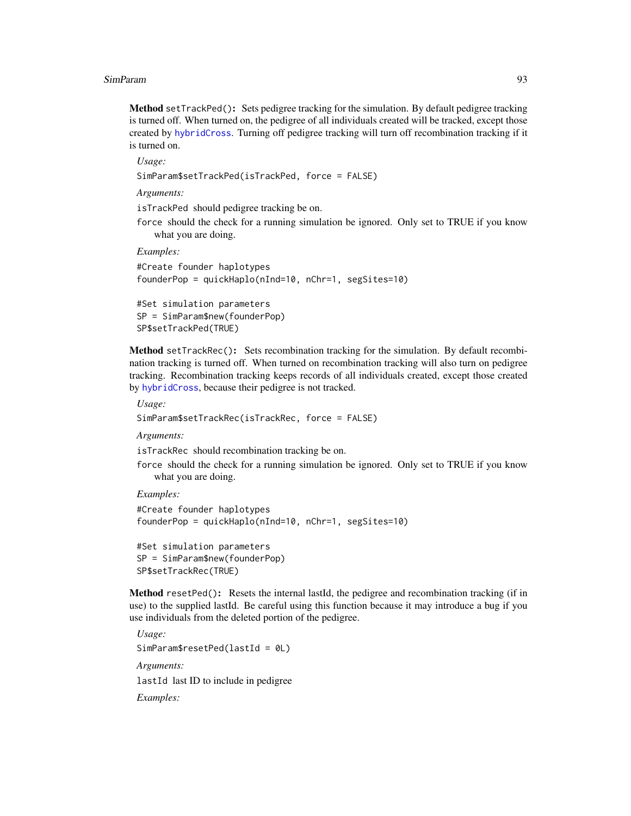Method setTrackPed(): Sets pedigree tracking for the simulation. By default pedigree tracking is turned off. When turned on, the pedigree of all individuals created will be tracked, except those created by [hybridCross](#page-21-0). Turning off pedigree tracking will turn off recombination tracking if it is turned on.

*Usage:*

```
SimParam$setTrackPed(isTrackPed, force = FALSE)
```
*Arguments:*

isTrackPed should pedigree tracking be on.

force should the check for a running simulation be ignored. Only set to TRUE if you know what you are doing.

*Examples:*

```
#Create founder haplotypes
founderPop = quickHaplo(nInd=10, nChr=1, segSites=10)
```

```
#Set simulation parameters
SP = SimParam$new(founderPop)
SP$setTrackPed(TRUE)
```
<span id="page-92-0"></span>Method setTrackRec(): Sets recombination tracking for the simulation. By default recombination tracking is turned off. When turned on recombination tracking will also turn on pedigree tracking. Recombination tracking keeps records of all individuals created, except those created by [hybridCross](#page-21-0), because their pedigree is not tracked.

*Usage:*

```
SimParam$setTrackRec(isTrackRec, force = FALSE)
```
*Arguments:*

isTrackRec should recombination tracking be on.

force should the check for a running simulation be ignored. Only set to TRUE if you know what you are doing.

*Examples:*

```
#Create founder haplotypes
founderPop = quickHaplo(nInd=10, nChr=1, segSites=10)
```

```
#Set simulation parameters
SP = SimParam$new(founderPop)
SP$setTrackRec(TRUE)
```
<span id="page-92-1"></span>Method resetPed(): Resets the internal lastId, the pedigree and recombination tracking (if in use) to the supplied lastId. Be careful using this function because it may introduce a bug if you use individuals from the deleted portion of the pedigree.

*Usage:* SimParam\$resetPed(lastId = 0L) *Arguments:* lastId last ID to include in pedigree *Examples:*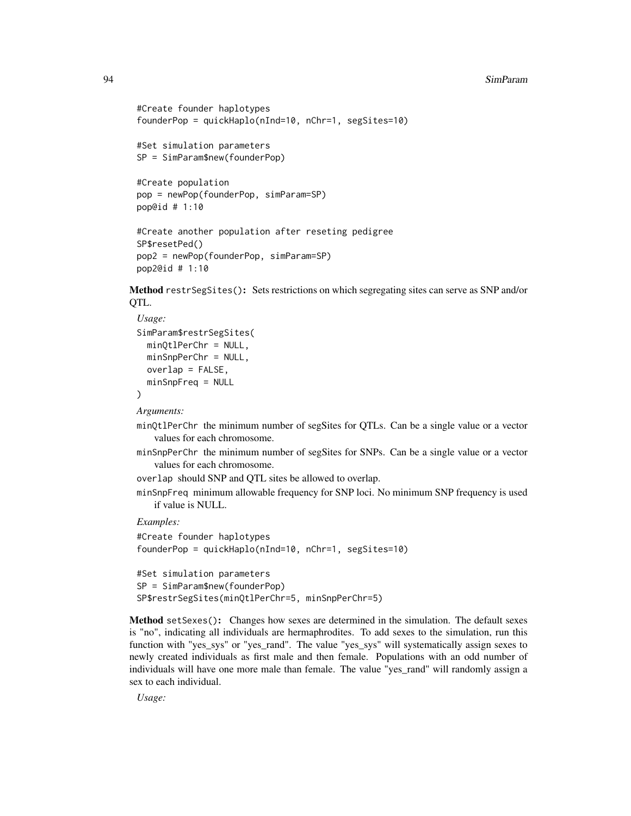```
#Create founder haplotypes
founderPop = quickHaplo(nInd=10, nChr=1, segSites=10)
#Set simulation parameters
SP = SimParam$new(founderPop)
#Create population
pop = newPop(founderPop, simParam=SP)
pop@id # 1:10
```

```
#Create another population after reseting pedigree
SP$resetPed()
```

```
pop2 = newPop(founderPop, simParam=SP)
pop2@id # 1:10
```
<span id="page-93-0"></span>Method restrSegSites(): Sets restrictions on which segregating sites can serve as SNP and/or QTL.

```
Usage:
SimParam$restrSegSites(
 minQtlPerChr = NULL,
 minSnpPerChr = NULL,
 overlap = FALSE,minSnpFreq = NULL
)
```
*Arguments:*

minQtlPerChr the minimum number of segSites for QTLs. Can be a single value or a vector values for each chromosome.

minSnpPerChr the minimum number of segSites for SNPs. Can be a single value or a vector values for each chromosome.

overlap should SNP and QTL sites be allowed to overlap.

minSnpFreq minimum allowable frequency for SNP loci. No minimum SNP frequency is used if value is NULL.

*Examples:*

```
#Create founder haplotypes
founderPop = quickHaplo(nInd=10, nChr=1, segSites=10)
#Set simulation parameters
SP = SimParam$new(founderPop)
```

```
SP$restrSegSites(minQtlPerChr=5, minSnpPerChr=5)
```
<span id="page-93-1"></span>Method setSexes(): Changes how sexes are determined in the simulation. The default sexes is "no", indicating all individuals are hermaphrodites. To add sexes to the simulation, run this function with "yes\_sys" or "yes\_rand". The value "yes\_sys" will systematically assign sexes to newly created individuals as first male and then female. Populations with an odd number of individuals will have one more male than female. The value "yes\_rand" will randomly assign a sex to each individual.

*Usage:*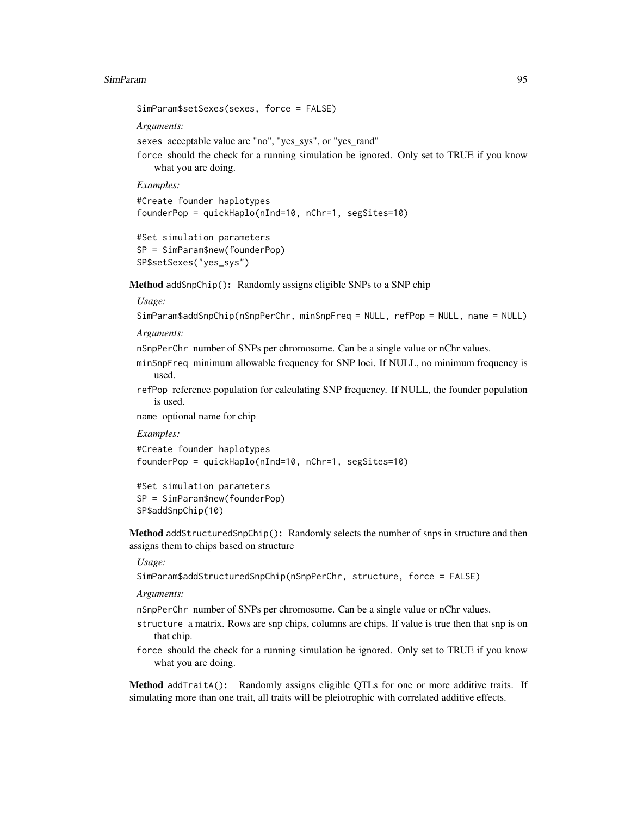SimParam\$setSexes(sexes, force = FALSE)

*Arguments:*

sexes acceptable value are "no", "yes\_sys", or "yes\_rand"

force should the check for a running simulation be ignored. Only set to TRUE if you know what you are doing.

*Examples:*

```
#Create founder haplotypes
founderPop = quickHaplo(nInd=10, nChr=1, segSites=10)
```

```
#Set simulation parameters
SP = SimParam$new(founderPop)
SP$setSexes("yes_sys")
```
<span id="page-94-0"></span>Method addSnpChip(): Randomly assigns eligible SNPs to a SNP chip

#### *Usage:*

```
SimParam$addSnpChip(nSnpPerChr, minSnpFreq = NULL, refPop = NULL, name = NULL)
```
*Arguments:*

nSnpPerChr number of SNPs per chromosome. Can be a single value or nChr values.

minSnpFreq minimum allowable frequency for SNP loci. If NULL, no minimum frequency is used.

refPop reference population for calculating SNP frequency. If NULL, the founder population is used.

name optional name for chip

*Examples:*

```
#Create founder haplotypes
founderPop = quickHaplo(nInd=10, nChr=1, segSites=10)
```
#Set simulation parameters SP = SimParam\$new(founderPop) SP\$addSnpChip(10)

<span id="page-94-1"></span>Method addStructuredSnpChip(): Randomly selects the number of snps in structure and then assigns them to chips based on structure

#### *Usage:*

SimParam\$addStructuredSnpChip(nSnpPerChr, structure, force = FALSE)

*Arguments:*

nSnpPerChr number of SNPs per chromosome. Can be a single value or nChr values.

- structure a matrix. Rows are snp chips, columns are chips. If value is true then that snp is on that chip.
- force should the check for a running simulation be ignored. Only set to TRUE if you know what you are doing.

<span id="page-94-2"></span>Method addTraitA(): Randomly assigns eligible QTLs for one or more additive traits. If simulating more than one trait, all traits will be pleiotrophic with correlated additive effects.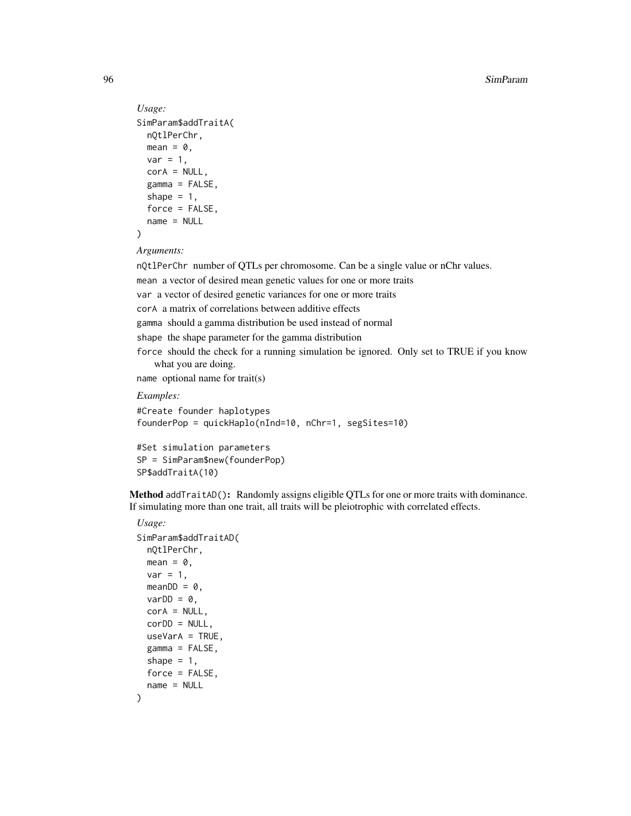```
Usage:
SimParam$addTraitA(
 nQtlPerChr,
 mean = 0,
 var = 1,
 corA = NULL,gamma = FALSE,shape = 1,
  force = FALSE,name = NULL
)
```

```
Arguments:
```
nQtlPerChr number of QTLs per chromosome. Can be a single value or nChr values. mean a vector of desired mean genetic values for one or more traits var a vector of desired genetic variances for one or more traits corA a matrix of correlations between additive effects gamma should a gamma distribution be used instead of normal shape the shape parameter for the gamma distribution force should the check for a running simulation be ignored. Only set to TRUE if you know what you are doing. name optional name for trait(s)

*Examples:*

```
#Create founder haplotypes
founderPop = quickHaplo(nInd=10, nChr=1, segSites=10)
```

```
#Set simulation parameters
SP = SimParam$new(founderPop)
SP$addTraitA(10)
```
<span id="page-95-0"></span>Method addTraitAD(): Randomly assigns eligible OTLs for one or more traits with dominance. If simulating more than one trait, all traits will be pleiotrophic with correlated effects.

### *Usage:*

```
SimParam$addTraitAD(
 nQtlPerChr,
 mean = 0,
 var = 1,
 meanDD = 0,
 varDD = 0,
 corA = NULL,corDD = NULL,
 useVarA = TRUE,
 gamma = FALSE,
 shape = 1,
 force = FALSE,name = NULL
)
```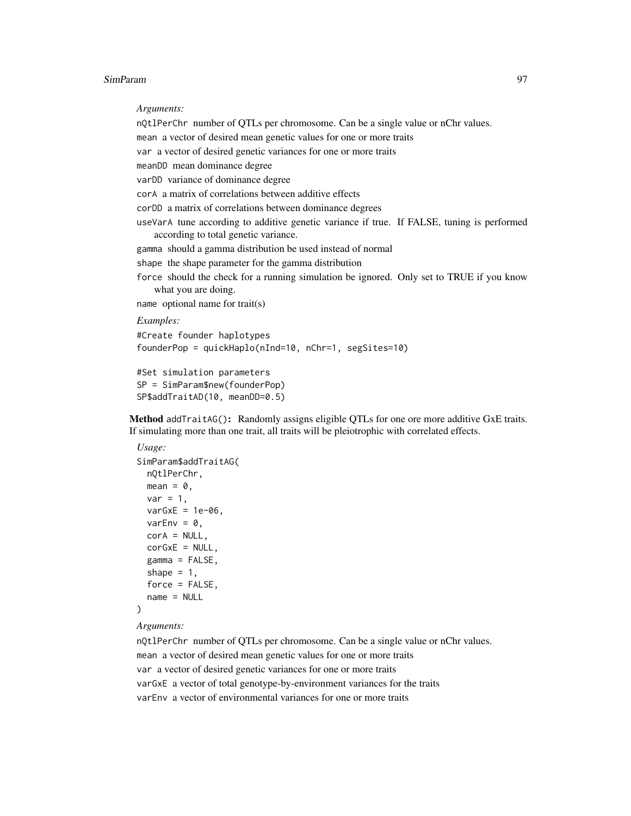*Arguments:*

nQtlPerChr number of QTLs per chromosome. Can be a single value or nChr values. mean a vector of desired mean genetic values for one or more traits var a vector of desired genetic variances for one or more traits meanDD mean dominance degree varDD variance of dominance degree corA a matrix of correlations between additive effects corDD a matrix of correlations between dominance degrees useVarA tune according to additive genetic variance if true. If FALSE, tuning is performed according to total genetic variance. gamma should a gamma distribution be used instead of normal shape the shape parameter for the gamma distribution force should the check for a running simulation be ignored. Only set to TRUE if you know what you are doing. name optional name for trait(s) *Examples:* #Create founder haplotypes founderPop = quickHaplo(nInd=10, nChr=1, segSites=10) #Set simulation parameters

<span id="page-96-0"></span>Method addTraitAG(): Randomly assigns eligible QTLs for one ore more additive GxE traits. If simulating more than one trait, all traits will be pleiotrophic with correlated effects.

```
Usage:
SimParam$addTraitAG(
 nQtlPerChr,
 mean = 0,
 var = 1,
  varGxE = 1e-06,
 varEnv = \theta,
 corA = NULL,
 corGxE = NULL,gamma = FALSE,shape = 1,
  force = FALSE,
  name = NULL
)
```
SP = SimParam\$new(founderPop) SP\$addTraitAD(10, meanDD=0.5)

```
Arguments:
```
nQtlPerChr number of QTLs per chromosome. Can be a single value or nChr values. mean a vector of desired mean genetic values for one or more traits var a vector of desired genetic variances for one or more traits varGxE a vector of total genotype-by-environment variances for the traits varEnv a vector of environmental variances for one or more traits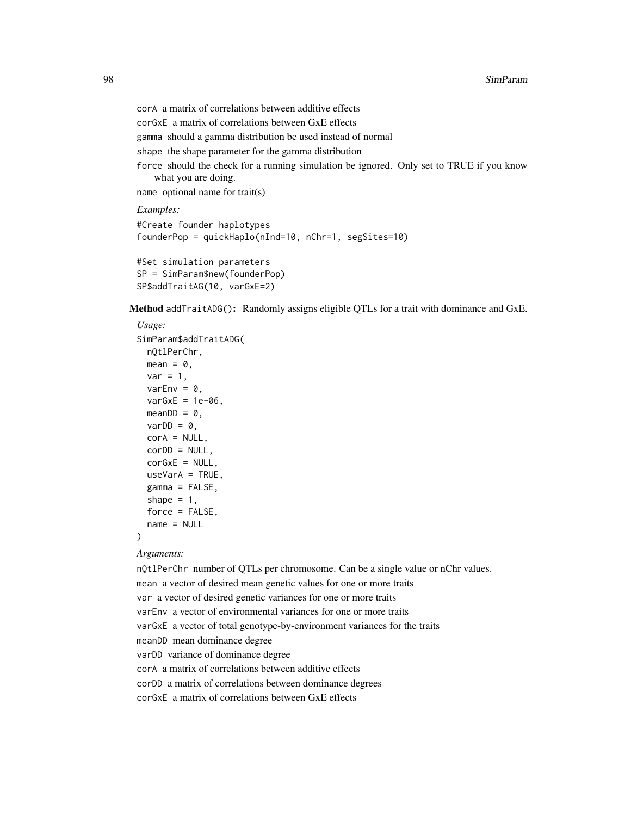```
corA a matrix of correlations between additive effects
corGxE a matrix of correlations between GxE effects
gamma should a gamma distribution be used instead of normal
shape the shape parameter for the gamma distribution
force should the check for a running simulation be ignored. Only set to TRUE if you know
   what you are doing.
name optional name for trait(s)
Examples:
#Create founder haplotypes
founderPop = quickHaplo(nInd=10, nChr=1, segSites=10)
```

```
#Set simulation parameters
SP = SimParam$new(founderPop)
SP$addTraitAG(10, varGxE=2)
```
<span id="page-97-0"></span>Method addTraitADG(): Randomly assigns eligible QTLs for a trait with dominance and GxE.

```
Usage:
SimParam$addTraitADG(
 nQtlPerChr,
 mean = 0,
 var = 1,
 varEnv = \theta,
 varGxE = 1e-06,
 meanDD = 0,
 varDD = 0,
 corA = NULL,
  corDD = NULL,corGxE = NULL,useVarA = TRUE,gamma = FALSE,
  shape = 1,
  force = FALSE,
 name = NULL)
```
#### *Arguments:*

nQtlPerChr number of QTLs per chromosome. Can be a single value or nChr values. mean a vector of desired mean genetic values for one or more traits var a vector of desired genetic variances for one or more traits varEnv a vector of environmental variances for one or more traits varGxE a vector of total genotype-by-environment variances for the traits meanDD mean dominance degree varDD variance of dominance degree corA a matrix of correlations between additive effects corDD a matrix of correlations between dominance degrees corGxE a matrix of correlations between GxE effects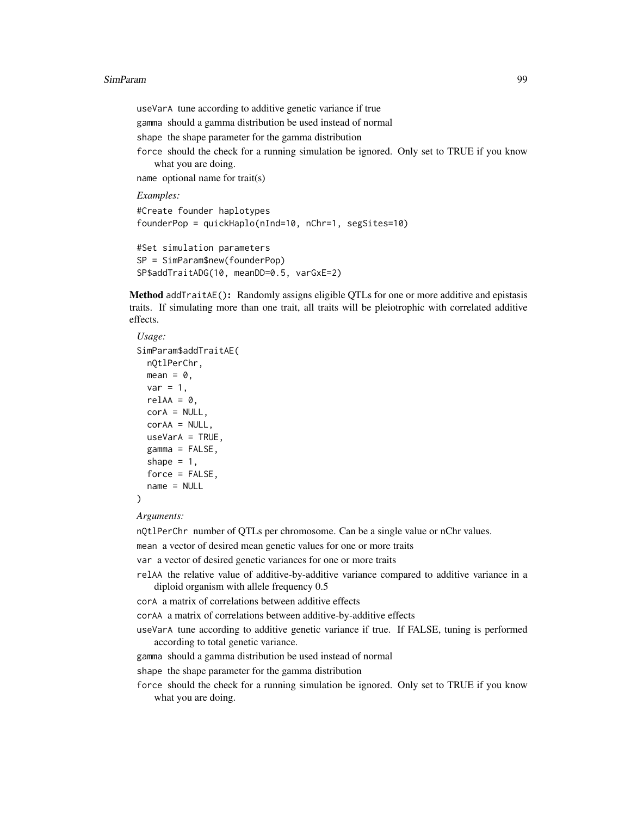useVarA tune according to additive genetic variance if true gamma should a gamma distribution be used instead of normal shape the shape parameter for the gamma distribution force should the check for a running simulation be ignored. Only set to TRUE if you know what you are doing. name optional name for trait(s) *Examples:* #Create founder haplotypes founderPop = quickHaplo(nInd=10, nChr=1, segSites=10) #Set simulation parameters

SP = SimParam\$new(founderPop) SP\$addTraitADG(10, meanDD=0.5, varGxE=2)

<span id="page-98-0"></span>Method addTraitAE(): Randomly assigns eligible QTLs for one or more additive and epistasis traits. If simulating more than one trait, all traits will be pleiotrophic with correlated additive effects.

```
Usage:
SimParam$addTraitAE(
 nQtlPerChr,
 mean = 0,
 var = 1,
 relAA = 0,
  corA = NULL,corAA = NULL,useVarA = TRUE,gamma = FALSE,shape = 1,
  force = FALSE.
  name = NULL
\lambda
```
*Arguments:*

nQtlPerChr number of QTLs per chromosome. Can be a single value or nChr values.

mean a vector of desired mean genetic values for one or more traits

var a vector of desired genetic variances for one or more traits

relAA the relative value of additive-by-additive variance compared to additive variance in a diploid organism with allele frequency 0.5

corA a matrix of correlations between additive effects

corAA a matrix of correlations between additive-by-additive effects

- useVarA tune according to additive genetic variance if true. If FALSE, tuning is performed according to total genetic variance.
- gamma should a gamma distribution be used instead of normal

shape the shape parameter for the gamma distribution

force should the check for a running simulation be ignored. Only set to TRUE if you know what you are doing.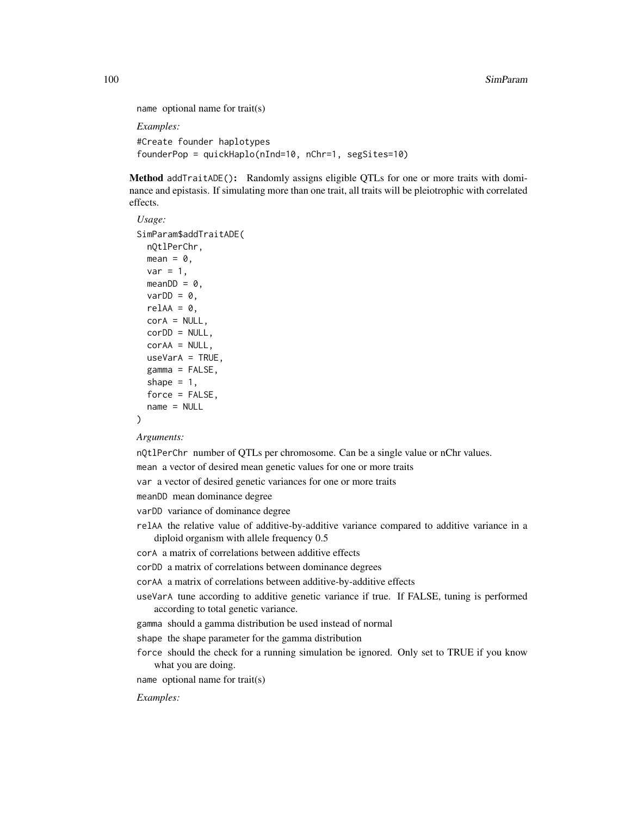```
name optional name for trait(s)
```
*Examples:*

```
#Create founder haplotypes
founderPop = quickHaplo(nInd=10, nChr=1, segSites=10)
```
<span id="page-99-0"></span>Method addTraitADE(): Randomly assigns eligible QTLs for one or more traits with dominance and epistasis. If simulating more than one trait, all traits will be pleiotrophic with correlated effects.

```
Usage:
SimParam$addTraitADE(
 nQtlPerChr,
 mean = 0,
 var = 1,
 meanDD = 0,
 varDD = 0,
 relAA = 0,
  corA = NULL,
 corDD = NULL,corAA = NULL,
 useVarA = TRUE,
  gamma = FALSE,
  shape = 1,
  force = FALSE,name = NULL
)
```
*Arguments:*

nQtlPerChr number of QTLs per chromosome. Can be a single value or nChr values.

mean a vector of desired mean genetic values for one or more traits

var a vector of desired genetic variances for one or more traits

meanDD mean dominance degree

varDD variance of dominance degree

relAA the relative value of additive-by-additive variance compared to additive variance in a diploid organism with allele frequency 0.5

corA a matrix of correlations between additive effects

corDD a matrix of correlations between dominance degrees

corAA a matrix of correlations between additive-by-additive effects

useVarA tune according to additive genetic variance if true. If FALSE, tuning is performed according to total genetic variance.

gamma should a gamma distribution be used instead of normal

shape the shape parameter for the gamma distribution

force should the check for a running simulation be ignored. Only set to TRUE if you know what you are doing.

name optional name for trait(s)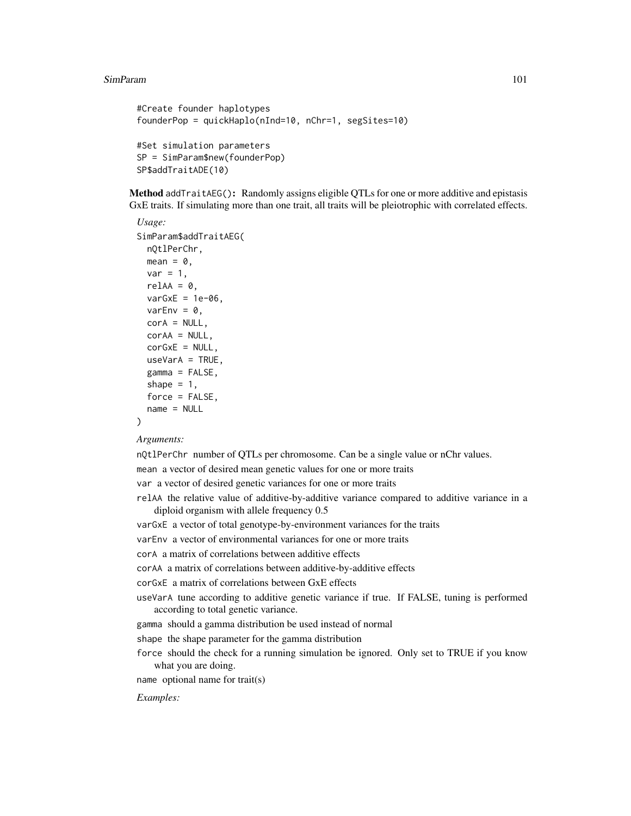```
#Create founder haplotypes
founderPop = quickHaplo(nInd=10, nChr=1, segSites=10)
#Set simulation parameters
SP = SimParam$new(founderPop)
SP$addTraitADE(10)
```
<span id="page-100-0"></span>Method addTraitAEG(): Randomly assigns eligible QTLs for one or more additive and epistasis GxE traits. If simulating more than one trait, all traits will be pleiotrophic with correlated effects.

```
Usage:
SimParam$addTraitAEG(
 nQtlPerChr,
  mean = 0,
 var = 1,
  relAA = 0,
  varGxE = 1e-06,
 varEnv = \theta,
 corA = NULL,corAA = NULL,corGxE = NULL,useVarA = TRUE,
  gamma = FALSE,shape = 1,
  force = FALSE,name = NULL
)
```
*Arguments:*

nQtlPerChr number of QTLs per chromosome. Can be a single value or nChr values.

mean a vector of desired mean genetic values for one or more traits

var a vector of desired genetic variances for one or more traits

relAA the relative value of additive-by-additive variance compared to additive variance in a diploid organism with allele frequency 0.5

varGxE a vector of total genotype-by-environment variances for the traits

varEnv a vector of environmental variances for one or more traits

corA a matrix of correlations between additive effects

corAA a matrix of correlations between additive-by-additive effects

corGxE a matrix of correlations between GxE effects

useVarA tune according to additive genetic variance if true. If FALSE, tuning is performed according to total genetic variance.

gamma should a gamma distribution be used instead of normal

shape the shape parameter for the gamma distribution

force should the check for a running simulation be ignored. Only set to TRUE if you know what you are doing.

name optional name for trait(s)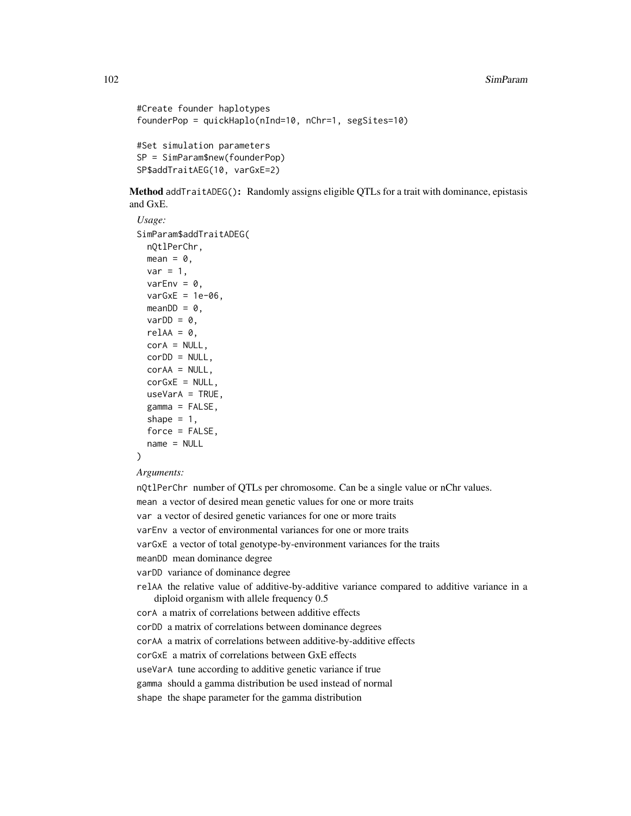```
#Create founder haplotypes
founderPop = quickHaplo(nInd=10, nChr=1, segSites=10)
#Set simulation parameters
SP = SimParam$new(founderPop)
SP$addTraitAEG(10, varGxE=2)
```
<span id="page-101-0"></span>Method addTraitADEG(): Randomly assigns eligible QTLs for a trait with dominance, epistasis and GxE.

```
Usage:
SimParam$addTraitADEG(
 nQtlPerChr,
 mean = 0,
 var = 1,
 varEnv = 0,
 varGxE = 1e-06,
 meanDD = 0,
 varDD = 0,
 relAA = 0,
 corA = NULL,corDD = NULL,corAA = NULL,
 corGxE = NULL,useVarA = TRUE,
  gamma = FALSE,
  shape = 1,
  force = FALSE,
  name = NULL
```

```
)
```
*Arguments:*

nQtlPerChr number of QTLs per chromosome. Can be a single value or nChr values. mean a vector of desired mean genetic values for one or more traits var a vector of desired genetic variances for one or more traits varEnv a vector of environmental variances for one or more traits varGxE a vector of total genotype-by-environment variances for the traits

- meanDD mean dominance degree
- varDD variance of dominance degree
- relAA the relative value of additive-by-additive variance compared to additive variance in a diploid organism with allele frequency 0.5

corA a matrix of correlations between additive effects

corDD a matrix of correlations between dominance degrees

corAA a matrix of correlations between additive-by-additive effects

corGxE a matrix of correlations between GxE effects

useVarA tune according to additive genetic variance if true

gamma should a gamma distribution be used instead of normal

shape the shape parameter for the gamma distribution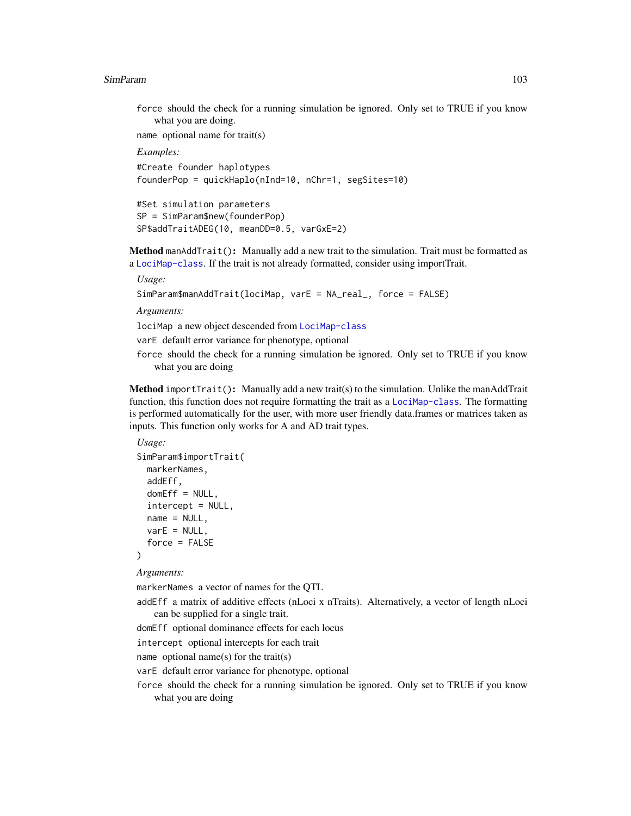force should the check for a running simulation be ignored. Only set to TRUE if you know what you are doing.

name optional name for trait(s)

*Examples:*

```
#Create founder haplotypes
founderPop = quickHaplo(nInd=10, nChr=1, segSites=10)
```

```
#Set simulation parameters
SP = SimParam$new(founderPop)
SP$addTraitADEG(10, meanDD=0.5, varGxE=2)
```
<span id="page-102-0"></span>Method manAddTrait(): Manually add a new trait to the simulation. Trait must be formatted as a [LociMap-class](#page-27-0). If the trait is not already formatted, consider using importTrait.

*Usage:*

```
SimParam$manAddTrait(lociMap, varE = NA_real_, force = FALSE)
```
*Arguments:*

lociMap a new object descended from [LociMap-class](#page-27-0)

varE default error variance for phenotype, optional

force should the check for a running simulation be ignored. Only set to TRUE if you know what you are doing

<span id="page-102-1"></span>Method importTrait(): Manually add a new trait(s) to the simulation. Unlike the manAddTrait function, this function does not require formatting the trait as a [LociMap-class](#page-27-0). The formatting is performed automatically for the user, with more user friendly data.frames or matrices taken as inputs. This function only works for A and AD trait types.

```
Usage:
SimParam$importTrait(
 markerNames,
  addEff,
  domEff = NULL,
  intercept = NULL,
 name = NULL,varE = NULL.
  force = FALSE
)
```
*Arguments:*

markerNames a vector of names for the QTL

addEff a matrix of additive effects (nLoci x nTraits). Alternatively, a vector of length nLoci can be supplied for a single trait.

domEff optional dominance effects for each locus

intercept optional intercepts for each trait

name optional name(s) for the trait(s)

- varE default error variance for phenotype, optional
- <span id="page-102-2"></span>force should the check for a running simulation be ignored. Only set to TRUE if you know what you are doing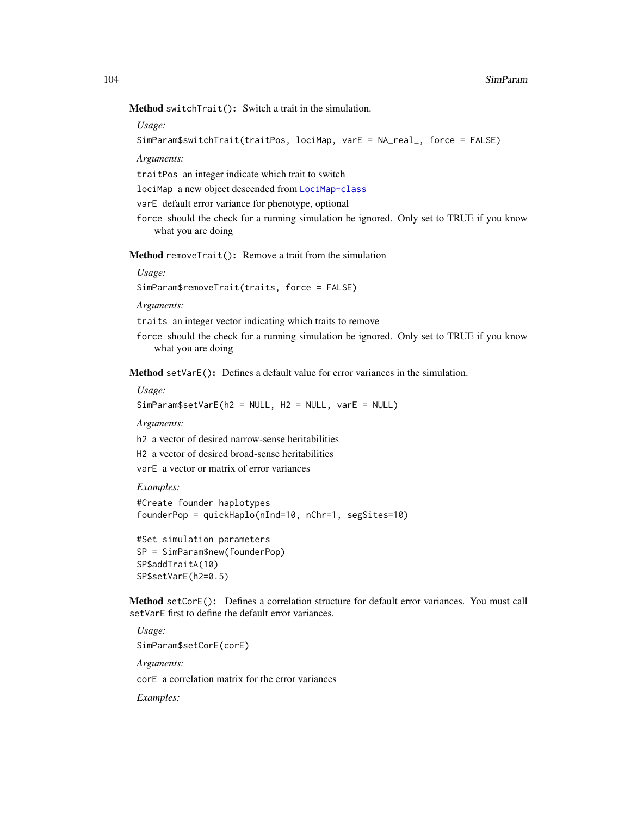Method switchTrait(): Switch a trait in the simulation.

*Usage:*

```
SimParam$switchTrait(traitPos, lociMap, varE = NA_real_, force = FALSE)
```
*Arguments:*

traitPos an integer indicate which trait to switch

lociMap a new object descended from [LociMap-class](#page-27-0)

varE default error variance for phenotype, optional

force should the check for a running simulation be ignored. Only set to TRUE if you know what you are doing

<span id="page-103-0"></span>Method removeTrait(): Remove a trait from the simulation

*Usage:*

SimParam\$removeTrait(traits, force = FALSE)

*Arguments:*

traits an integer vector indicating which traits to remove

force should the check for a running simulation be ignored. Only set to TRUE if you know what you are doing

<span id="page-103-1"></span>Method setVarE(): Defines a default value for error variances in the simulation.

*Usage:*

SimParam\$setVarE(h2 = NULL, H2 = NULL, varE = NULL)

*Arguments:*

h2 a vector of desired narrow-sense heritabilities

H2 a vector of desired broad-sense heritabilities

varE a vector or matrix of error variances

*Examples:*

```
#Create founder haplotypes
founderPop = quickHaplo(nInd=10, nChr=1, segSites=10)
```

```
#Set simulation parameters
SP = SimParam$new(founderPop)
SP$addTraitA(10)
SP$setVarE(h2=0.5)
```
<span id="page-103-2"></span>Method setCorE(): Defines a correlation structure for default error variances. You must call setVarE first to define the default error variances.

*Usage:* SimParam\$setCorE(corE) *Arguments:* corE a correlation matrix for the error variances *Examples:*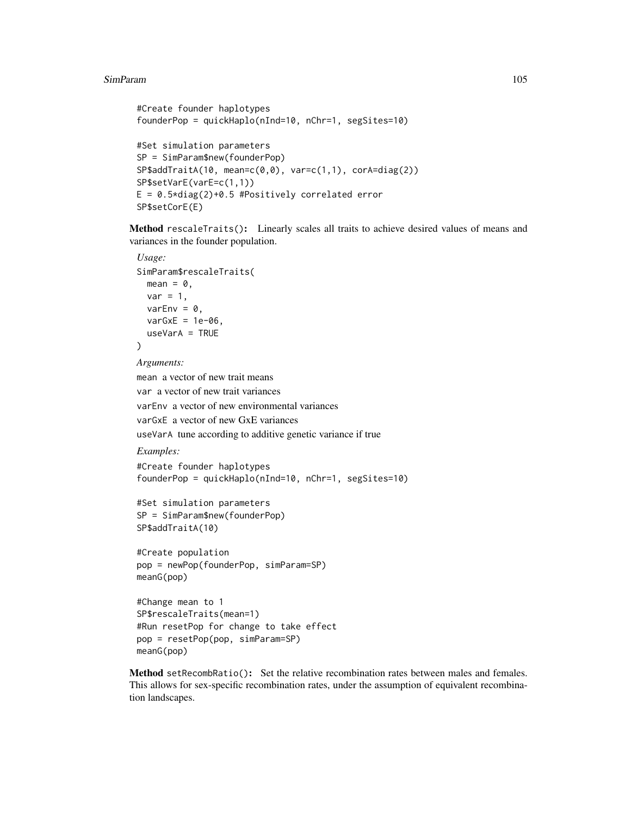```
#Create founder haplotypes
founderPop = quickHaplo(nInd=10, nChr=1, segSites=10)
#Set simulation parameters
SP = SimParam$new(founderPop)
SP$addTraitA(10, mean=c(0,0), var=c(1,1), corA=diag(2))
SP$setVarE(varE=c(1,1))
E = 0.5 * diag(2) + 0.5 #Positively correlated error
SP$setCorE(E)
```
<span id="page-104-0"></span>Method rescaleTraits(): Linearly scales all traits to achieve desired values of means and variances in the founder population.

```
Usage:
SimParam$rescaleTraits(
  mean = 0,
  var = 1,
  varEnv = 0,
  varGxE = 1e-06.
  useVarA = TRUE
\lambdaArguments:
mean a vector of new trait means
var a vector of new trait variances
varEnv a vector of new environmental variances
varGxE a vector of new GxE variances
useVarA tune according to additive genetic variance if true
Examples:
#Create founder haplotypes
founderPop = quickHaplo(nInd=10, nChr=1, segSites=10)
#Set simulation parameters
SP = SimParam$new(founderPop)
SP$addTraitA(10)
#Create population
pop = newPop(founderPop, simParam=SP)
meanG(pop)
#Change mean to 1
SP$rescaleTraits(mean=1)
```

```
#Run resetPop for change to take effect
pop = resetPop(pop, simParam=SP)
meanG(pop)
```
<span id="page-104-1"></span>Method setRecombRatio(): Set the relative recombination rates between males and females. This allows for sex-specific recombination rates, under the assumption of equivalent recombination landscapes.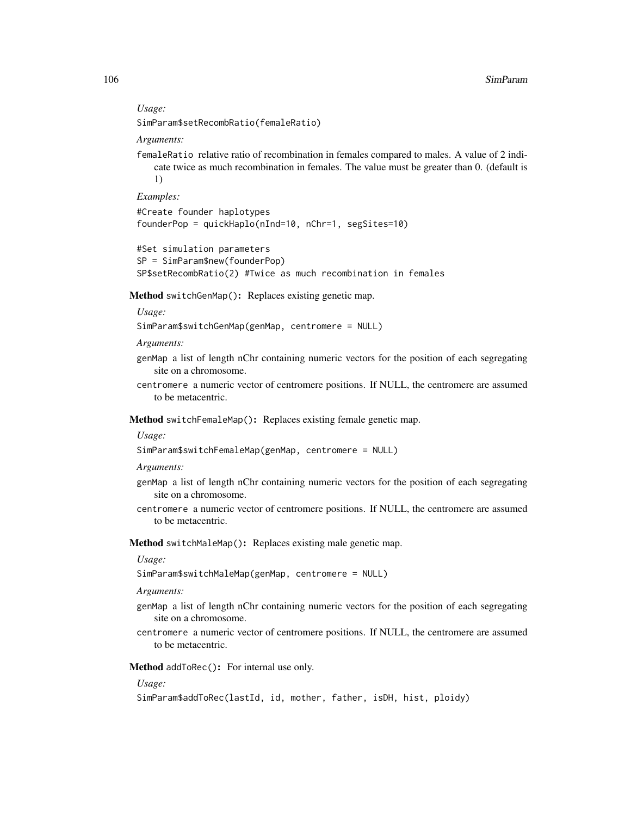#### *Usage:*

SimParam\$setRecombRatio(femaleRatio)

*Arguments:*

femaleRatio relative ratio of recombination in females compared to males. A value of 2 indicate twice as much recombination in females. The value must be greater than 0. (default is 1)

*Examples:*

```
#Create founder haplotypes
founderPop = quickHaplo(nInd=10, nChr=1, segSites=10)
```

```
#Set simulation parameters
SP = SimParam$new(founderPop)
SP$setRecombRatio(2) #Twice as much recombination in females
```
<span id="page-105-0"></span>Method switchGenMap(): Replaces existing genetic map.

*Usage:*

SimParam\$switchGenMap(genMap, centromere = NULL)

*Arguments:*

- genMap a list of length nChr containing numeric vectors for the position of each segregating site on a chromosome.
- centromere a numeric vector of centromere positions. If NULL, the centromere are assumed to be metacentric.

<span id="page-105-1"></span>Method switchFemaleMap(): Replaces existing female genetic map.

*Usage:*

```
SimParam$switchFemaleMap(genMap, centromere = NULL)
```
*Arguments:*

- genMap a list of length nChr containing numeric vectors for the position of each segregating site on a chromosome.
- centromere a numeric vector of centromere positions. If NULL, the centromere are assumed to be metacentric.

<span id="page-105-2"></span>Method switchMaleMap(): Replaces existing male genetic map.

*Usage:*

```
SimParam$switchMaleMap(genMap, centromere = NULL)
```
*Arguments:*

- genMap a list of length nChr containing numeric vectors for the position of each segregating site on a chromosome.
- centromere a numeric vector of centromere positions. If NULL, the centromere are assumed to be metacentric.

<span id="page-105-3"></span>Method addToRec(): For internal use only.

#### *Usage:*

```
SimParam$addToRec(lastId, id, mother, father, isDH, hist, ploidy)
```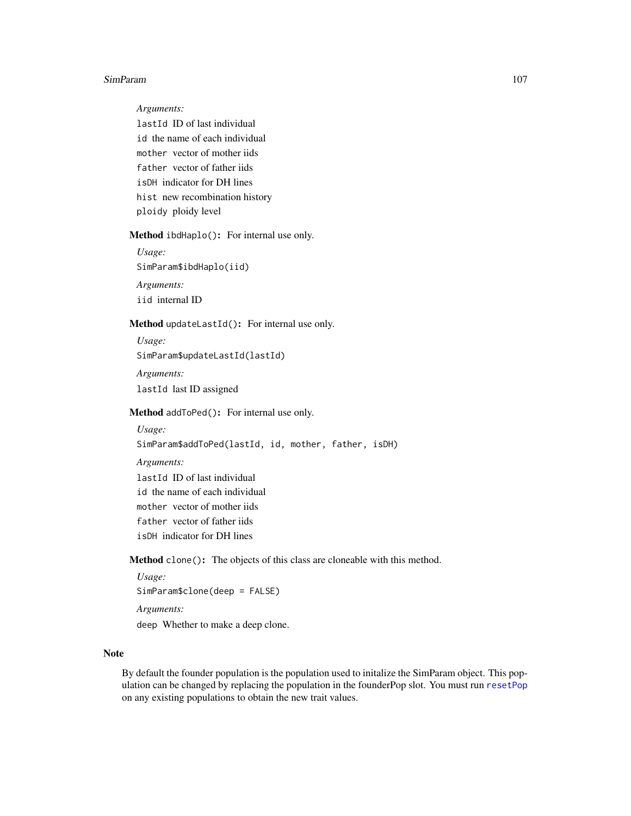*Arguments:*

lastId ID of last individual id the name of each individual mother vector of mother iids father vector of father iids isDH indicator for DH lines hist new recombination history ploidy ploidy level

<span id="page-106-0"></span>Method ibdHaplo(): For internal use only.

*Usage:* SimParam\$ibdHaplo(iid) *Arguments:* iid internal ID

<span id="page-106-1"></span>Method updateLastId(): For internal use only.

*Usage:* SimParam\$updateLastId(lastId) *Arguments:* lastId last ID assigned

<span id="page-106-2"></span>Method addToPed(): For internal use only.

## *Usage:* SimParam\$addToPed(lastId, id, mother, father, isDH) *Arguments:* lastId ID of last individual id the name of each individual mother vector of mother iids father vector of father iids isDH indicator for DH lines

<span id="page-106-3"></span>Method clone(): The objects of this class are cloneable with this method.

*Usage:* SimParam\$clone(deep = FALSE) *Arguments:* deep Whether to make a deep clone.

### Note

By default the founder population is the population used to initalize the SimParam object. This population can be changed by replacing the population in the founderPop slot. You must run [resetPop](#page-56-0) on any existing populations to obtain the new trait values.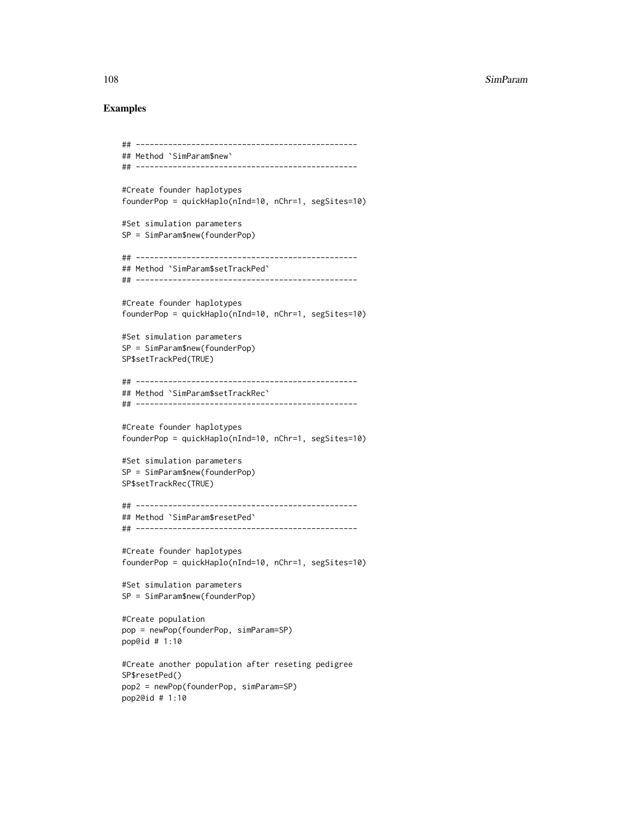```
## ------------------------------------------------
## Method `SimParam$new`
## ------------------------------------------------
#Create founder haplotypes
founderPop = quickHaplo(nInd=10, nChr=1, segSites=10)
#Set simulation parameters
SP = SimParam$new(founderPop)
## ------------------------------------------------
## Method `SimParam$setTrackPed`
## ------------------------------------------------
#Create founder haplotypes
founderPop = quickHaplo(nInd=10, nChr=1, segSites=10)
#Set simulation parameters
SP = SimParam$new(founderPop)
SP$setTrackPed(TRUE)
## ------------------------------------------------
## Method `SimParam$setTrackRec`
## ------------------------------------------------
#Create founder haplotypes
founderPop = quickHaplo(nInd=10, nChr=1, segSites=10)
#Set simulation parameters
SP = SimParam$new(founderPop)
SP$setTrackRec(TRUE)
## ------------------------------------------------
## Method `SimParam$resetPed`
## ------------------------------------------------
#Create founder haplotypes
founderPop = quickHaplo(nInd=10, nChr=1, segSites=10)
#Set simulation parameters
SP = SimParam$new(founderPop)
#Create population
pop = newPop(founderPop, simParam=SP)
pop@id # 1:10
#Create another population after reseting pedigree
SP$resetPed()
pop2 = newPop(founderPop, simParam=SP)
pop2@id # 1:10
```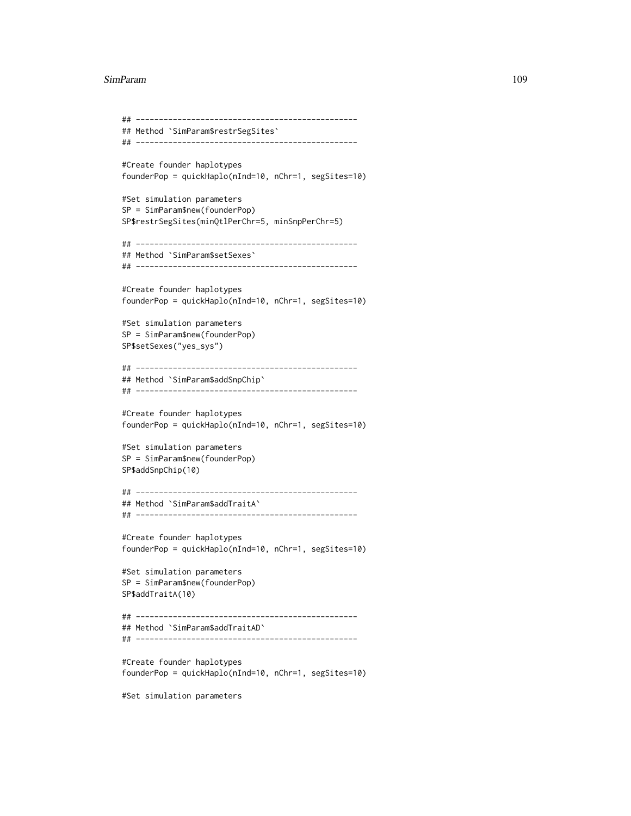#### SimParam 2009 and 2009 and 2009 and 2009 and 2009 and 2009 and 2009 and 2009 and 2009 and 2009 and 2009 and 200

```
## ------------------------------------------------
## Method `SimParam$restrSegSites`
## ------------------------------------------------
#Create founder haplotypes
founderPop = quickHaplo(nInd=10, nChr=1, segSites=10)
#Set simulation parameters
SP = SimParam$new(founderPop)
SP$restrSegSites(minQtlPerChr=5, minSnpPerChr=5)
## ------------------------------------------------
## Method `SimParam$setSexes`
## ------------------------------------------------
#Create founder haplotypes
founderPop = quickHaplo(nInd=10, nChr=1, segSites=10)
#Set simulation parameters
SP = SimParam$new(founderPop)
SP$setSexes("yes_sys")
## ------------------------------------------------
## Method `SimParam$addSnpChip`
## ------------------------------------------------
#Create founder haplotypes
founderPop = quickHaplo(nInd=10, nChr=1, segSites=10)
#Set simulation parameters
SP = SimParam$new(founderPop)
SP$addSnpChip(10)
## ------------------------------------------------
## Method `SimParam$addTraitA`
## ------------------------------------------------
#Create founder haplotypes
founderPop = quickHaplo(nInd=10, nChr=1, segSites=10)
#Set simulation parameters
SP = SimParam$new(founderPop)
SP$addTraitA(10)
## ------------------------------------------------
## Method `SimParam$addTraitAD`
## ------------------------------------------------
#Create founder haplotypes
founderPop = quickHaplo(nInd=10, nChr=1, segSites=10)
#Set simulation parameters
```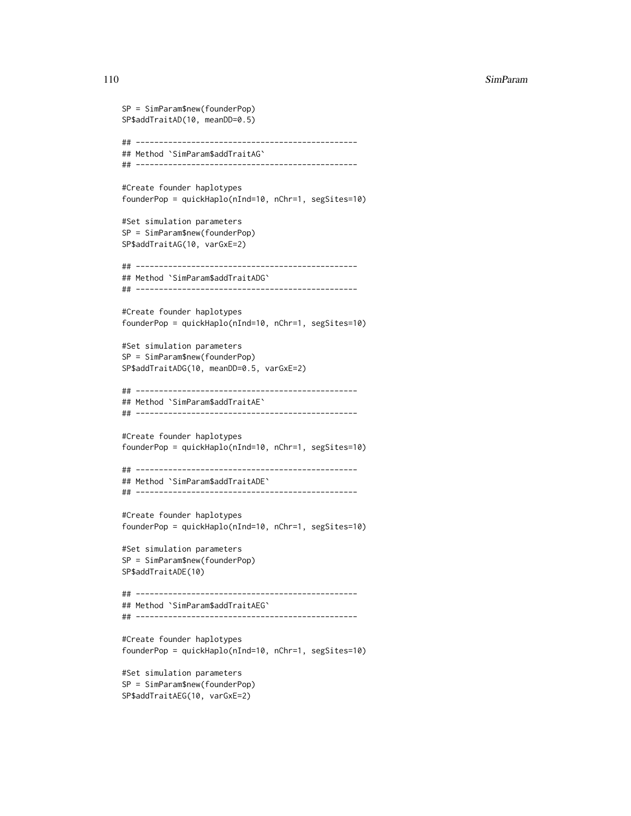```
SP = SimParam$new(founderPop)
SP$addTraitAD(10, meanDD=0.5)
## ------------------------------------------------
## Method `SimParam$addTraitAG`
## ------------------------------------------------
#Create founder haplotypes
founderPop = quickHaplo(nInd=10, nChr=1, segSites=10)
#Set simulation parameters
SP = SimParam$new(founderPop)
SP$addTraitAG(10, varGxE=2)
## ------------------------------------------------
## Method `SimParam$addTraitADG`
## ------------------------------------------------
#Create founder haplotypes
founderPop = quickHaplo(nInd=10, nChr=1, segSites=10)
#Set simulation parameters
SP = SimParam$new(founderPop)
SP$addTraitADG(10, meanDD=0.5, varGxE=2)
## ------------------------------------------------
## Method `SimParam$addTraitAE`
## ------------------------------------------------
#Create founder haplotypes
founderPop = quickHaplo(nInd=10, nChr=1, segSites=10)
## ------------------------------------------------
## Method `SimParam$addTraitADE`
## ------------------------------------------------
#Create founder haplotypes
founderPop = quickHaplo(nInd=10, nChr=1, segSites=10)
#Set simulation parameters
SP = SimParam$new(founderPop)
SP$addTraitADE(10)
## ------------------------------------------------
## Method `SimParam$addTraitAEG`
## ------------------------------------------------
#Create founder haplotypes
founderPop = quickHaplo(nInd=10, nChr=1, segSites=10)
#Set simulation parameters
```

```
SP = SimParam$new(founderPop)
SP$addTraitAEG(10, varGxE=2)
```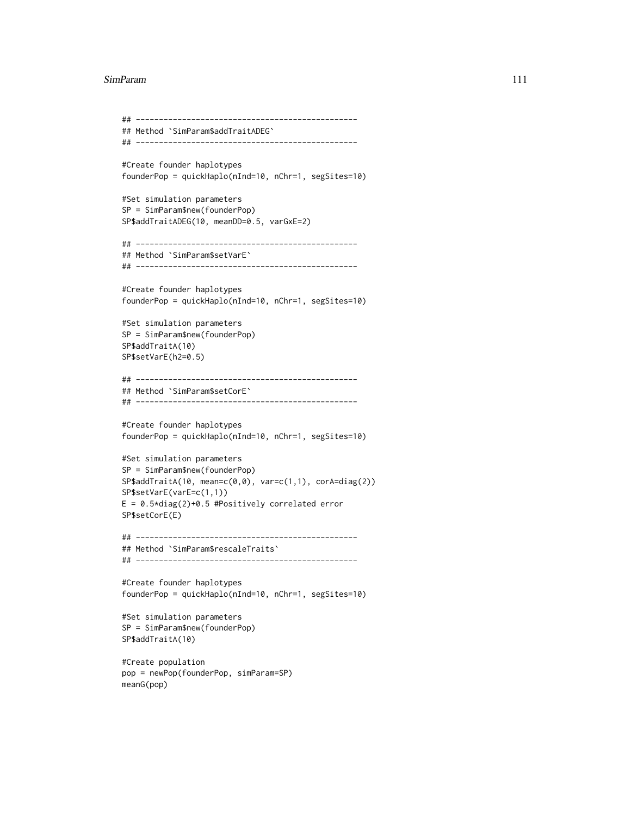#### SimParam 111

```
## ------------------------------------------------
## Method `SimParam$addTraitADEG`
## ------------------------------------------------
#Create founder haplotypes
founderPop = quickHaplo(nInd=10, nChr=1, segSites=10)
#Set simulation parameters
SP = SimParam$new(founderPop)
SP$addTraitADEG(10, meanDD=0.5, varGxE=2)
## ------------------------------------------------
## Method `SimParam$setVarE`
## ------------------------------------------------
#Create founder haplotypes
founderPop = quickHaplo(nInd=10, nChr=1, segSites=10)
#Set simulation parameters
SP = SimParam$new(founderPop)
SP$addTraitA(10)
SP$setVarE(h2=0.5)
## ------------------------------------------------
## Method `SimParam$setCorE`
## ------------------------------------------------
#Create founder haplotypes
founderPop = quickHaplo(nInd=10, nChr=1, segSites=10)
#Set simulation parameters
SP = SimParam$new(founderPop)
SP$addTraitA(10, mean=c(0,0), var=c(1,1), corA=diag(2))
SP$setVarE(varE=c(1,1))
E = 0.5 * diag(2) + 0.5 #Positively correlated error
SP$setCorE(E)
## ------------------------------------------------
## Method `SimParam$rescaleTraits`
## ------------------------------------------------
#Create founder haplotypes
founderPop = quickHaplo(nInd=10, nChr=1, segSites=10)
#Set simulation parameters
SP = SimParam$new(founderPop)
SP$addTraitA(10)
```

```
#Create population
pop = newPop(founderPop, simParam=SP)
meanG(pop)
```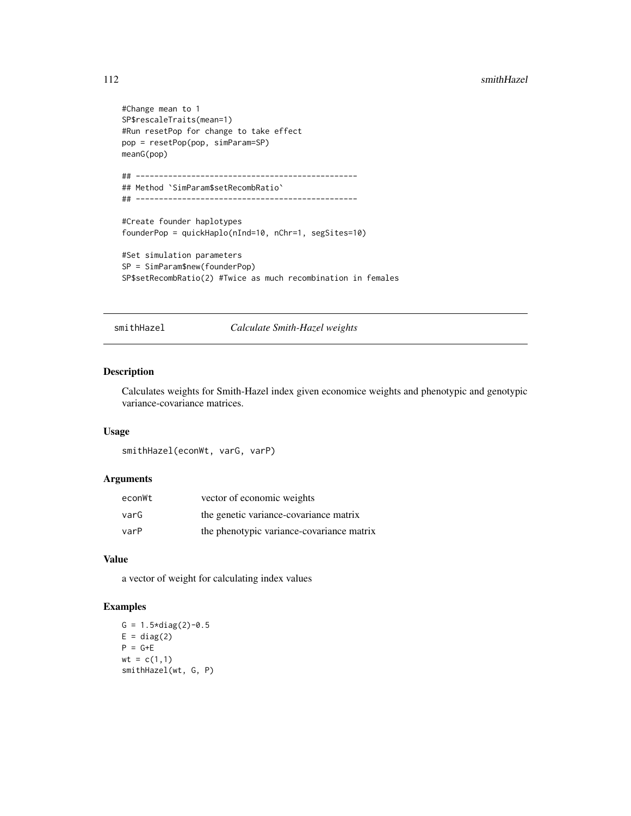#### <span id="page-111-0"></span>112 smithHazel

```
#Change mean to 1
SP$rescaleTraits(mean=1)
#Run resetPop for change to take effect
pop = resetPop(pop, simParam=SP)
meanG(pop)
## ------------------------------------------------
## Method `SimParam$setRecombRatio`
## ------------------------------------------------
#Create founder haplotypes
founderPop = quickHaplo(nInd=10, nChr=1, segSites=10)
#Set simulation parameters
SP = SimParam$new(founderPop)
SP$setRecombRatio(2) #Twice as much recombination in females
```
smithHazel *Calculate Smith-Hazel weights*

#### Description

Calculates weights for Smith-Hazel index given economice weights and phenotypic and genotypic variance-covariance matrices.

#### Usage

```
smithHazel(econWt, varG, varP)
```
#### Arguments

| econWt | vector of economic weights                |
|--------|-------------------------------------------|
| varG   | the genetic variance-covariance matrix    |
| varP   | the phenotypic variance-covariance matrix |

#### Value

a vector of weight for calculating index values

# Examples

```
G = 1.5 \times diag(2)-0.5E = diag(2)P = G+Ewt = c(1,1)smithHazel(wt, G, P)
```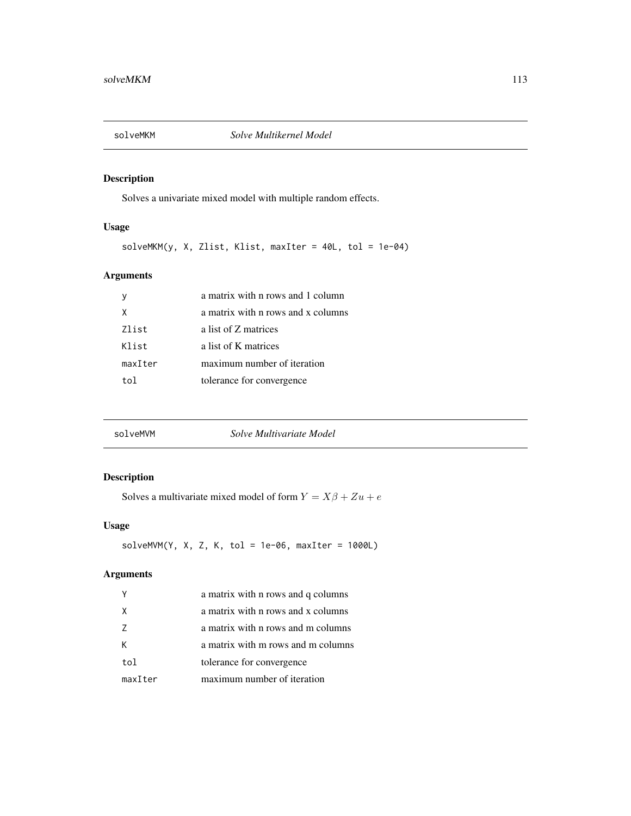<span id="page-112-0"></span>

Solves a univariate mixed model with multiple random effects.

# Usage

solveMKM(y, X, Zlist, Klist, maxIter = 40L, tol = 1e-04)

# Arguments

|         | a matrix with n rows and 1 column  |
|---------|------------------------------------|
| χ       | a matrix with n rows and x columns |
| Zlist   | a list of Z matrices               |
| Klist   | a list of K matrices               |
| maxIter | maximum number of iteration        |
| to1     | tolerance for convergence          |
|         |                                    |

| solveMVM | Solve Multivariate Model |  |
|----------|--------------------------|--|
|          |                          |  |

# Description

Solves a multivariate mixed model of form  $Y = X\beta + Zu + e$ 

# Usage

 $solveMVM(Y, X, Z, K, tol = 1e-06, maxIter = 1000L)$ 

|         | a matrix with n rows and q columns |
|---------|------------------------------------|
| X       | a matrix with n rows and x columns |
| 7       | a matrix with n rows and m columns |
| к       | a matrix with m rows and m columns |
| tol     | tolerance for convergence          |
| maxIter | maximum number of iteration        |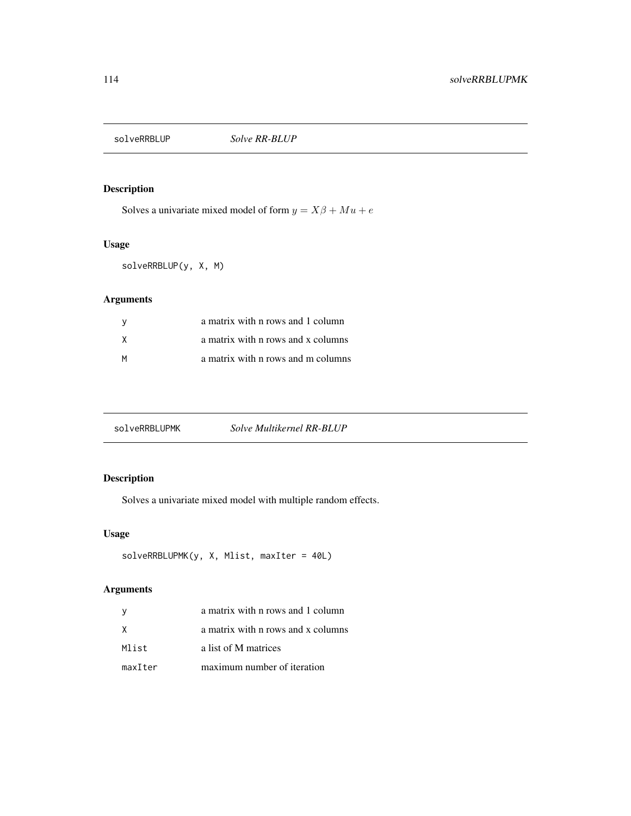<span id="page-113-0"></span>

Solves a univariate mixed model of form  $y = X\beta + Mu + e$ 

# Usage

solveRRBLUP(y, X, M)

# Arguments

| - V | a matrix with n rows and 1 column  |
|-----|------------------------------------|
| X   | a matrix with n rows and x columns |
| м   | a matrix with n rows and m columns |

# Description

Solves a univariate mixed model with multiple random effects.

# Usage

```
solveRRBLUPMK(y, X, Mlist, maxIter = 40L)
```

| <sub>V</sub> | a matrix with n rows and 1 column  |
|--------------|------------------------------------|
| X            | a matrix with n rows and x columns |
| Mlist        | a list of M matrices               |
| maxIter      | maximum number of iteration        |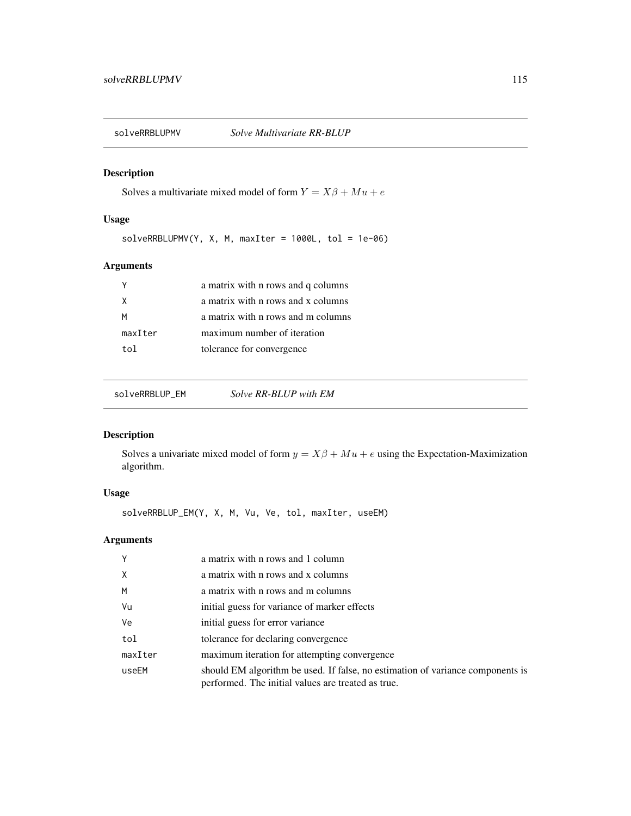<span id="page-114-0"></span>

Solves a multivariate mixed model of form  $Y = X\beta + Mu + e$ 

# Usage

 $solveRRBLUPMV(Y, X, M, maxIter = 1000L, tol = 1e-06)$ 

# Arguments

|         | a matrix with n rows and q columns |
|---------|------------------------------------|
| X       | a matrix with n rows and x columns |
| м       | a matrix with n rows and m columns |
| maxIter | maximum number of iteration        |
| tol     | tolerance for convergence          |
|         |                                    |

solveRRBLUP\_EM *Solve RR-BLUP with EM*

# Description

Solves a univariate mixed model of form  $y = X\beta + Mu + e$  using the Expectation-Maximization algorithm.

# Usage

solveRRBLUP\_EM(Y, X, M, Vu, Ve, tol, maxIter, useEM)

| Y       | a matrix with n rows and 1 column                                                                                                    |
|---------|--------------------------------------------------------------------------------------------------------------------------------------|
| X       | a matrix with n rows and x columns                                                                                                   |
| M       | a matrix with n rows and m columns                                                                                                   |
| Vu      | initial guess for variance of marker effects                                                                                         |
| Ve      | initial guess for error variance                                                                                                     |
| tol     | tolerance for declaring convergence                                                                                                  |
| maxIter | maximum iteration for attempting convergence                                                                                         |
| useEM   | should EM algorithm be used. If false, no estimation of variance components is<br>performed. The initial values are treated as true. |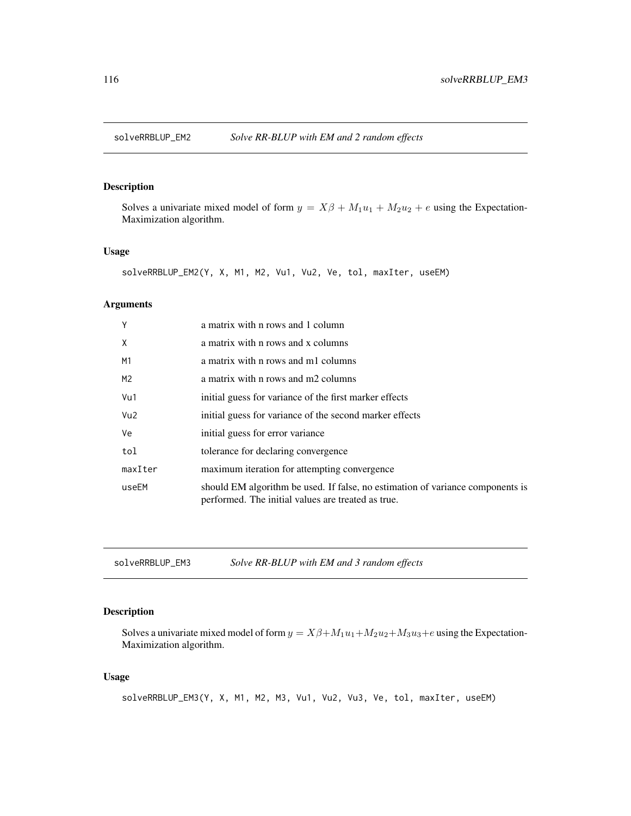<span id="page-115-0"></span>

Solves a univariate mixed model of form  $y = X\beta + M_1u_1 + M_2u_2 + e$  using the Expectation-Maximization algorithm.

## Usage

```
solveRRBLUP_EM2(Y, X, M1, M2, Vu1, Vu2, Ve, tol, maxIter, useEM)
```
#### Arguments

| Y               | a matrix with n rows and 1 column                                                                                                    |
|-----------------|--------------------------------------------------------------------------------------------------------------------------------------|
| X               | a matrix with n rows and x columns                                                                                                   |
| M1              | a matrix with n rows and m1 columns                                                                                                  |
| M <sub>2</sub>  | a matrix with n rows and m2 columns                                                                                                  |
| Vu1             | initial guess for variance of the first marker effects                                                                               |
| Vu <sub>2</sub> | initial guess for variance of the second marker effects                                                                              |
| Ve              | initial guess for error variance                                                                                                     |
| tol             | tolerance for declaring convergence                                                                                                  |
| maxIter         | maximum iteration for attempting convergence                                                                                         |
| useEM           | should EM algorithm be used. If false, no estimation of variance components is<br>performed. The initial values are treated as true. |

solveRRBLUP\_EM3 *Solve RR-BLUP with EM and 3 random effects*

# Description

Solves a univariate mixed model of form  $y = X\beta + M_1u_1 + M_2u_2 + M_3u_3 + e$  using the Expectation-Maximization algorithm.

#### Usage

```
solveRRBLUP_EM3(Y, X, M1, M2, M3, Vu1, Vu2, Vu3, Ve, tol, maxIter, useEM)
```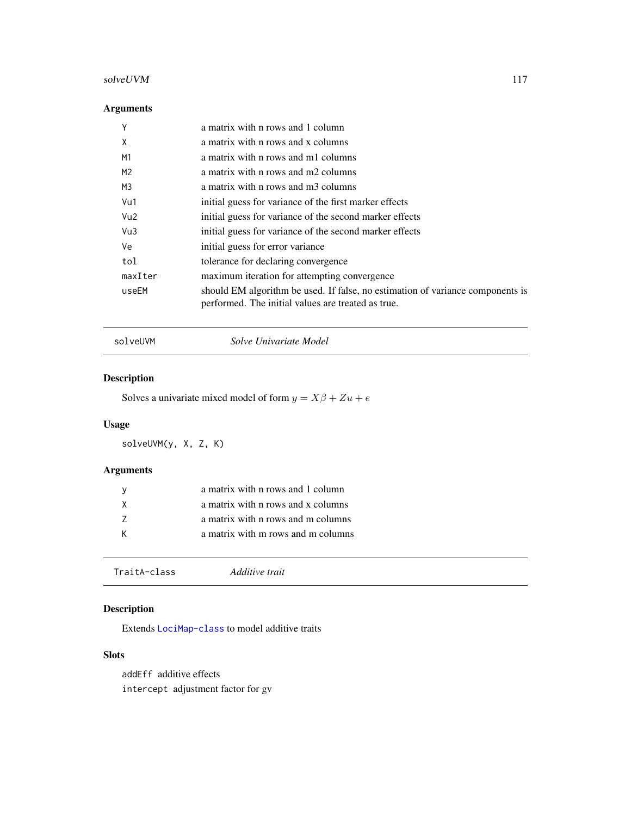# <span id="page-116-1"></span>solveUVM 117

# Arguments

| Υ               | a matrix with n rows and 1 column                                                                                                    |
|-----------------|--------------------------------------------------------------------------------------------------------------------------------------|
| X               | a matrix with n rows and x columns                                                                                                   |
| M <sub>1</sub>  | a matrix with n rows and m1 columns                                                                                                  |
| M2              | a matrix with n rows and m2 columns                                                                                                  |
| M3              | a matrix with n rows and m3 columns                                                                                                  |
| Vu1             | initial guess for variance of the first marker effects                                                                               |
| Vu <sub>2</sub> | initial guess for variance of the second marker effects                                                                              |
| Vu3             | initial guess for variance of the second marker effects                                                                              |
| Ve              | initial guess for error variance                                                                                                     |
| tol             | tolerance for declaring convergence                                                                                                  |
| maxIter         | maximum iteration for attempting convergence                                                                                         |
| useEM           | should EM algorithm be used. If false, no estimation of variance components is<br>performed. The initial values are treated as true. |

solveUVM *Solve Univariate Model*

# Description

Solves a univariate mixed model of form  $y = X\beta + Zu + e$ 

# Usage

solveUVM(y, X, Z, K)

# Arguments

|   | a matrix with n rows and 1 column  |
|---|------------------------------------|
| X | a matrix with n rows and x columns |
|   | a matrix with n rows and m columns |
|   | a matrix with m rows and m columns |
|   |                                    |

<span id="page-116-0"></span>

| Additive trait<br>TraitA-class |
|--------------------------------|
|--------------------------------|

# Description

Extends [LociMap-class](#page-27-0) to model additive traits

# Slots

addEff additive effects intercept adjustment factor for gv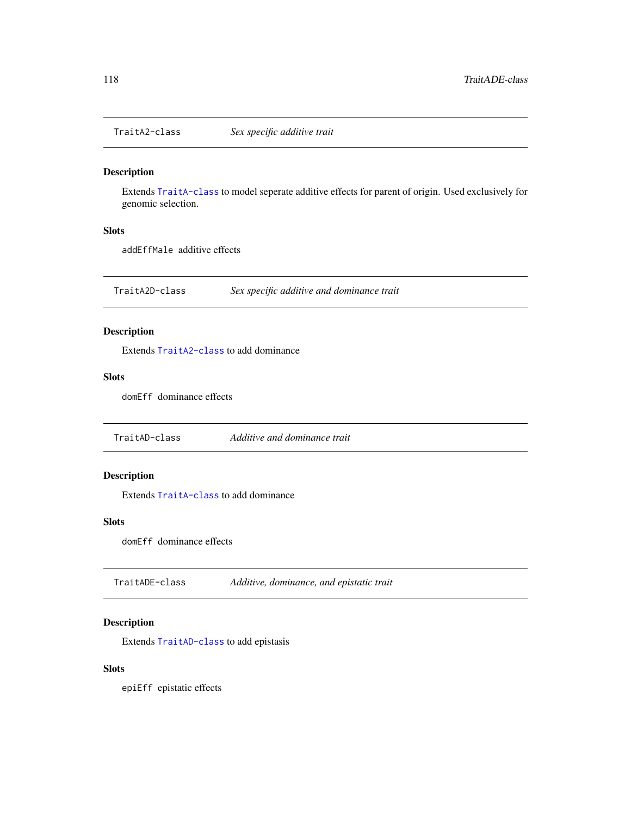<span id="page-117-3"></span><span id="page-117-0"></span>

Extends [TraitA-class](#page-116-0) to model seperate additive effects for parent of origin. Used exclusively for genomic selection.

#### Slots

addEffMale additive effects

TraitA2D-class *Sex specific additive and dominance trait*

## Description

Extends [TraitA2-class](#page-117-0) to add dominance

#### Slots

domEff dominance effects

<span id="page-117-1"></span>TraitAD-class *Additive and dominance trait*

# Description

Extends [TraitA-class](#page-116-0) to add dominance

#### Slots

domEff dominance effects

<span id="page-117-2"></span>TraitADE-class *Additive, dominance, and epistatic trait*

# Description

Extends [TraitAD-class](#page-117-1) to add epistasis

# Slots

epiEff epistatic effects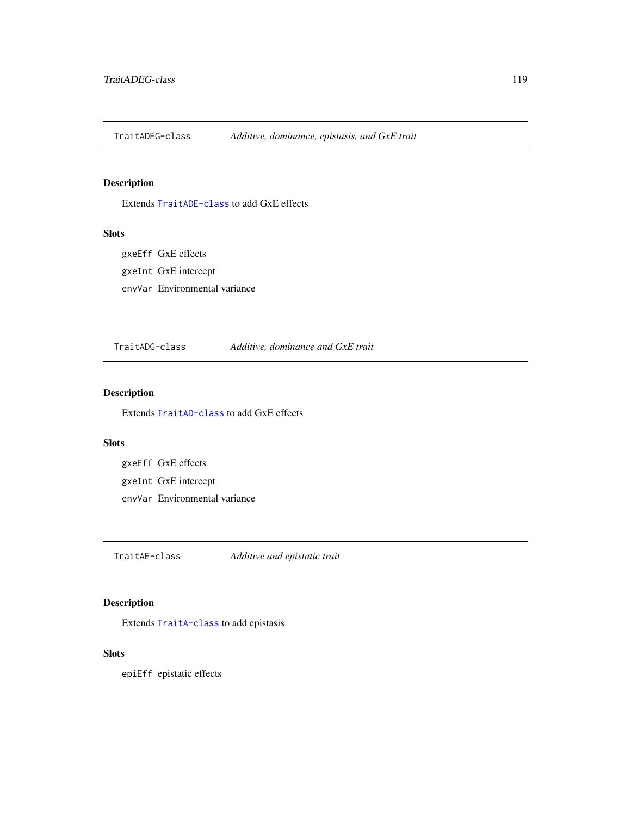<span id="page-118-1"></span>TraitADEG-class *Additive, dominance, epistasis, and GxE trait*

# Description

Extends [TraitADE-class](#page-117-2) to add GxE effects

## Slots

gxeEff GxE effects gxeInt GxE intercept envVar Environmental variance

TraitADG-class *Additive, dominance and GxE trait*

# Description

Extends [TraitAD-class](#page-117-1) to add GxE effects

#### Slots

gxeEff GxE effects gxeInt GxE intercept envVar Environmental variance

<span id="page-118-0"></span>TraitAE-class *Additive and epistatic trait*

# Description

Extends [TraitA-class](#page-116-0) to add epistasis

## **Slots**

epiEff epistatic effects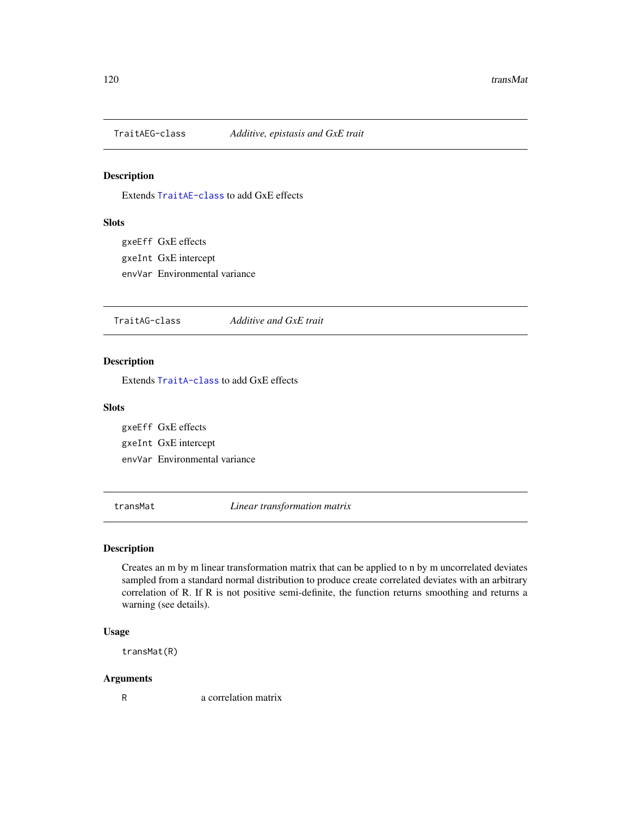<span id="page-119-0"></span>

Extends [TraitAE-class](#page-118-0) to add GxE effects

## Slots

gxeEff GxE effects gxeInt GxE intercept envVar Environmental variance

TraitAG-class *Additive and GxE trait*

#### Description

Extends [TraitA-class](#page-116-0) to add GxE effects

#### Slots

gxeEff GxE effects gxeInt GxE intercept envVar Environmental variance

transMat *Linear transformation matrix*

# Description

Creates an m by m linear transformation matrix that can be applied to n by m uncorrelated deviates sampled from a standard normal distribution to produce create correlated deviates with an arbitrary correlation of R. If R is not positive semi-definite, the function returns smoothing and returns a warning (see details).

#### Usage

transMat(R)

#### Arguments

R a correlation matrix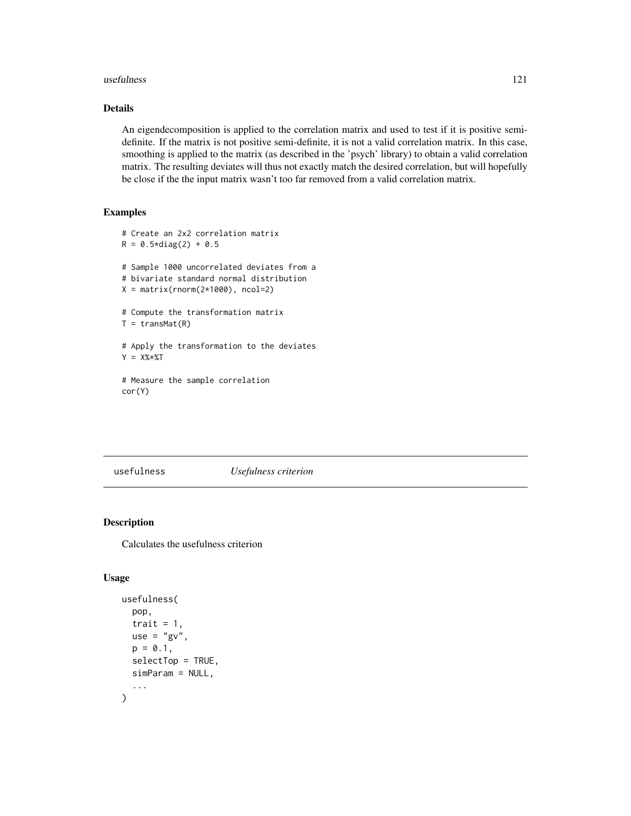#### <span id="page-120-0"></span>usefulness 121

## Details

An eigendecomposition is applied to the correlation matrix and used to test if it is positive semidefinite. If the matrix is not positive semi-definite, it is not a valid correlation matrix. In this case, smoothing is applied to the matrix (as described in the 'psych' library) to obtain a valid correlation matrix. The resulting deviates will thus not exactly match the desired correlation, but will hopefully be close if the the input matrix wasn't too far removed from a valid correlation matrix.

## Examples

```
# Create an 2x2 correlation matrix
R = 0.5 * diag(2) + 0.5# Sample 1000 uncorrelated deviates from a
# bivariate standard normal distribution
X = matrix(rnorm(2*1000), ncol=2)# Compute the transformation matrix
T = transMat(R)# Apply the transformation to the deviates
Y = X\% * \%T# Measure the sample correlation
cor(Y)
```
#### usefulness *Usefulness criterion*

# Description

Calculates the usefulness criterion

# Usage

```
usefulness(
  pop,
  trait = 1,
  use = "gv".
  p = 0.1,
  selectTop = TRUE,
  simParam = NULL,
  ...
)
```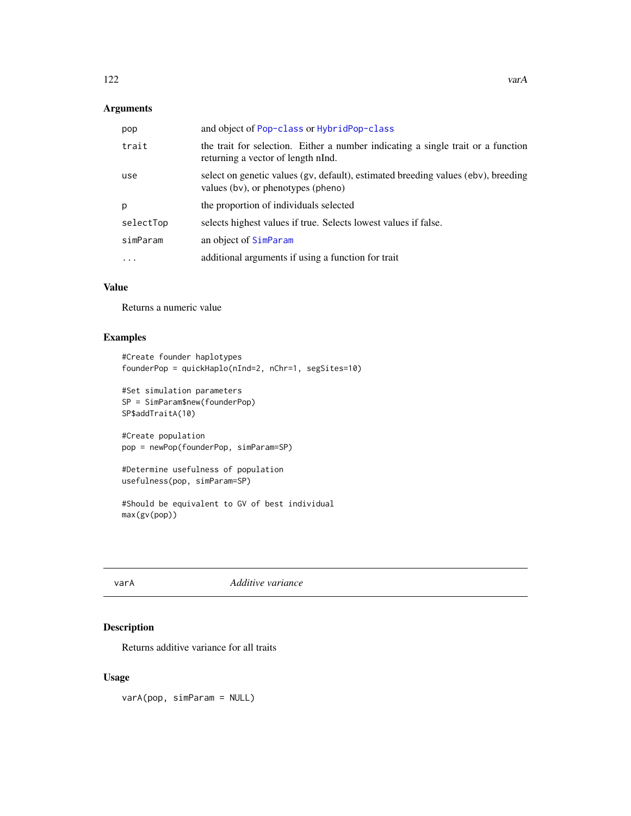# <span id="page-121-0"></span>Arguments

| pop       | and object of Pop-class or HybridPop-class                                                                              |
|-----------|-------------------------------------------------------------------------------------------------------------------------|
| trait     | the trait for selection. Either a number indicating a single trait or a function<br>returning a vector of length nInd.  |
| use       | select on genetic values (gv, default), estimated breeding values (ebv), breeding<br>values (bv), or phenotypes (pheno) |
| p         | the proportion of individuals selected                                                                                  |
| selectTop | selects highest values if true. Selects lowest values if false.                                                         |
| simParam  | an object of SimParam                                                                                                   |
| $\ddots$  | additional arguments if using a function for trait                                                                      |

# Value

Returns a numeric value

# Examples

```
#Create founder haplotypes
founderPop = quickHaplo(nInd=2, nChr=1, segSites=10)
```

```
#Set simulation parameters
SP = SimParam$new(founderPop)
SP$addTraitA(10)
```

```
#Create population
pop = newPop(founderPop, simParam=SP)
```

```
#Determine usefulness of population
usefulness(pop, simParam=SP)
```

```
#Should be equivalent to GV of best individual
max(gv(pop))
```
varA *Additive variance*

# Description

Returns additive variance for all traits

# Usage

varA(pop, simParam = NULL)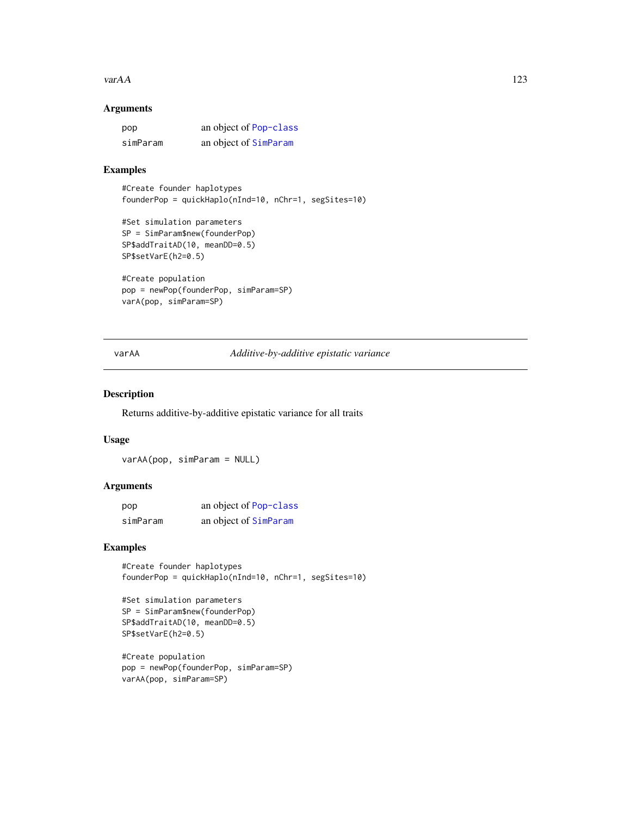#### <span id="page-122-0"></span> $\mathsf{var} A A$  123

## Arguments

| pop      | an object of Pop-class |
|----------|------------------------|
| simParam | an object of SimParam  |

# Examples

```
#Create founder haplotypes
founderPop = quickHaplo(nInd=10, nChr=1, segSites=10)
```

```
#Set simulation parameters
SP = SimParam$new(founderPop)
SP$addTraitAD(10, meanDD=0.5)
SP$setVarE(h2=0.5)
```

```
#Create population
pop = newPop(founderPop, simParam=SP)
varA(pop, simParam=SP)
```
varAA *Additive-by-additive epistatic variance*

#### Description

Returns additive-by-additive epistatic variance for all traits

#### Usage

varAA(pop, simParam = NULL)

#### Arguments

| pop      | an object of Pop-class |
|----------|------------------------|
| simParam | an object of SimParam  |

# Examples

#Create founder haplotypes founderPop = quickHaplo(nInd=10, nChr=1, segSites=10)

```
#Set simulation parameters
SP = SimParam$new(founderPop)
SP$addTraitAD(10, meanDD=0.5)
SP$setVarE(h2=0.5)
```

```
#Create population
pop = newPop(founderPop, simParam=SP)
varAA(pop, simParam=SP)
```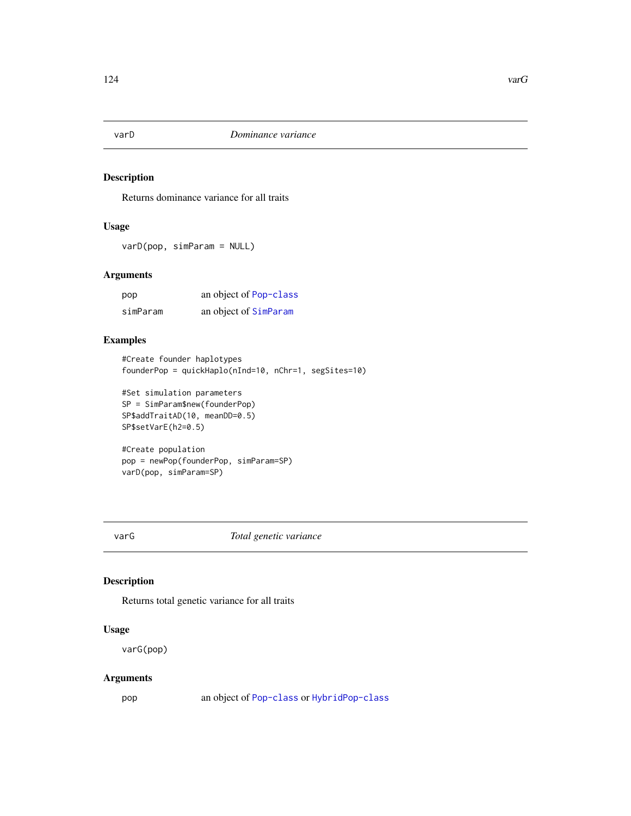<span id="page-123-0"></span>

Returns dominance variance for all traits

# Usage

varD(pop, simParam = NULL)

# Arguments

| pop      | an object of Pop-class |
|----------|------------------------|
| simParam | an object of SimParam  |

#### Examples

```
#Create founder haplotypes
founderPop = quickHaplo(nInd=10, nChr=1, segSites=10)
```

```
#Set simulation parameters
SP = SimParam$new(founderPop)
SP$addTraitAD(10, meanDD=0.5)
SP$setVarE(h2=0.5)
```

```
#Create population
pop = newPop(founderPop, simParam=SP)
varD(pop, simParam=SP)
```
varG *Total genetic variance*

# Description

Returns total genetic variance for all traits

# Usage

varG(pop)

# Arguments

pop an object of [Pop-class](#page-41-0) or [HybridPop-class](#page-22-0)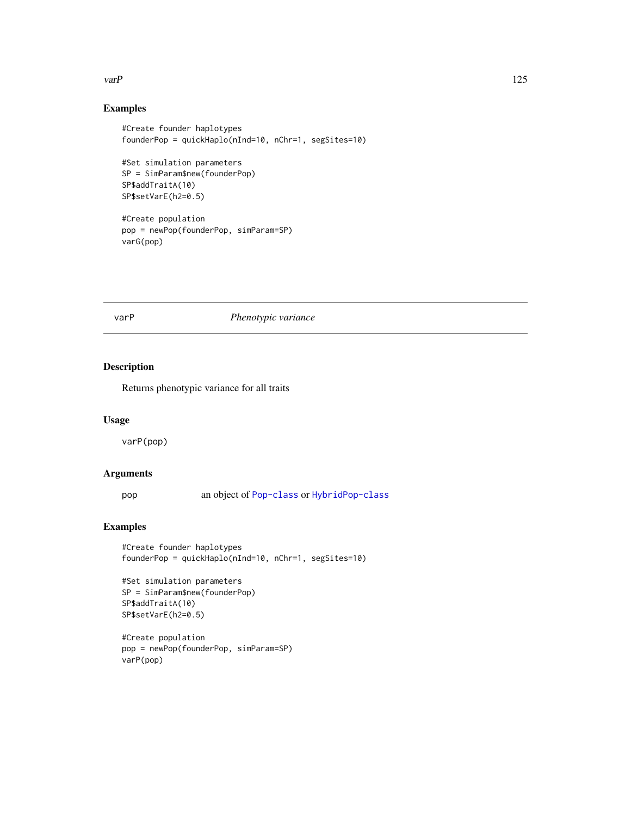#### <span id="page-124-0"></span>varP 125

# Examples

```
#Create founder haplotypes
founderPop = quickHaplo(nInd=10, nChr=1, segSites=10)
#Set simulation parameters
SP = SimParam$new(founderPop)
SP$addTraitA(10)
SP$setVarE(h2=0.5)
#Create population
pop = newPop(founderPop, simParam=SP)
```
varG(pop)

#### varP *Phenotypic variance*

## Description

Returns phenotypic variance for all traits

## Usage

varP(pop)

## Arguments

pop an object of [Pop-class](#page-41-0) or [HybridPop-class](#page-22-0)

# Examples

```
#Create founder haplotypes
founderPop = quickHaplo(nInd=10, nChr=1, segSites=10)
```

```
#Set simulation parameters
SP = SimParam$new(founderPop)
SP$addTraitA(10)
SP$setVarE(h2=0.5)
```

```
#Create population
pop = newPop(founderPop, simParam=SP)
varP(pop)
```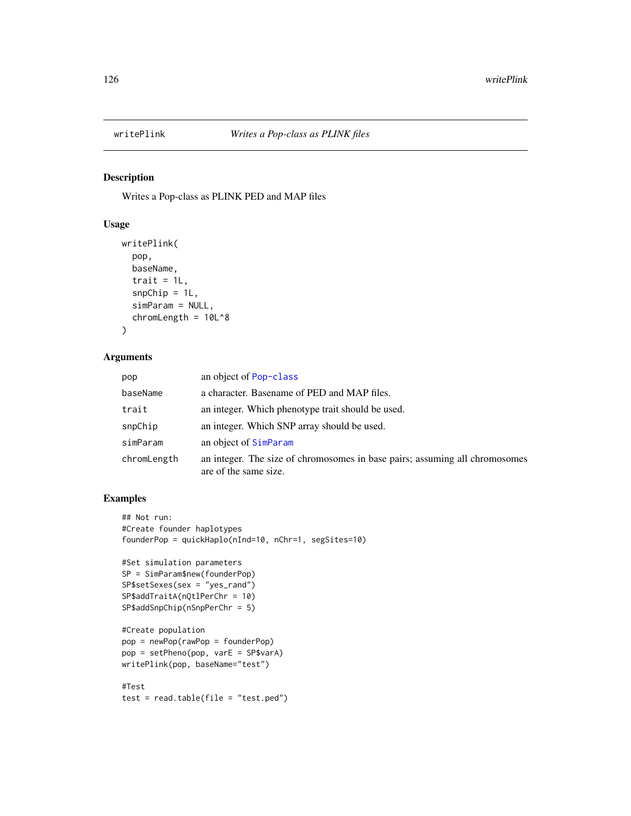<span id="page-125-0"></span>

Writes a Pop-class as PLINK PED and MAP files

### Usage

```
writePlink(
  pop,
 baseName,
  trait = 1L,
  snpChip = 1L,
  simParam = NULL,
  chromLength = 10L^8
)
```
## Arguments

| pop         | an object of Pop-class                                                                               |
|-------------|------------------------------------------------------------------------------------------------------|
| baseName    | a character. Basename of PED and MAP files.                                                          |
| trait       | an integer. Which phenotype trait should be used.                                                    |
| snpChip     | an integer. Which SNP array should be used.                                                          |
| simParam    | an object of SimParam                                                                                |
| chromLength | an integer. The size of chromosomes in base pairs; assuming all chromosomes<br>are of the same size. |

# Examples

```
## Not run:
#Create founder haplotypes
founderPop = quickHaplo(nInd=10, nChr=1, segSites=10)
#Set simulation parameters
SP = SimParam$new(founderPop)
SP$setSexes(sex = "yes_rand")
SP$addTraitA(nQtlPerChr = 10)
SP$addSnpChip(nSnpPerChr = 5)
#Create population
pop = newPop(rawPop = founderPop)
pop = setPheno(pop, varE = SP$varA)
writePlink(pop, baseName="test")
#Test
test = read.table(file = "test.ped")
```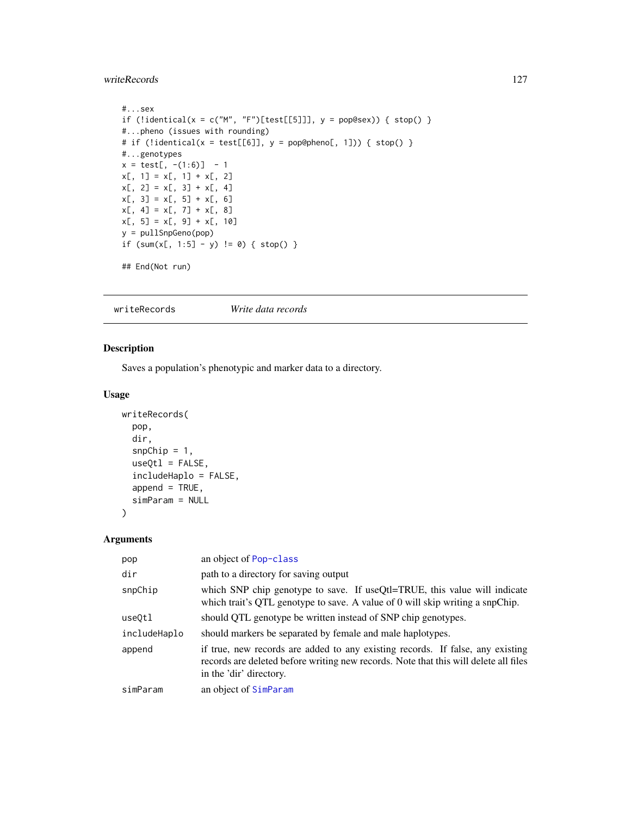#### <span id="page-126-0"></span>writeRecords 127

```
#...sex
if (!identical(x = c("M", "F")[test[[5]]], y = pop@sex)) { stop() }
#...pheno (issues with rounding)
# if (!identical(x = test[[6]], y = pop@pheno[, 1])) { stop() }
#...genotypes
x = test[, -(1:6)] - 1x[, 1] = x[, 1] + x[, 2]x[, 2] = x[, 3] + x[, 4]x[, 3] = x[, 5] + x[, 6]x[, 4] = x[, 7] + x[, 8]x[, 5] = x[, 9] + x[, 10]y = pullSnpGeno(pop)
if (sum(x[, 1:5] - y) != 0) { stop() }
## End(Not run)
```
writeRecords *Write data records*

# Description

Saves a population's phenotypic and marker data to a directory.

#### Usage

```
writeRecords(
  pop,
  dir,
  snpChip = 1,
  useQtl = FALSE,includeHaplo = FALSE,
  append = TRUE,simParam = NULL
)
```

| pop          | an object of Pop-class                                                                                                                                                                            |
|--------------|---------------------------------------------------------------------------------------------------------------------------------------------------------------------------------------------------|
| dir          | path to a directory for saving output                                                                                                                                                             |
| snpChip      | which SNP chip genotype to save. If useQtl=TRUE, this value will indicate<br>which trait's QTL genotype to save. A value of 0 will skip writing a snpChip.                                        |
| useQtl       | should QTL genotype be written instead of SNP chip genotypes.                                                                                                                                     |
| includeHaplo | should markers be separated by female and male haplotypes.                                                                                                                                        |
| append       | if true, new records are added to any existing records. If false, any existing<br>records are deleted before writing new records. Note that this will delete all files<br>in the 'dir' directory. |
| simParam     | an object of SimParam                                                                                                                                                                             |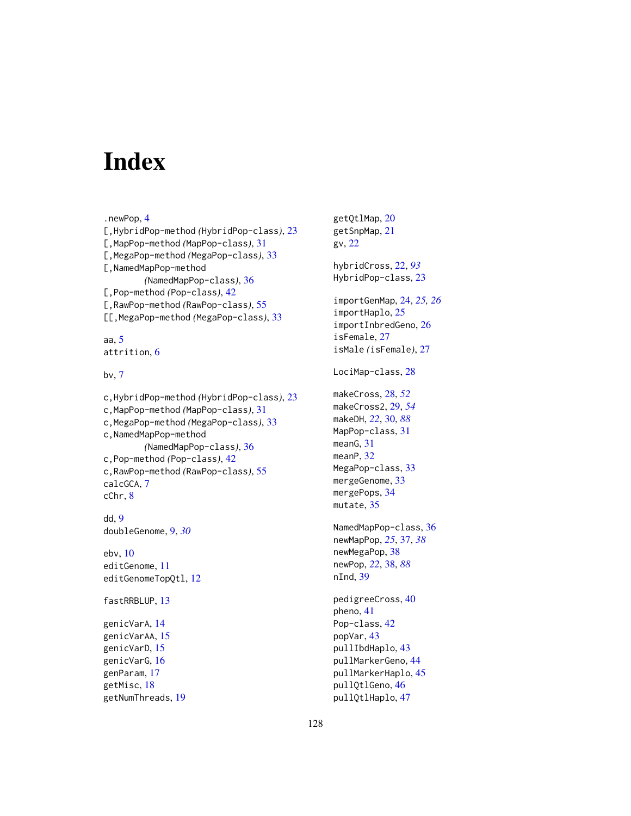# **Index**

.newPop, [4](#page-3-0) [,HybridPop-method *(*HybridPop-class*)*, [23](#page-22-1) [,MapPop-method *(*MapPop-class*)*, [31](#page-30-0) [,MegaPop-method *(*MegaPop-class*)*, [33](#page-32-0) [,NamedMapPop-method *(*NamedMapPop-class*)*, [36](#page-35-0) [,Pop-method *(*Pop-class*)*, [42](#page-41-1) [,RawPop-method *(*RawPop-class*)*, [55](#page-54-0) [[,MegaPop-method *(*MegaPop-class*)*, [33](#page-32-0) aa, [5](#page-4-0) attrition, [6](#page-5-0) bv, [7](#page-6-0) c,HybridPop-method *(*HybridPop-class*)*, [23](#page-22-1) c,MapPop-method *(*MapPop-class*)*, [31](#page-30-0) c,MegaPop-method *(*MegaPop-class*)*, [33](#page-32-0) c,NamedMapPop-method *(*NamedMapPop-class*)*, [36](#page-35-0) c,Pop-method *(*Pop-class*)*, [42](#page-41-1) c,RawPop-method *(*RawPop-class*)*, [55](#page-54-0) calcGCA, [7](#page-6-0) cChr, [8](#page-7-0) dd, [9](#page-8-0) doubleGenome, [9,](#page-8-0) *[30](#page-29-0)* ebv, [10](#page-9-0) editGenome, [11](#page-10-0) editGenomeTopQtl, [12](#page-11-0) fastRRBLUP, [13](#page-12-0) genicVarA, [14](#page-13-0) genicVarAA, [15](#page-14-0) genicVarD, [15](#page-14-0)

```
genicVarG, 16
genParam, 17
getMisc, 18
getNumThreads, 19
```
getQtlMap, [20](#page-19-0) getSnpMap, [21](#page-20-0) gv, [22](#page-21-0) hybridCross, [22,](#page-21-0) *[93](#page-92-0)* HybridPop-class, [23](#page-22-1) importGenMap, [24,](#page-23-0) *[25,](#page-24-0) [26](#page-25-0)* importHaplo, [25](#page-24-0) importInbredGeno, [26](#page-25-0) isFemale, [27](#page-26-0) isMale *(*isFemale*)*, [27](#page-26-0) LociMap-class, [28](#page-27-1) makeCross, [28,](#page-27-1) *[52](#page-51-0)* makeCross2, [29,](#page-28-0) *[54](#page-53-0)* makeDH, *[22](#page-21-0)*, [30,](#page-29-0) *[88](#page-87-0)* MapPop-class, [31](#page-30-0) meanG, [31](#page-30-0) meanP, [32](#page-31-0) MegaPop-class, [33](#page-32-0) mergeGenome, [33](#page-32-0) mergePops, [34](#page-33-0) mutate, [35](#page-34-0) NamedMapPop-class, [36](#page-35-0) newMapPop, *[25](#page-24-0)*, [37,](#page-36-0) *[38](#page-37-0)* newMegaPop, [38](#page-37-0) newPop, *[22](#page-21-0)*, [38,](#page-37-0) *[88](#page-87-0)* nInd, [39](#page-38-0) pedigreeCross, [40](#page-39-0) pheno, [41](#page-40-0) Pop-class, [42](#page-41-1) popVar, [43](#page-42-0) pullIbdHaplo, [43](#page-42-0) pullMarkerGeno, [44](#page-43-0)

pullMarkerHaplo, [45](#page-44-0) pullQtlGeno, [46](#page-45-0) pullQtlHaplo, [47](#page-46-0)